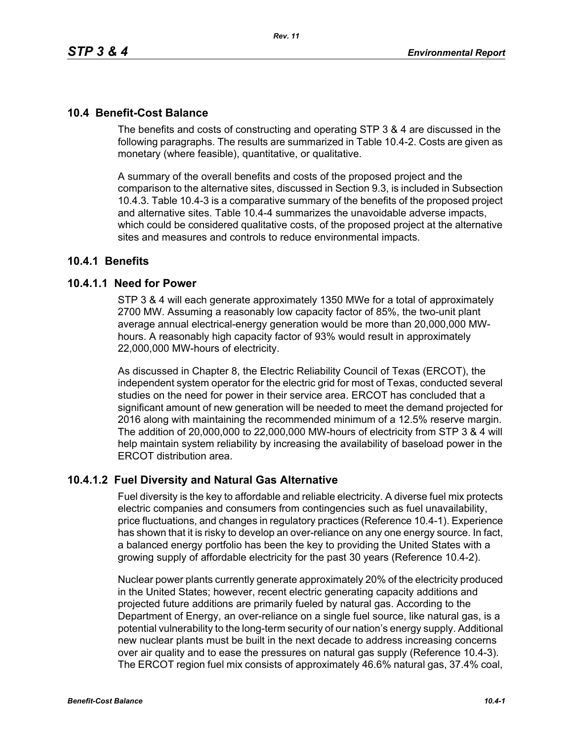# **10.4 Benefit-Cost Balance**

The benefits and costs of constructing and operating STP 3 & 4 are discussed in the following paragraphs. The results are summarized in Table 10.4-2. Costs are given as monetary (where feasible), quantitative, or qualitative.

A summary of the overall benefits and costs of the proposed project and the comparison to the alternative sites, discussed in Section 9.3, is included in Subsection 10.4.3. Table 10.4-3 is a comparative summary of the benefits of the proposed project and alternative sites. Table 10.4-4 summarizes the unavoidable adverse impacts, which could be considered qualitative costs, of the proposed project at the alternative sites and measures and controls to reduce environmental impacts.

# **10.4.1 Benefits**

# **10.4.1.1 Need for Power**

STP 3 & 4 will each generate approximately 1350 MWe for a total of approximately 2700 MW. Assuming a reasonably low capacity factor of 85%, the two-unit plant average annual electrical-energy generation would be more than 20,000,000 MWhours. A reasonably high capacity factor of 93% would result in approximately 22,000,000 MW-hours of electricity.

As discussed in Chapter 8, the Electric Reliability Council of Texas (ERCOT), the independent system operator for the electric grid for most of Texas, conducted several studies on the need for power in their service area. ERCOT has concluded that a significant amount of new generation will be needed to meet the demand projected for 2016 along with maintaining the recommended minimum of a 12.5% reserve margin. The addition of 20,000,000 to 22,000,000 MW-hours of electricity from STP 3 & 4 will help maintain system reliability by increasing the availability of baseload power in the ERCOT distribution area.

# **10.4.1.2 Fuel Diversity and Natural Gas Alternative**

Fuel diversity is the key to affordable and reliable electricity. A diverse fuel mix protects electric companies and consumers from contingencies such as fuel unavailability, price fluctuations, and changes in regulatory practices (Reference 10.4-1). Experience has shown that it is risky to develop an over-reliance on any one energy source. In fact, a balanced energy portfolio has been the key to providing the United States with a growing supply of affordable electricity for the past 30 years (Reference 10.4-2).

Nuclear power plants currently generate approximately 20% of the electricity produced in the United States; however, recent electric generating capacity additions and projected future additions are primarily fueled by natural gas. According to the Department of Energy, an over-reliance on a single fuel source, like natural gas, is a potential vulnerability to the long-term security of our nation's energy supply. Additional new nuclear plants must be built in the next decade to address increasing concerns over air quality and to ease the pressures on natural gas supply (Reference 10.4-3). The ERCOT region fuel mix consists of approximately 46.6% natural gas, 37.4% coal,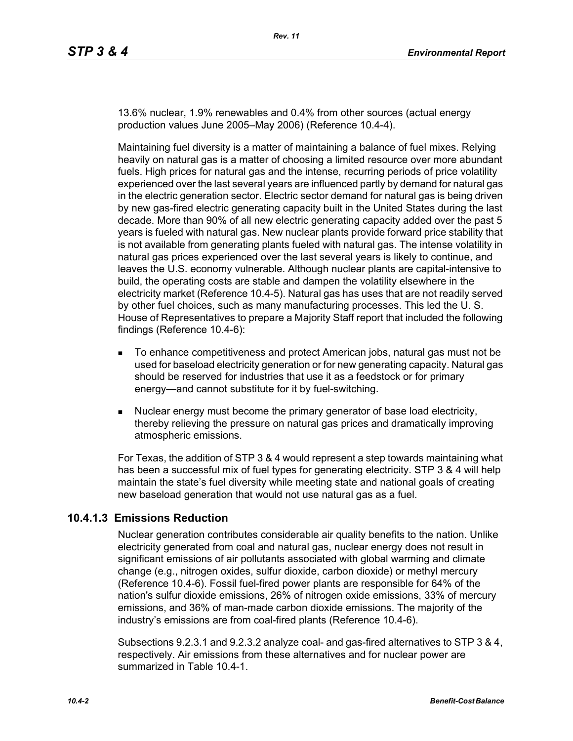13.6% nuclear, 1.9% renewables and 0.4% from other sources (actual energy production values June 2005–May 2006) (Reference 10.4-4).

Maintaining fuel diversity is a matter of maintaining a balance of fuel mixes. Relying heavily on natural gas is a matter of choosing a limited resource over more abundant fuels. High prices for natural gas and the intense, recurring periods of price volatility experienced over the last several years are influenced partly by demand for natural gas in the electric generation sector. Electric sector demand for natural gas is being driven by new gas-fired electric generating capacity built in the United States during the last decade. More than 90% of all new electric generating capacity added over the past 5 years is fueled with natural gas. New nuclear plants provide forward price stability that is not available from generating plants fueled with natural gas. The intense volatility in natural gas prices experienced over the last several years is likely to continue, and leaves the U.S. economy vulnerable. Although nuclear plants are capital-intensive to build, the operating costs are stable and dampen the volatility elsewhere in the electricity market (Reference 10.4-5). Natural gas has uses that are not readily served by other fuel choices, such as many manufacturing processes. This led the U. S. House of Representatives to prepare a Majority Staff report that included the following findings (Reference 10.4-6):

- To enhance competitiveness and protect American jobs, natural gas must not be used for baseload electricity generation or for new generating capacity. Natural gas should be reserved for industries that use it as a feedstock or for primary energy—and cannot substitute for it by fuel-switching.
- **Nuclear energy must become the primary generator of base load electricity,** thereby relieving the pressure on natural gas prices and dramatically improving atmospheric emissions.

For Texas, the addition of STP 3 & 4 would represent a step towards maintaining what has been a successful mix of fuel types for generating electricity. STP 3 & 4 will help maintain the state's fuel diversity while meeting state and national goals of creating new baseload generation that would not use natural gas as a fuel.

# **10.4.1.3 Emissions Reduction**

Nuclear generation contributes considerable air quality benefits to the nation. Unlike electricity generated from coal and natural gas, nuclear energy does not result in significant emissions of air pollutants associated with global warming and climate change (e.g., nitrogen oxides, sulfur dioxide, carbon dioxide) or methyl mercury (Reference 10.4-6). Fossil fuel-fired power plants are responsible for 64% of the nation's sulfur dioxide emissions, 26% of nitrogen oxide emissions, 33% of mercury emissions, and 36% of man-made carbon dioxide emissions. The majority of the industry's emissions are from coal-fired plants (Reference 10.4-6).

Subsections 9.2.3.1 and 9.2.3.2 analyze coal- and gas-fired alternatives to STP 3 & 4, respectively. Air emissions from these alternatives and for nuclear power are summarized in Table 10.4-1.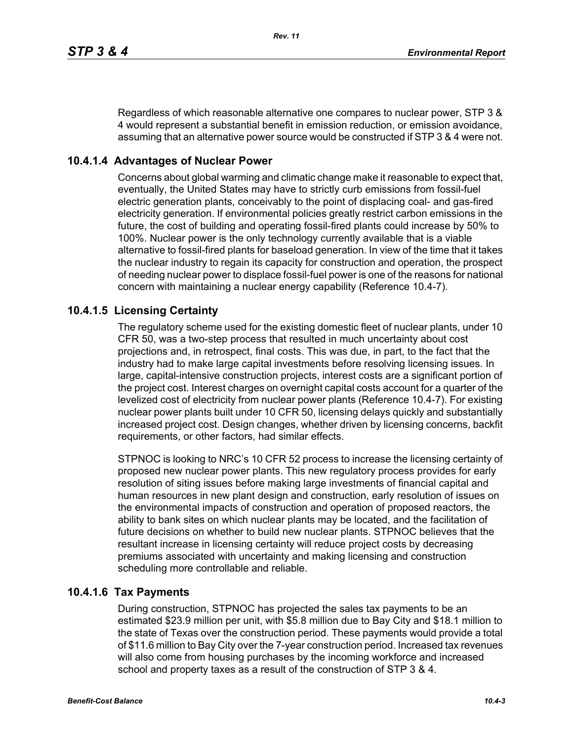Regardless of which reasonable alternative one compares to nuclear power, STP 3 & 4 would represent a substantial benefit in emission reduction, or emission avoidance, assuming that an alternative power source would be constructed if STP 3 & 4 were not.

# **10.4.1.4 Advantages of Nuclear Power**

Concerns about global warming and climatic change make it reasonable to expect that, eventually, the United States may have to strictly curb emissions from fossil-fuel electric generation plants, conceivably to the point of displacing coal- and gas-fired electricity generation. If environmental policies greatly restrict carbon emissions in the future, the cost of building and operating fossil-fired plants could increase by 50% to 100%. Nuclear power is the only technology currently available that is a viable alternative to fossil-fired plants for baseload generation. In view of the time that it takes the nuclear industry to regain its capacity for construction and operation, the prospect of needing nuclear power to displace fossil-fuel power is one of the reasons for national concern with maintaining a nuclear energy capability (Reference 10.4-7).

# **10.4.1.5 Licensing Certainty**

The regulatory scheme used for the existing domestic fleet of nuclear plants, under 10 CFR 50, was a two-step process that resulted in much uncertainty about cost projections and, in retrospect, final costs. This was due, in part, to the fact that the industry had to make large capital investments before resolving licensing issues. In large, capital-intensive construction projects, interest costs are a significant portion of the project cost. Interest charges on overnight capital costs account for a quarter of the levelized cost of electricity from nuclear power plants (Reference 10.4-7). For existing nuclear power plants built under 10 CFR 50, licensing delays quickly and substantially increased project cost. Design changes, whether driven by licensing concerns, backfit requirements, or other factors, had similar effects.

STPNOC is looking to NRC's 10 CFR 52 process to increase the licensing certainty of proposed new nuclear power plants. This new regulatory process provides for early resolution of siting issues before making large investments of financial capital and human resources in new plant design and construction, early resolution of issues on the environmental impacts of construction and operation of proposed reactors, the ability to bank sites on which nuclear plants may be located, and the facilitation of future decisions on whether to build new nuclear plants. STPNOC believes that the resultant increase in licensing certainty will reduce project costs by decreasing premiums associated with uncertainty and making licensing and construction scheduling more controllable and reliable.

# **10.4.1.6 Tax Payments**

During construction, STPNOC has projected the sales tax payments to be an estimated \$23.9 million per unit, with \$5.8 million due to Bay City and \$18.1 million to the state of Texas over the construction period. These payments would provide a total of \$11.6 million to Bay City over the 7-year construction period. Increased tax revenues will also come from housing purchases by the incoming workforce and increased school and property taxes as a result of the construction of STP 3 & 4.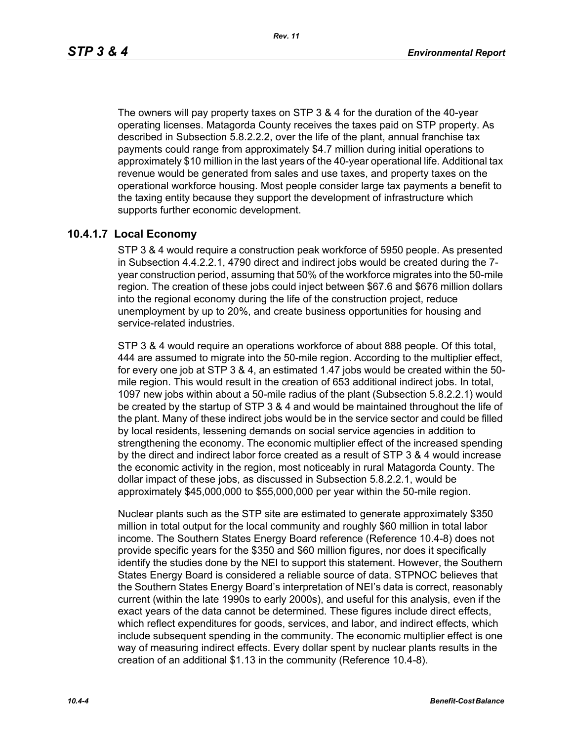*Rev. 11*

The owners will pay property taxes on STP 3 & 4 for the duration of the 40-year operating licenses. Matagorda County receives the taxes paid on STP property. As described in Subsection 5.8.2.2.2, over the life of the plant, annual franchise tax payments could range from approximately \$4.7 million during initial operations to approximately \$10 million in the last years of the 40-year operational life. Additional tax revenue would be generated from sales and use taxes, and property taxes on the operational workforce housing. Most people consider large tax payments a benefit to the taxing entity because they support the development of infrastructure which supports further economic development.

# **10.4.1.7 Local Economy**

STP 3 & 4 would require a construction peak workforce of 5950 people. As presented in Subsection 4.4.2.2.1, 4790 direct and indirect jobs would be created during the 7 year construction period, assuming that 50% of the workforce migrates into the 50-mile region. The creation of these jobs could inject between \$67.6 and \$676 million dollars into the regional economy during the life of the construction project, reduce unemployment by up to 20%, and create business opportunities for housing and service-related industries.

STP 3 & 4 would require an operations workforce of about 888 people. Of this total, 444 are assumed to migrate into the 50-mile region. According to the multiplier effect, for every one job at STP 3 & 4, an estimated 1.47 jobs would be created within the 50 mile region. This would result in the creation of 653 additional indirect jobs. In total, 1097 new jobs within about a 50-mile radius of the plant (Subsection 5.8.2.2.1) would be created by the startup of STP 3 & 4 and would be maintained throughout the life of the plant. Many of these indirect jobs would be in the service sector and could be filled by local residents, lessening demands on social service agencies in addition to strengthening the economy. The economic multiplier effect of the increased spending by the direct and indirect labor force created as a result of STP 3 & 4 would increase the economic activity in the region, most noticeably in rural Matagorda County. The dollar impact of these jobs, as discussed in Subsection 5.8.2.2.1, would be approximately \$45,000,000 to \$55,000,000 per year within the 50-mile region.

Nuclear plants such as the STP site are estimated to generate approximately \$350 million in total output for the local community and roughly \$60 million in total labor income. The Southern States Energy Board reference (Reference 10.4-8) does not provide specific years for the \$350 and \$60 million figures, nor does it specifically identify the studies done by the NEI to support this statement. However, the Southern States Energy Board is considered a reliable source of data. STPNOC believes that the Southern States Energy Board's interpretation of NEI's data is correct, reasonably current (within the late 1990s to early 2000s), and useful for this analysis, even if the exact years of the data cannot be determined. These figures include direct effects, which reflect expenditures for goods, services, and labor, and indirect effects, which include subsequent spending in the community. The economic multiplier effect is one way of measuring indirect effects. Every dollar spent by nuclear plants results in the creation of an additional \$1.13 in the community (Reference 10.4-8).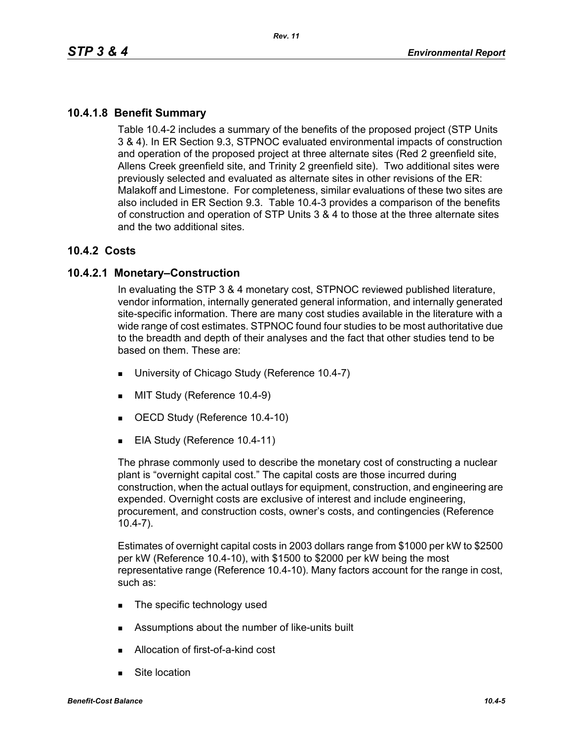# **10.4.1.8 Benefit Summary**

Table 10.4-2 includes a summary of the benefits of the proposed project (STP Units 3 & 4). In ER Section 9.3, STPNOC evaluated environmental impacts of construction and operation of the proposed project at three alternate sites (Red 2 greenfield site, Allens Creek greenfield site, and Trinity 2 greenfield site). Two additional sites were previously selected and evaluated as alternate sites in other revisions of the ER: Malakoff and Limestone. For completeness, similar evaluations of these two sites are also included in ER Section 9.3. Table 10.4-3 provides a comparison of the benefits of construction and operation of STP Units 3 & 4 to those at the three alternate sites and the two additional sites.

# **10.4.2 Costs**

# **10.4.2.1 Monetary–Construction**

In evaluating the STP 3 & 4 monetary cost, STPNOC reviewed published literature, vendor information, internally generated general information, and internally generated site-specific information. There are many cost studies available in the literature with a wide range of cost estimates. STPNOC found four studies to be most authoritative due to the breadth and depth of their analyses and the fact that other studies tend to be based on them. These are:

- **University of Chicago Study (Reference 10.4-7)**
- **MIT Study (Reference 10.4-9)**
- OECD Study (Reference 10.4-10)
- EIA Study (Reference 10.4-11)

The phrase commonly used to describe the monetary cost of constructing a nuclear plant is "overnight capital cost." The capital costs are those incurred during construction, when the actual outlays for equipment, construction, and engineering are expended. Overnight costs are exclusive of interest and include engineering, procurement, and construction costs, owner's costs, and contingencies (Reference 10.4-7).

Estimates of overnight capital costs in 2003 dollars range from \$1000 per kW to \$2500 per kW (Reference 10.4-10), with \$1500 to \$2000 per kW being the most representative range (Reference 10.4-10). Many factors account for the range in cost, such as:

- The specific technology used
- **EXECUTE:** Assumptions about the number of like-units built
- Allocation of first-of-a-kind cost
- Site location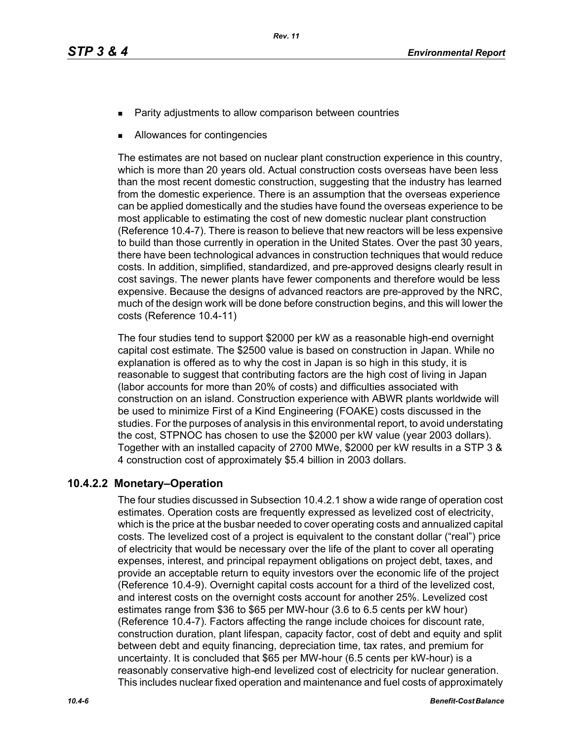- Parity adjustments to allow comparison between countries
- Allowances for contingencies

The estimates are not based on nuclear plant construction experience in this country, which is more than 20 years old. Actual construction costs overseas have been less than the most recent domestic construction, suggesting that the industry has learned from the domestic experience. There is an assumption that the overseas experience can be applied domestically and the studies have found the overseas experience to be most applicable to estimating the cost of new domestic nuclear plant construction (Reference 10.4-7). There is reason to believe that new reactors will be less expensive to build than those currently in operation in the United States. Over the past 30 years, there have been technological advances in construction techniques that would reduce costs. In addition, simplified, standardized, and pre-approved designs clearly result in cost savings. The newer plants have fewer components and therefore would be less expensive. Because the designs of advanced reactors are pre-approved by the NRC, much of the design work will be done before construction begins, and this will lower the costs (Reference 10.4-11)

The four studies tend to support \$2000 per kW as a reasonable high-end overnight capital cost estimate. The \$2500 value is based on construction in Japan. While no explanation is offered as to why the cost in Japan is so high in this study, it is reasonable to suggest that contributing factors are the high cost of living in Japan (labor accounts for more than 20% of costs) and difficulties associated with construction on an island. Construction experience with ABWR plants worldwide will be used to minimize First of a Kind Engineering (FOAKE) costs discussed in the studies. For the purposes of analysis in this environmental report, to avoid understating the cost, STPNOC has chosen to use the \$2000 per kW value (year 2003 dollars). Together with an installed capacity of 2700 MWe, \$2000 per kW results in a STP 3 & 4 construction cost of approximately \$5.4 billion in 2003 dollars.

# **10.4.2.2 Monetary–Operation**

The four studies discussed in Subsection 10.4.2.1 show a wide range of operation cost estimates. Operation costs are frequently expressed as levelized cost of electricity, which is the price at the busbar needed to cover operating costs and annualized capital costs. The levelized cost of a project is equivalent to the constant dollar ("real") price of electricity that would be necessary over the life of the plant to cover all operating expenses, interest, and principal repayment obligations on project debt, taxes, and provide an acceptable return to equity investors over the economic life of the project (Reference 10.4-9). Overnight capital costs account for a third of the levelized cost, and interest costs on the overnight costs account for another 25%. Levelized cost estimates range from \$36 to \$65 per MW-hour (3.6 to 6.5 cents per kW hour) (Reference 10.4-7). Factors affecting the range include choices for discount rate, construction duration, plant lifespan, capacity factor, cost of debt and equity and split between debt and equity financing, depreciation time, tax rates, and premium for uncertainty. It is concluded that \$65 per MW-hour (6.5 cents per kW-hour) is a reasonably conservative high-end levelized cost of electricity for nuclear generation. This includes nuclear fixed operation and maintenance and fuel costs of approximately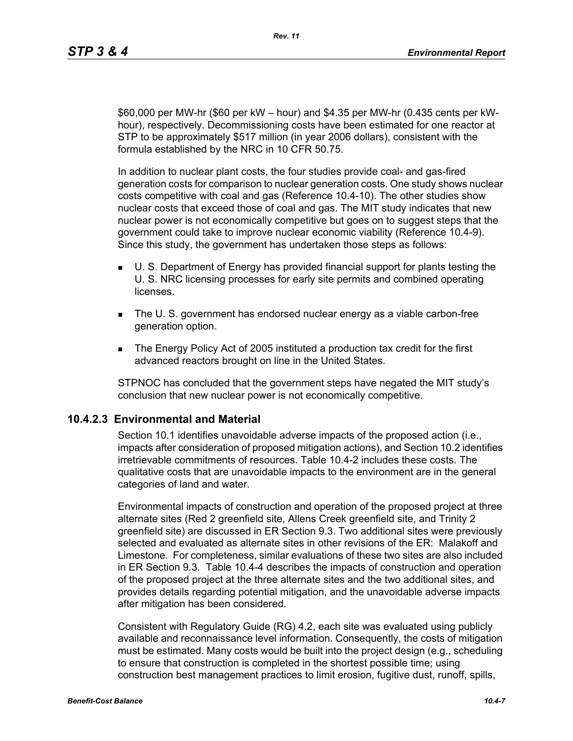\$60,000 per MW-hr (\$60 per kW – hour) and \$4.35 per MW-hr (0.435 cents per kWhour), respectively. Decommissioning costs have been estimated for one reactor at STP to be approximately \$517 million (in year 2006 dollars), consistent with the formula established by the NRC in 10 CFR 50.75.

In addition to nuclear plant costs, the four studies provide coal- and gas-fired generation costs for comparison to nuclear generation costs. One study shows nuclear costs competitive with coal and gas (Reference 10.4-10). The other studies show nuclear costs that exceed those of coal and gas. The MIT study indicates that new nuclear power is not economically competitive but goes on to suggest steps that the government could take to improve nuclear economic viability (Reference 10.4-9). Since this study, the government has undertaken those steps as follows:

- U. S. Department of Energy has provided financial support for plants testing the U. S. NRC licensing processes for early site permits and combined operating **licenses**
- The U. S. government has endorsed nuclear energy as a viable carbon-free generation option.
- The Energy Policy Act of 2005 instituted a production tax credit for the first advanced reactors brought on line in the United States.

STPNOC has concluded that the government steps have negated the MIT study's conclusion that new nuclear power is not economically competitive.

# **10.4.2.3 Environmental and Material**

Section 10.1 identifies unavoidable adverse impacts of the proposed action (i.e., impacts after consideration of proposed mitigation actions), and Section 10.2 identifies irretrievable commitments of resources. Table 10.4-2 includes these costs. The qualitative costs that are unavoidable impacts to the environment are in the general categories of land and water.

Environmental impacts of construction and operation of the proposed project at three alternate sites (Red 2 greenfield site, Allens Creek greenfield site, and Trinity 2 greenfield site) are discussed in ER Section 9.3. Two additional sites were previously selected and evaluated as alternate sites in other revisions of the ER: Malakoff and Limestone. For completeness, similar evaluations of these two sites are also included in ER Section 9.3. Table 10.4-4 describes the impacts of construction and operation of the proposed project at the three alternate sites and the two additional sites, and provides details regarding potential mitigation, and the unavoidable adverse impacts after mitigation has been considered.

Consistent with Regulatory Guide (RG) 4.2, each site was evaluated using publicly available and reconnaissance level information. Consequently, the costs of mitigation must be estimated. Many costs would be built into the project design (e.g., scheduling to ensure that construction is completed in the shortest possible time; using construction best management practices to limit erosion, fugitive dust, runoff, spills,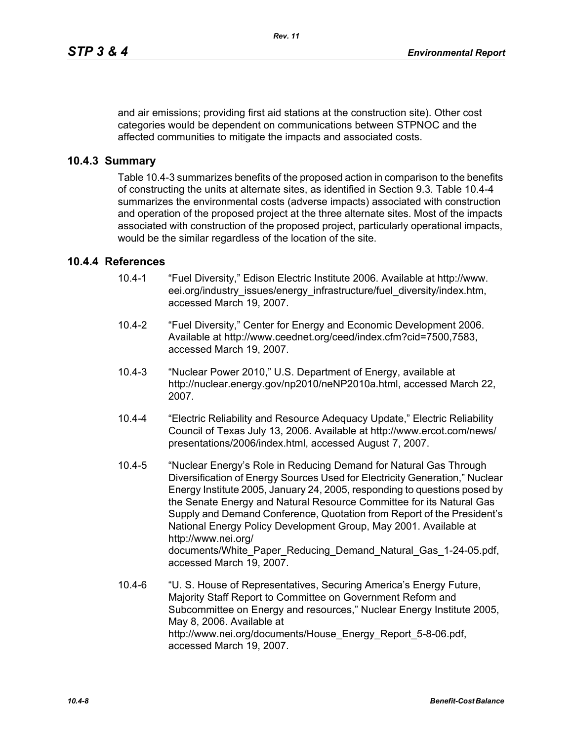and air emissions; providing first aid stations at the construction site). Other cost categories would be dependent on communications between STPNOC and the affected communities to mitigate the impacts and associated costs.

## **10.4.3 Summary**

Table 10.4-3 summarizes benefits of the proposed action in comparison to the benefits of constructing the units at alternate sites, as identified in Section 9.3. Table 10.4-4 summarizes the environmental costs (adverse impacts) associated with construction and operation of the proposed project at the three alternate sites. Most of the impacts associated with construction of the proposed project, particularly operational impacts, would be the similar regardless of the location of the site.

## **10.4.4 References**

- 10.4-1 "Fuel Diversity," Edison Electric Institute 2006. Available at http://www. eei.org/industry\_issues/energy\_infrastructure/fuel\_diversity/index.htm, accessed March 19, 2007.
- 10.4-2 "Fuel Diversity," Center for Energy and Economic Development 2006. Available at http://www.ceednet.org/ceed/index.cfm?cid=7500,7583, accessed March 19, 2007.
- 10.4-3 "Nuclear Power 2010," U.S. Department of Energy, available at http://nuclear.energy.gov/np2010/neNP2010a.html, accessed March 22, 2007.
- 10.4-4 "Electric Reliability and Resource Adequacy Update," Electric Reliability Council of Texas July 13, 2006. Available at http://www.ercot.com/news/ presentations/2006/index.html, accessed August 7, 2007.
- 10.4-5 "Nuclear Energy's Role in Reducing Demand for Natural Gas Through Diversification of Energy Sources Used for Electricity Generation," Nuclear Energy Institute 2005, January 24, 2005, responding to questions posed by the Senate Energy and Natural Resource Committee for its Natural Gas Supply and Demand Conference, Quotation from Report of the President's National Energy Policy Development Group, May 2001. Available at http://www.nei.org/ documents/White\_Paper\_Reducing\_Demand\_Natural\_Gas\_1-24-05.pdf, accessed March 19, 2007.
- 10.4-6 "U. S. House of Representatives, Securing America's Energy Future, Majority Staff Report to Committee on Government Reform and Subcommittee on Energy and resources," Nuclear Energy Institute 2005, May 8, 2006. Available at http://www.nei.org/documents/House\_Energy\_Report\_5-8-06.pdf, accessed March 19, 2007.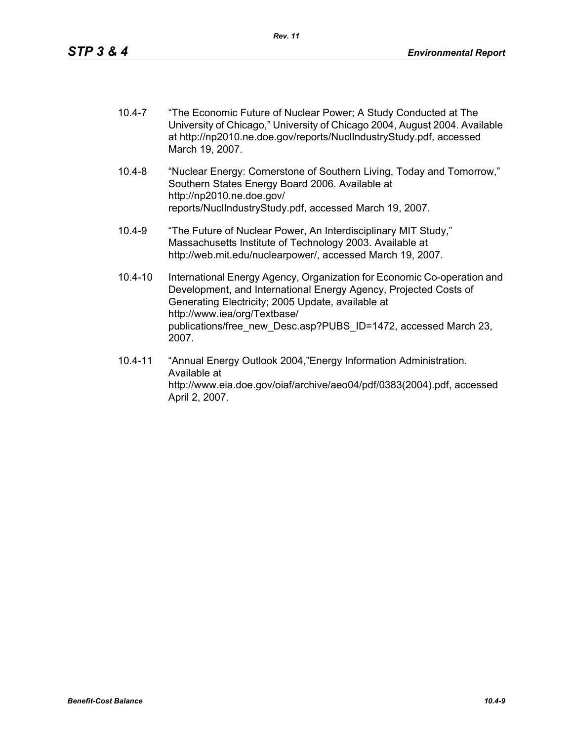- 10.4-7 "The Economic Future of Nuclear Power; A Study Conducted at The University of Chicago," University of Chicago 2004, August 2004. Available at http://np2010.ne.doe.gov/reports/NuclIndustryStudy.pdf, accessed March 19, 2007.
- 10.4-8 "Nuclear Energy: Cornerstone of Southern Living, Today and Tomorrow," Southern States Energy Board 2006. Available at http://np2010.ne.doe.gov/ reports/NuclIndustryStudy.pdf, accessed March 19, 2007.
- 10.4-9 "The Future of Nuclear Power, An Interdisciplinary MIT Study," Massachusetts Institute of Technology 2003. Available at http://web.mit.edu/nuclearpower/, accessed March 19, 2007.
- 10.4-10 International Energy Agency, Organization for Economic Co-operation and Development, and International Energy Agency, Projected Costs of Generating Electricity; 2005 Update, available at http://www.iea/org/Textbase/ publications/free\_new\_Desc.asp?PUBS\_ID=1472, accessed March 23, 2007.
- 10.4-11 "Annual Energy Outlook 2004,"Energy Information Administration. Available at http://www.eia.doe.gov/oiaf/archive/aeo04/pdf/0383(2004).pdf, accessed April 2, 2007.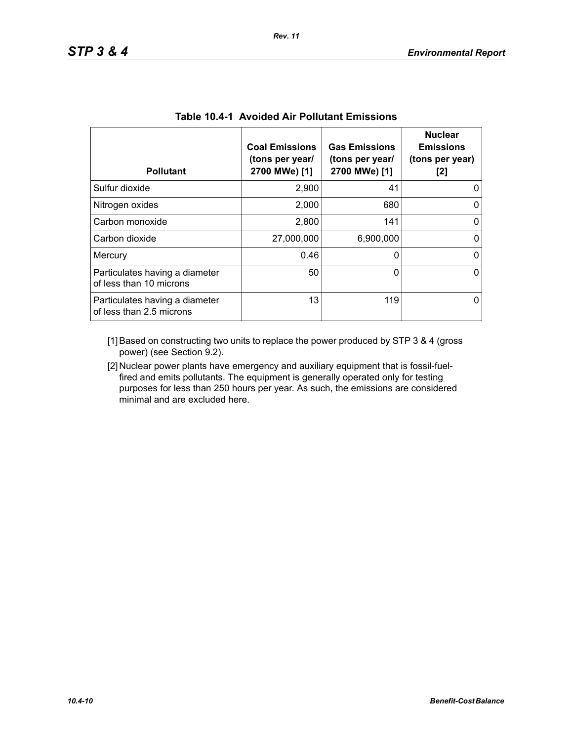| <b>Pollutant</b>                                           | <b>Coal Emissions</b><br>(tons per year/<br>2700 MWe) [1] | <b>Gas Emissions</b><br>(tons per year/<br>2700 MWe) [1] | <b>Nuclear</b><br><b>Emissions</b><br>(tons per year)<br>[2] |
|------------------------------------------------------------|-----------------------------------------------------------|----------------------------------------------------------|--------------------------------------------------------------|
| Sulfur dioxide                                             | 2,900                                                     | 41                                                       |                                                              |
| Nitrogen oxides                                            | 2,000                                                     | 680                                                      | 0                                                            |
| Carbon monoxide                                            | 2,800                                                     | 141                                                      | 0                                                            |
| Carbon dioxide                                             | 27,000,000                                                | 6,900,000                                                |                                                              |
| Mercury                                                    | 0.46                                                      | 0                                                        | 0                                                            |
| Particulates having a diameter<br>of less than 10 microns  | 50                                                        | 0                                                        | 0                                                            |
| Particulates having a diameter<br>of less than 2.5 microns | 13                                                        | 119                                                      |                                                              |

| <b>Table 10.4-1 Avoided Air Pollutant Emissions</b> |  |  |  |  |
|-----------------------------------------------------|--|--|--|--|
|-----------------------------------------------------|--|--|--|--|

[1] Based on constructing two units to replace the power produced by STP 3 & 4 (gross power) (see Section 9.2).

[2] Nuclear power plants have emergency and auxiliary equipment that is fossil-fuelfired and emits pollutants. The equipment is generally operated only for testing purposes for less than 250 hours per year. As such, the emissions are considered minimal and are excluded here.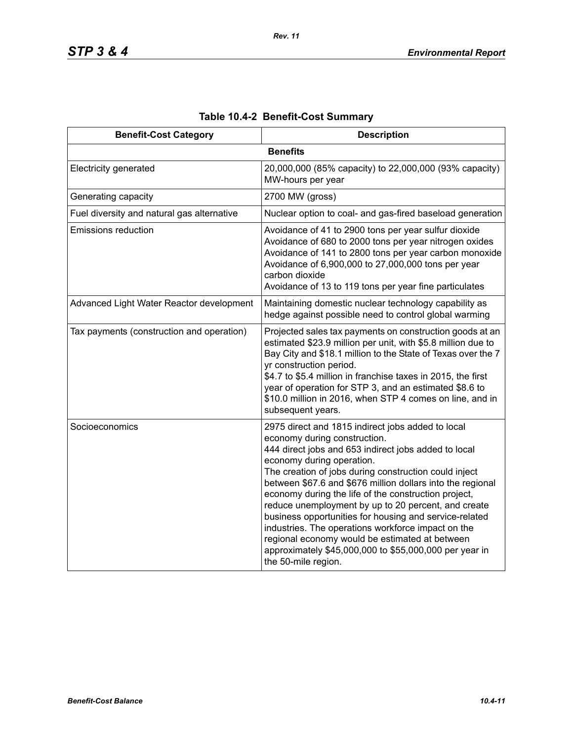| <b>Benefit-Cost Category</b>               | <b>Description</b>                                                                                                                                                                                                                                                                                                                                                                                                                                                                                                                                                                                                                                              |
|--------------------------------------------|-----------------------------------------------------------------------------------------------------------------------------------------------------------------------------------------------------------------------------------------------------------------------------------------------------------------------------------------------------------------------------------------------------------------------------------------------------------------------------------------------------------------------------------------------------------------------------------------------------------------------------------------------------------------|
|                                            | <b>Benefits</b>                                                                                                                                                                                                                                                                                                                                                                                                                                                                                                                                                                                                                                                 |
| Electricity generated                      | 20,000,000 (85% capacity) to 22,000,000 (93% capacity)<br>MW-hours per year                                                                                                                                                                                                                                                                                                                                                                                                                                                                                                                                                                                     |
| Generating capacity                        | 2700 MW (gross)                                                                                                                                                                                                                                                                                                                                                                                                                                                                                                                                                                                                                                                 |
| Fuel diversity and natural gas alternative | Nuclear option to coal- and gas-fired baseload generation                                                                                                                                                                                                                                                                                                                                                                                                                                                                                                                                                                                                       |
| <b>Emissions reduction</b>                 | Avoidance of 41 to 2900 tons per year sulfur dioxide<br>Avoidance of 680 to 2000 tons per year nitrogen oxides<br>Avoidance of 141 to 2800 tons per year carbon monoxide<br>Avoidance of 6,900,000 to 27,000,000 tons per year<br>carbon dioxide<br>Avoidance of 13 to 119 tons per year fine particulates                                                                                                                                                                                                                                                                                                                                                      |
| Advanced Light Water Reactor development   | Maintaining domestic nuclear technology capability as<br>hedge against possible need to control global warming                                                                                                                                                                                                                                                                                                                                                                                                                                                                                                                                                  |
| Tax payments (construction and operation)  | Projected sales tax payments on construction goods at an<br>estimated \$23.9 million per unit, with \$5.8 million due to<br>Bay City and \$18.1 million to the State of Texas over the 7<br>yr construction period.<br>\$4.7 to \$5.4 million in franchise taxes in 2015, the first<br>year of operation for STP 3, and an estimated \$8.6 to<br>\$10.0 million in 2016, when STP 4 comes on line, and in<br>subsequent years.                                                                                                                                                                                                                                  |
| Socioeconomics                             | 2975 direct and 1815 indirect jobs added to local<br>economy during construction.<br>444 direct jobs and 653 indirect jobs added to local<br>economy during operation.<br>The creation of jobs during construction could inject<br>between \$67.6 and \$676 million dollars into the regional<br>economy during the life of the construction project,<br>reduce unemployment by up to 20 percent, and create<br>business opportunities for housing and service-related<br>industries. The operations workforce impact on the<br>regional economy would be estimated at between<br>approximately \$45,000,000 to \$55,000,000 per year in<br>the 50-mile region. |

# **Table 10.4-2 Benefit-Cost Summary**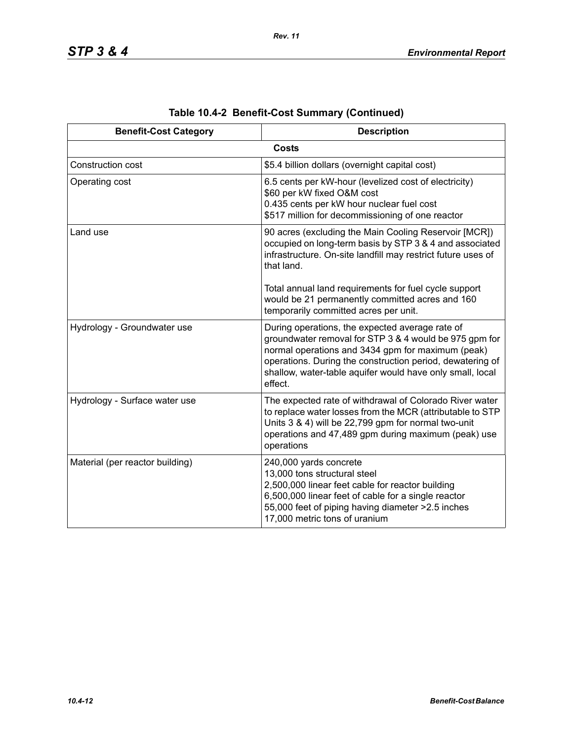| <b>Benefit-Cost Category</b>    | <b>Description</b>                                                                                                                                                                                                                                                                                  |
|---------------------------------|-----------------------------------------------------------------------------------------------------------------------------------------------------------------------------------------------------------------------------------------------------------------------------------------------------|
|                                 | <b>Costs</b>                                                                                                                                                                                                                                                                                        |
| Construction cost               | \$5.4 billion dollars (overnight capital cost)                                                                                                                                                                                                                                                      |
| Operating cost                  | 6.5 cents per kW-hour (levelized cost of electricity)<br>\$60 per kW fixed O&M cost<br>0.435 cents per kW hour nuclear fuel cost<br>\$517 million for decommissioning of one reactor                                                                                                                |
| Land use                        | 90 acres (excluding the Main Cooling Reservoir [MCR])<br>occupied on long-term basis by STP 3 & 4 and associated<br>infrastructure. On-site landfill may restrict future uses of<br>that land.                                                                                                      |
|                                 | Total annual land requirements for fuel cycle support<br>would be 21 permanently committed acres and 160<br>temporarily committed acres per unit.                                                                                                                                                   |
| Hydrology - Groundwater use     | During operations, the expected average rate of<br>groundwater removal for STP 3 & 4 would be 975 gpm for<br>normal operations and 3434 gpm for maximum (peak)<br>operations. During the construction period, dewatering of<br>shallow, water-table aquifer would have only small, local<br>effect. |
| Hydrology - Surface water use   | The expected rate of withdrawal of Colorado River water<br>to replace water losses from the MCR (attributable to STP<br>Units 3 & 4) will be 22,799 gpm for normal two-unit<br>operations and 47,489 gpm during maximum (peak) use<br>operations                                                    |
| Material (per reactor building) | 240,000 yards concrete<br>13,000 tons structural steel<br>2,500,000 linear feet cable for reactor building<br>6,500,000 linear feet of cable for a single reactor<br>55,000 feet of piping having diameter > 2.5 inches<br>17,000 metric tons of uranium                                            |

|  | Table 10.4-2 Benefit-Cost Summary (Continued) |  |  |
|--|-----------------------------------------------|--|--|
|--|-----------------------------------------------|--|--|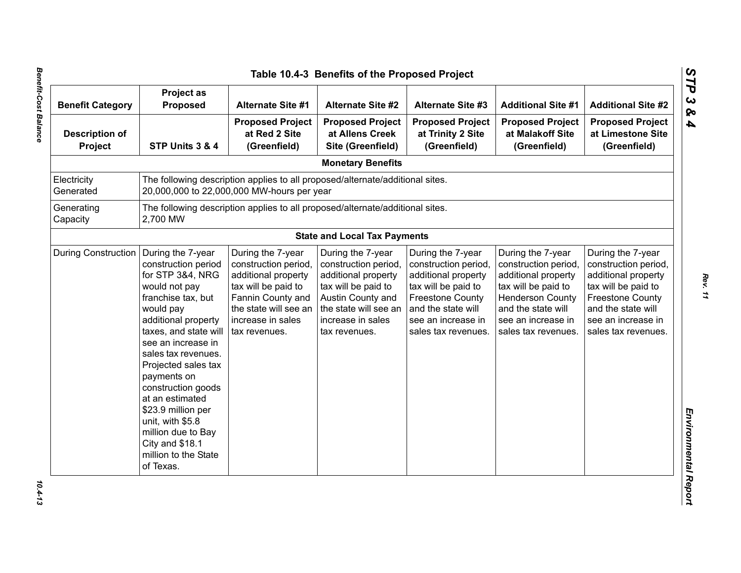| <b>Benefit Category</b>          | Project as<br><b>Proposed</b>                                                                                                                                                                                                                                                                                                                                                                                        | <b>Alternate Site #1</b>                                                                                                                                                    | <b>Alternate Site #2</b>                                                                                                                                                    | <b>Alternate Site #3</b>                                                                                                                                                              | <b>Additional Site #1</b>                                                                                                                                                             | <b>Additional Site #2</b>                                                                                                                                                             |
|----------------------------------|----------------------------------------------------------------------------------------------------------------------------------------------------------------------------------------------------------------------------------------------------------------------------------------------------------------------------------------------------------------------------------------------------------------------|-----------------------------------------------------------------------------------------------------------------------------------------------------------------------------|-----------------------------------------------------------------------------------------------------------------------------------------------------------------------------|---------------------------------------------------------------------------------------------------------------------------------------------------------------------------------------|---------------------------------------------------------------------------------------------------------------------------------------------------------------------------------------|---------------------------------------------------------------------------------------------------------------------------------------------------------------------------------------|
| <b>Description of</b><br>Project | STP Units 3 & 4                                                                                                                                                                                                                                                                                                                                                                                                      | <b>Proposed Project</b><br>at Red 2 Site<br>(Greenfield)                                                                                                                    | <b>Proposed Project</b><br>at Allens Creek<br>Site (Greenfield)                                                                                                             | <b>Proposed Project</b><br>at Trinity 2 Site<br>(Greenfield)                                                                                                                          | <b>Proposed Project</b><br>at Malakoff Site<br>(Greenfield)                                                                                                                           | <b>Proposed Project</b><br>at Limestone Site<br>(Greenfield)                                                                                                                          |
|                                  |                                                                                                                                                                                                                                                                                                                                                                                                                      |                                                                                                                                                                             | <b>Monetary Benefits</b>                                                                                                                                                    |                                                                                                                                                                                       |                                                                                                                                                                                       |                                                                                                                                                                                       |
| Electricity<br>Generated         |                                                                                                                                                                                                                                                                                                                                                                                                                      | The following description applies to all proposed/alternate/additional sites.<br>20,000,000 to 22,000,000 MW-hours per year                                                 |                                                                                                                                                                             |                                                                                                                                                                                       |                                                                                                                                                                                       |                                                                                                                                                                                       |
| Generating<br>Capacity           | 2,700 MW                                                                                                                                                                                                                                                                                                                                                                                                             | The following description applies to all proposed/alternate/additional sites.                                                                                               |                                                                                                                                                                             |                                                                                                                                                                                       |                                                                                                                                                                                       |                                                                                                                                                                                       |
|                                  |                                                                                                                                                                                                                                                                                                                                                                                                                      |                                                                                                                                                                             | <b>State and Local Tax Payments</b>                                                                                                                                         |                                                                                                                                                                                       |                                                                                                                                                                                       |                                                                                                                                                                                       |
| <b>During Construction</b>       | During the 7-year<br>construction period<br>for STP 3&4, NRG<br>would not pay<br>franchise tax, but<br>would pay<br>additional property<br>taxes, and state will<br>see an increase in<br>sales tax revenues.<br>Projected sales tax<br>payments on<br>construction goods<br>at an estimated<br>\$23.9 million per<br>unit, with \$5.8<br>million due to Bay<br>City and \$18.1<br>million to the State<br>of Texas. | During the 7-year<br>construction period,<br>additional property<br>tax will be paid to<br>Fannin County and<br>the state will see an<br>increase in sales<br>tax revenues. | During the 7-year<br>construction period,<br>additional property<br>tax will be paid to<br>Austin County and<br>the state will see an<br>increase in sales<br>tax revenues. | During the 7-year<br>construction period,<br>additional property<br>tax will be paid to<br><b>Freestone County</b><br>and the state will<br>see an increase in<br>sales tax revenues. | During the 7-year<br>construction period,<br>additional property<br>tax will be paid to<br><b>Henderson County</b><br>and the state will<br>see an increase in<br>sales tax revenues. | During the 7-year<br>construction period,<br>additional property<br>tax will be paid to<br><b>Freestone County</b><br>and the state will<br>see an increase in<br>sales tax revenues. |

*STP 3 & 4*

 $10.4 - 13$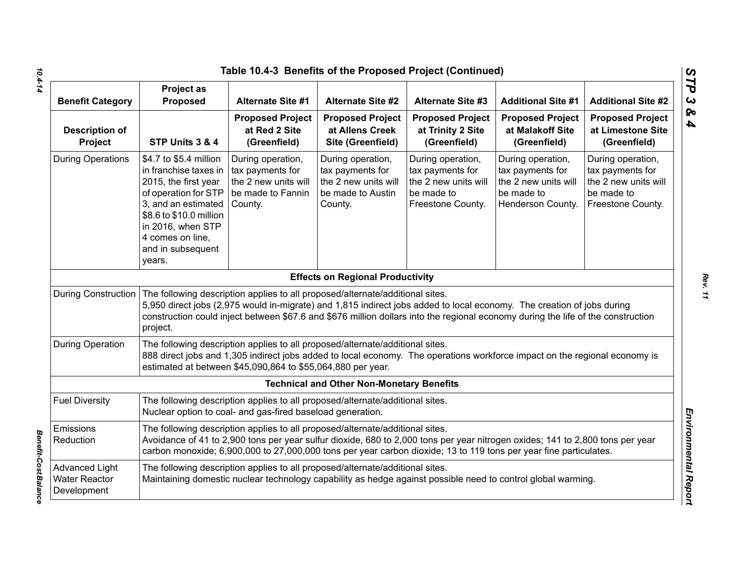|                                                              |                                                                                                                                                                                                                           | Table 10.4-3 Benefits of the Proposed Project (Continued)                                                                                    |                                                                                               |                                                                                                                                                                                                                                                            |                                                                                                  |                                                                                                  |
|--------------------------------------------------------------|---------------------------------------------------------------------------------------------------------------------------------------------------------------------------------------------------------------------------|----------------------------------------------------------------------------------------------------------------------------------------------|-----------------------------------------------------------------------------------------------|------------------------------------------------------------------------------------------------------------------------------------------------------------------------------------------------------------------------------------------------------------|--------------------------------------------------------------------------------------------------|--------------------------------------------------------------------------------------------------|
| <b>Benefit Category</b>                                      | <b>Project as</b><br>Proposed                                                                                                                                                                                             | <b>Alternate Site #1</b>                                                                                                                     | <b>Alternate Site #2</b>                                                                      | <b>Alternate Site #3</b>                                                                                                                                                                                                                                   | <b>Additional Site #1</b>                                                                        | <b>Additional Site #2</b>                                                                        |
| <b>Description of</b><br>Project                             | STP Units 3 & 4                                                                                                                                                                                                           | <b>Proposed Project</b><br>at Red 2 Site<br>(Greenfield)                                                                                     | <b>Proposed Project</b><br>at Allens Creek<br>Site (Greenfield)                               | <b>Proposed Project</b><br>at Trinity 2 Site<br>(Greenfield)                                                                                                                                                                                               | <b>Proposed Project</b><br>at Malakoff Site<br>(Greenfield)                                      | <b>Proposed Project</b><br>at Limestone Site<br>(Greenfield)                                     |
| <b>During Operations</b>                                     | \$4.7 to \$5.4 million<br>in franchise taxes in<br>2015, the first year<br>of operation for STP<br>3, and an estimated<br>\$8.6 to \$10.0 million<br>in 2016, when STP<br>4 comes on line,<br>and in subsequent<br>years. | During operation,<br>tax payments for<br>the 2 new units will<br>be made to Fannin<br>County.                                                | During operation,<br>tax payments for<br>the 2 new units will<br>be made to Austin<br>County. | During operation,<br>tax payments for<br>the 2 new units will<br>be made to<br>Freestone County.                                                                                                                                                           | During operation,<br>tax payments for<br>the 2 new units will<br>be made to<br>Henderson County. | During operation,<br>tax payments for<br>the 2 new units will<br>be made to<br>Freestone County. |
|                                                              |                                                                                                                                                                                                                           |                                                                                                                                              | <b>Effects on Regional Productivity</b>                                                       |                                                                                                                                                                                                                                                            |                                                                                                  |                                                                                                  |
| <b>During Construction</b>                                   | project.                                                                                                                                                                                                                  | The following description applies to all proposed/alternate/additional sites.                                                                |                                                                                               | 5,950 direct jobs (2,975 would in-migrate) and 1,815 indirect jobs added to local economy. The creation of jobs during<br>construction could inject between \$67.6 and \$676 million dollars into the regional economy during the life of the construction |                                                                                                  |                                                                                                  |
| <b>During Operation</b>                                      |                                                                                                                                                                                                                           | The following description applies to all proposed/alternate/additional sites.<br>estimated at between \$45,090,864 to \$55,064,880 per year. |                                                                                               | 888 direct jobs and 1,305 indirect jobs added to local economy. The operations workforce impact on the regional economy is                                                                                                                                 |                                                                                                  |                                                                                                  |
|                                                              |                                                                                                                                                                                                                           |                                                                                                                                              | <b>Technical and Other Non-Monetary Benefits</b>                                              |                                                                                                                                                                                                                                                            |                                                                                                  |                                                                                                  |
| <b>Fuel Diversity</b>                                        |                                                                                                                                                                                                                           | The following description applies to all proposed/alternate/additional sites.<br>Nuclear option to coal- and gas-fired baseload generation.  |                                                                                               |                                                                                                                                                                                                                                                            |                                                                                                  |                                                                                                  |
| Emissions<br>Reduction                                       |                                                                                                                                                                                                                           | The following description applies to all proposed/alternate/additional sites.                                                                |                                                                                               | Avoidance of 41 to 2,900 tons per year sulfur dioxide, 680 to 2,000 tons per year nitrogen oxides; 141 to 2,800 tons per year<br>carbon monoxide; 6,900,000 to 27,000,000 tons per year carbon dioxide; 13 to 119 tons per year fine particulates.         |                                                                                                  |                                                                                                  |
| <b>Advanced Light</b><br><b>Water Reactor</b><br>Development |                                                                                                                                                                                                                           | The following description applies to all proposed/alternate/additional sites.                                                                |                                                                                               | Maintaining domestic nuclear technology capability as hedge against possible need to control global warming.                                                                                                                                               |                                                                                                  |                                                                                                  |

*10.4-14*

*Benefit-Cost Balance* 

**Benefit-Cost Balance** 

*STP 3 & 4*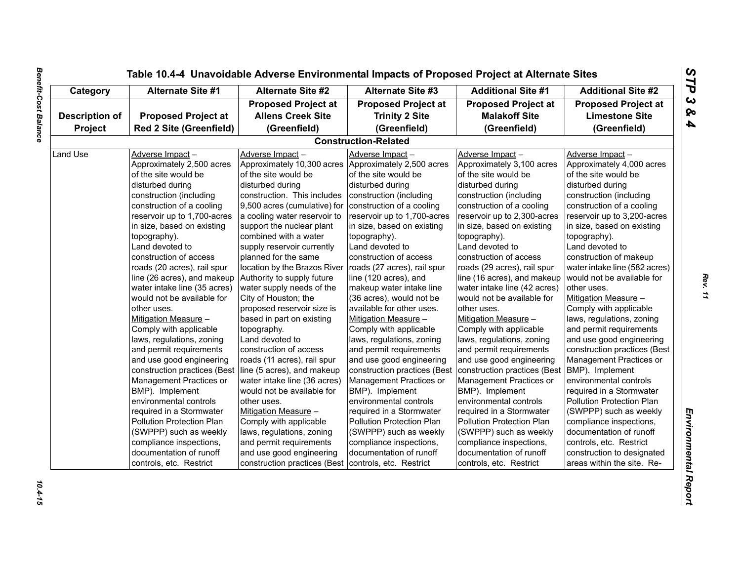| Category              | <b>Alternate Site #1</b>       | <b>Alternate Site #2</b><br><b>Additional Site #1</b><br><b>Alternate Site #3</b> |                              | <b>Additional Site #2</b>    |                               |
|-----------------------|--------------------------------|-----------------------------------------------------------------------------------|------------------------------|------------------------------|-------------------------------|
|                       |                                | <b>Proposed Project at</b>                                                        | <b>Proposed Project at</b>   | <b>Proposed Project at</b>   | <b>Proposed Project at</b>    |
| <b>Description of</b> | <b>Proposed Project at</b>     | <b>Allens Creek Site</b>                                                          | <b>Trinity 2 Site</b>        | <b>Malakoff Site</b>         | <b>Limestone Site</b>         |
| Project               | <b>Red 2 Site (Greenfield)</b> | (Greenfield)                                                                      | (Greenfield)                 | (Greenfield)                 | (Greenfield)                  |
|                       |                                |                                                                                   | <b>Construction-Related</b>  |                              |                               |
| Land Use              | Adverse Impact-                | Adverse Impact-                                                                   | Adverse Impact-              | Adverse Impact-              | Adverse Impact-               |
|                       | Approximately 2,500 acres      | Approximately 10,300 acres                                                        | Approximately 2,500 acres    | Approximately 3,100 acres    | Approximately 4,000 acres     |
|                       | of the site would be           | of the site would be                                                              | of the site would be         | of the site would be         | of the site would be          |
|                       | disturbed during               | disturbed during                                                                  | disturbed during             | disturbed during             | disturbed during              |
|                       | construction (including        | construction. This includes                                                       | construction (including      | construction (including      | construction (including       |
|                       | construction of a cooling      | 9,500 acres (cumulative) for                                                      | construction of a cooling    | construction of a cooling    | construction of a cooling     |
|                       | reservoir up to 1,700-acres    | a cooling water reservoir to                                                      | reservoir up to 1,700-acres  | reservoir up to 2,300-acres  | reservoir up to 3,200-acres   |
|                       | in size, based on existing     | support the nuclear plant                                                         | in size, based on existing   | in size, based on existing   | in size, based on existing    |
|                       | topography).                   | combined with a water                                                             | topography).                 | topography).                 | topography).                  |
|                       | Land devoted to                | supply reservoir currently                                                        | Land devoted to              | Land devoted to              | Land devoted to               |
|                       | construction of access         | planned for the same                                                              | construction of access       | construction of access       | construction of makeup        |
|                       | roads (20 acres), rail spur    | location by the Brazos River                                                      | roads (27 acres), rail spur  | roads (29 acres), rail spur  | water intake line (582 acres) |
|                       | line (26 acres), and makeup    | Authority to supply future                                                        | line (120 acres), and        | line (16 acres), and makeup  | would not be available for    |
|                       | water intake line (35 acres)   | water supply needs of the                                                         | makeup water intake line     | water intake line (42 acres) | other uses.                   |
|                       | would not be available for     | City of Houston; the                                                              | (36 acres), would not be     | would not be available for   | Mitigation Measure -          |
|                       | other uses.                    | proposed reservoir size is                                                        | available for other uses.    | other uses.                  | Comply with applicable        |
|                       | Mitigation Measure -           | based in part on existing                                                         | Mitigation Measure -         | Mitigation Measure -         | laws, regulations, zoning     |
|                       | Comply with applicable         | topography.                                                                       | Comply with applicable       | Comply with applicable       | and permit requirements       |
|                       | laws, regulations, zoning      | Land devoted to                                                                   | laws, regulations, zoning    | laws, regulations, zoning    | and use good engineering      |
|                       | and permit requirements        | construction of access                                                            | and permit requirements      | and permit requirements      | construction practices (Best  |
|                       | and use good engineering       | roads (11 acres), rail spur                                                       | and use good engineering     | and use good engineering     | Management Practices or       |
|                       | construction practices (Best   | line (5 acres), and makeup                                                        | construction practices (Best | construction practices (Best | BMP). Implement               |
|                       | Management Practices or        | water intake line (36 acres)                                                      | Management Practices or      | Management Practices or      | environmental controls        |
|                       | BMP). Implement                | would not be available for                                                        | BMP). Implement              | BMP). Implement              | required in a Stormwater      |
|                       | environmental controls         | other uses.                                                                       | environmental controls       | environmental controls       | Pollution Protection Plan     |
|                       | required in a Stormwater       | Mitigation Measure -                                                              | required in a Stormwater     | required in a Stormwater     | (SWPPP) such as weekly        |
|                       | Pollution Protection Plan      | Comply with applicable                                                            | Pollution Protection Plan    | Pollution Protection Plan    | compliance inspections,       |
|                       | (SWPPP) such as weekly         | laws, regulations, zoning                                                         | (SWPPP) such as weekly       | (SWPPP) such as weekly       | documentation of runoff       |
|                       | compliance inspections,        | and permit requirements                                                           | compliance inspections,      | compliance inspections,      | controls, etc. Restrict       |
|                       | documentation of runoff        | and use good engineering                                                          | documentation of runoff      | documentation of runoff      | construction to designated    |
|                       | controls, etc. Restrict        | construction practices (Best                                                      | controls, etc. Restrict      | controls, etc. Restrict      | areas within the site. Re-    |

# **Benefit-Cost Balance** *Benefit-Cost Balance 10.4-15*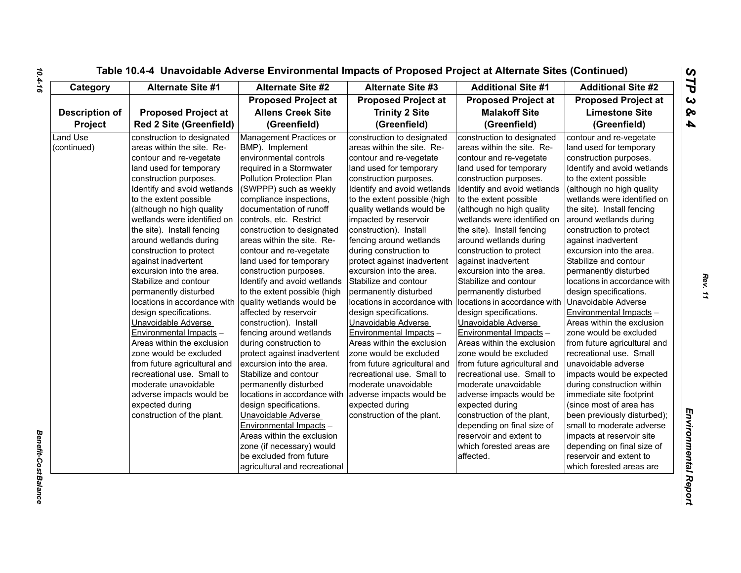| Category                       | <b>Alternate Site #1</b>                                                                                                                                                                                                                                                                                                                                                                                                                                                                                                                                          | <b>Alternate Site #2</b>                                                                                                                                                                                                                                                                                                                                                                                                                                                                                                                                       | Alternate Site #3                                                                                                                                                                                                                                                                                                                                                                                                                                                                                                                                                     | <b>Additional Site #1</b>                                                                                                                                                                                                                                                                                                                                                                                                                                                                                                                                         | <b>Additional Site #2</b>                                                                                                                                                                                                                                                                                                                                                                                                                                                                                                                                            |
|--------------------------------|-------------------------------------------------------------------------------------------------------------------------------------------------------------------------------------------------------------------------------------------------------------------------------------------------------------------------------------------------------------------------------------------------------------------------------------------------------------------------------------------------------------------------------------------------------------------|----------------------------------------------------------------------------------------------------------------------------------------------------------------------------------------------------------------------------------------------------------------------------------------------------------------------------------------------------------------------------------------------------------------------------------------------------------------------------------------------------------------------------------------------------------------|-----------------------------------------------------------------------------------------------------------------------------------------------------------------------------------------------------------------------------------------------------------------------------------------------------------------------------------------------------------------------------------------------------------------------------------------------------------------------------------------------------------------------------------------------------------------------|-------------------------------------------------------------------------------------------------------------------------------------------------------------------------------------------------------------------------------------------------------------------------------------------------------------------------------------------------------------------------------------------------------------------------------------------------------------------------------------------------------------------------------------------------------------------|----------------------------------------------------------------------------------------------------------------------------------------------------------------------------------------------------------------------------------------------------------------------------------------------------------------------------------------------------------------------------------------------------------------------------------------------------------------------------------------------------------------------------------------------------------------------|
|                                |                                                                                                                                                                                                                                                                                                                                                                                                                                                                                                                                                                   | <b>Proposed Project at</b>                                                                                                                                                                                                                                                                                                                                                                                                                                                                                                                                     | <b>Proposed Project at</b>                                                                                                                                                                                                                                                                                                                                                                                                                                                                                                                                            | <b>Proposed Project at</b>                                                                                                                                                                                                                                                                                                                                                                                                                                                                                                                                        | <b>Proposed Project at</b>                                                                                                                                                                                                                                                                                                                                                                                                                                                                                                                                           |
| <b>Description of</b>          | <b>Proposed Project at</b>                                                                                                                                                                                                                                                                                                                                                                                                                                                                                                                                        | <b>Allens Creek Site</b>                                                                                                                                                                                                                                                                                                                                                                                                                                                                                                                                       | <b>Trinity 2 Site</b>                                                                                                                                                                                                                                                                                                                                                                                                                                                                                                                                                 | <b>Malakoff Site</b>                                                                                                                                                                                                                                                                                                                                                                                                                                                                                                                                              | <b>Limestone Site</b>                                                                                                                                                                                                                                                                                                                                                                                                                                                                                                                                                |
| Project                        | <b>Red 2 Site (Greenfield)</b>                                                                                                                                                                                                                                                                                                                                                                                                                                                                                                                                    | (Greenfield)                                                                                                                                                                                                                                                                                                                                                                                                                                                                                                                                                   | (Greenfield)                                                                                                                                                                                                                                                                                                                                                                                                                                                                                                                                                          | (Greenfield)                                                                                                                                                                                                                                                                                                                                                                                                                                                                                                                                                      | (Greenfield)                                                                                                                                                                                                                                                                                                                                                                                                                                                                                                                                                         |
| <b>Land Use</b><br>(continued) | construction to designated<br>areas within the site. Re-<br>contour and re-vegetate<br>land used for temporary<br>construction purposes.<br>Identify and avoid wetlands<br>to the extent possible<br>(although no high quality<br>wetlands were identified on<br>the site). Install fencing<br>around wetlands during<br>construction to protect<br>against inadvertent<br>excursion into the area.<br>Stabilize and contour<br>permanently disturbed<br>locations in accordance with<br>design specifications.<br>Unavoidable Adverse<br>Environmental Impacts - | Management Practices or<br>BMP). Implement<br>environmental controls<br>required in a Stormwater<br>Pollution Protection Plan<br>(SWPPP) such as weekly<br>compliance inspections,<br>documentation of runoff<br>controls, etc. Restrict<br>construction to designated<br>areas within the site. Re-<br>contour and re-vegetate<br>land used for temporary<br>construction purposes.<br>Identify and avoid wetlands<br>to the extent possible (high<br>quality wetlands would be<br>affected by reservoir<br>construction). Install<br>fencing around wetlands | construction to designated<br>areas within the site. Re-<br>contour and re-vegetate<br>land used for temporary<br>construction purposes.<br>Identify and avoid wetlands<br>to the extent possible (high<br>quality wetlands would be<br>impacted by reservoir<br>construction). Install<br>fencing around wetlands<br>during construction to<br>protect against inadvertent<br>excursion into the area.<br>Stabilize and contour<br>permanently disturbed<br>locations in accordance with<br>design specifications.<br>Unavoidable Adverse<br>Environmental Impacts - | construction to designated<br>areas within the site. Re-<br>contour and re-vegetate<br>land used for temporary<br>construction purposes.<br>Identify and avoid wetlands<br>to the extent possible<br>(although no high quality<br>wetlands were identified on<br>the site). Install fencing<br>around wetlands during<br>construction to protect<br>against inadvertent<br>excursion into the area.<br>Stabilize and contour<br>permanently disturbed<br>locations in accordance with<br>design specifications.<br>Unavoidable Adverse<br>Environmental Impacts - | contour and re-vegetate<br>land used for temporary<br>construction purposes.<br>Identify and avoid wetlands<br>to the extent possible<br>(although no high quality<br>wetlands were identified on<br>the site). Install fencing<br>around wetlands during<br>construction to protect<br>against inadvertent<br>excursion into the area.<br>Stabilize and contour<br>permanently disturbed<br>locations in accordance with<br>design specifications.<br>Unavoidable Adverse<br><b>Environmental Impacts -</b><br>Areas within the exclusion<br>zone would be excluded |
|                                | Areas within the exclusion<br>zone would be excluded<br>from future agricultural and<br>recreational use. Small to<br>moderate unavoidable<br>adverse impacts would be<br>expected during<br>construction of the plant.                                                                                                                                                                                                                                                                                                                                           | during construction to<br>protect against inadvertent<br>excursion into the area.<br>Stabilize and contour<br>permanently disturbed<br>locations in accordance with<br>design specifications.<br>Unavoidable Adverse<br>Environmental Impacts -<br>Areas within the exclusion<br>zone (if necessary) would<br>be excluded from future<br>agricultural and recreational                                                                                                                                                                                         | Areas within the exclusion<br>zone would be excluded<br>from future agricultural and<br>recreational use. Small to<br>moderate unavoidable<br>adverse impacts would be<br>expected during<br>construction of the plant.                                                                                                                                                                                                                                                                                                                                               | Areas within the exclusion<br>zone would be excluded<br>from future agricultural and<br>recreational use. Small to<br>moderate unavoidable<br>adverse impacts would be<br>expected during<br>construction of the plant,<br>depending on final size of<br>reservoir and extent to<br>which forested areas are<br>affected.                                                                                                                                                                                                                                         | from future agricultural and<br>recreational use. Small<br>unavoidable adverse<br>impacts would be expected<br>during construction within<br>immediate site footprint<br>(since most of area has<br>been previously disturbed);<br>small to moderate adverse<br>impacts at reservoir site<br>depending on final size of<br>reservoir and extent to<br>which forested areas are                                                                                                                                                                                       |

*Benefit-Cost Balance* 

**Benefit-Cost Balance**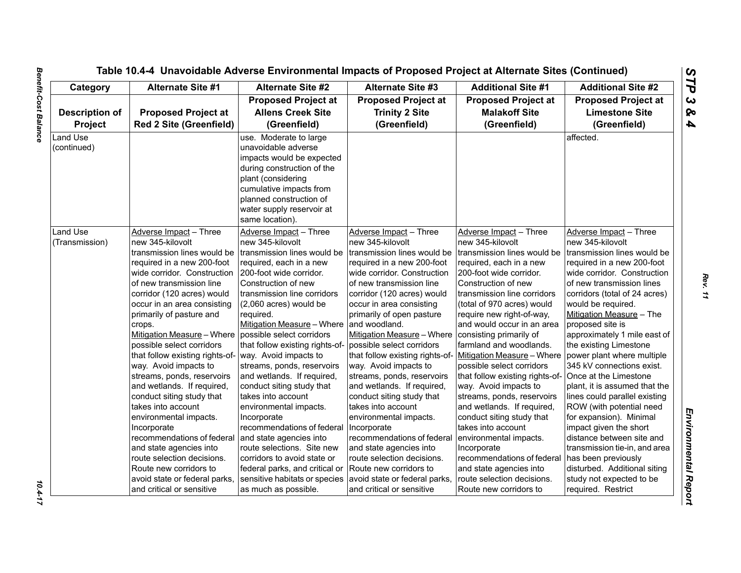| Category              | <b>Alternate Site #1</b>                                                          | <b>Alternate Site #2</b>        | <b>Alternate Site #3</b>                                     | <b>Additional Site #1</b>                          | <b>Additional Site #2</b>                            |
|-----------------------|-----------------------------------------------------------------------------------|---------------------------------|--------------------------------------------------------------|----------------------------------------------------|------------------------------------------------------|
|                       | <b>Proposed Project at</b>                                                        |                                 | <b>Proposed Project at</b>                                   | <b>Proposed Project at</b>                         | <b>Proposed Project at</b>                           |
| <b>Description of</b> | <b>Proposed Project at</b>                                                        | <b>Allens Creek Site</b>        | <b>Trinity 2 Site</b>                                        | <b>Malakoff Site</b>                               | <b>Limestone Site</b>                                |
| Project               | <b>Red 2 Site (Greenfield)</b>                                                    | (Greenfield)                    | (Greenfield)                                                 | (Greenfield)                                       | (Greenfield)                                         |
| Land Use              |                                                                                   | use. Moderate to large          |                                                              |                                                    | affected.                                            |
| (continued)           |                                                                                   | unavoidable adverse             |                                                              |                                                    |                                                      |
|                       |                                                                                   | impacts would be expected       |                                                              |                                                    |                                                      |
|                       |                                                                                   | during construction of the      |                                                              |                                                    |                                                      |
|                       |                                                                                   | plant (considering              |                                                              |                                                    |                                                      |
|                       |                                                                                   | cumulative impacts from         |                                                              |                                                    |                                                      |
|                       |                                                                                   | planned construction of         |                                                              |                                                    |                                                      |
|                       |                                                                                   | water supply reservoir at       |                                                              |                                                    |                                                      |
|                       |                                                                                   | same location).                 |                                                              |                                                    |                                                      |
| Land Use              | Adverse Impact - Three                                                            | Adverse Impact - Three          | Adverse Impact - Three                                       | Adverse Impact - Three                             | Adverse Impact - Three                               |
| (Transmission)        | new 345-kilovolt                                                                  | new 345-kilovolt                | new 345-kilovolt                                             | new 345-kilovolt                                   | new 345-kilovolt                                     |
|                       | transmission lines would be                                                       | transmission lines would be     | transmission lines would be                                  | transmission lines would be                        | transmission lines would be                          |
|                       | required in a new 200-foot                                                        | required, each in a new         | required in a new 200-foot                                   | required, each in a new                            | required in a new 200-foot                           |
|                       | wide corridor. Construction                                                       | 200-foot wide corridor.         | wide corridor. Construction                                  | 200-foot wide corridor.                            | wide corridor. Construction                          |
|                       | of new transmission line                                                          | Construction of new             | of new transmission line                                     | Construction of new                                | of new transmission lines                            |
|                       | corridor (120 acres) would                                                        | transmission line corridors     | corridor (120 acres) would                                   | transmission line corridors                        | corridors (total of 24 acres)                        |
|                       | occur in an area consisting                                                       | (2,060 acres) would be          | occur in area consisting                                     | (total of 970 acres) would                         | would be required.                                   |
|                       | primarily of pasture and                                                          | required.                       | primarily of open pasture                                    | require new right-of-way,                          | Mitigation Measure - The                             |
|                       | crops.                                                                            | Mitigation Measure - Where      | and woodland.                                                | and would occur in an area                         | proposed site is                                     |
|                       | Mitigation Measure – Where possible select corridors<br>possible select corridors | that follow existing rights-of- | Mitigation Measure - Where                                   | consisting primarily of<br>farmland and woodlands. | approximately 1 mile east of                         |
|                       | that follow existing rights-of-                                                   | way. Avoid impacts to           | possible select corridors<br>that follow existing rights-of- | Mitigation Measure - Where                         | the existing Limestone<br>power plant where multiple |
|                       | way. Avoid impacts to                                                             | streams, ponds, reservoirs      | way. Avoid impacts to                                        | possible select corridors                          | 345 kV connections exist.                            |
|                       | streams, ponds, reservoirs                                                        | and wetlands. If required,      | streams, ponds, reservoirs                                   | that follow existing rights-of-                    | Once at the Limestone                                |
|                       | and wetlands. If required,                                                        | conduct siting study that       | and wetlands. If required,                                   | way. Avoid impacts to                              | plant, it is assumed that the                        |
|                       | conduct siting study that                                                         | takes into account              | conduct siting study that                                    | streams, ponds, reservoirs                         | lines could parallel existing                        |
|                       | takes into account                                                                | environmental impacts.          | takes into account                                           | and wetlands. If required,                         | ROW (with potential need                             |
|                       | environmental impacts.                                                            | Incorporate                     | environmental impacts.                                       | conduct siting study that                          | for expansion). Minimal                              |
|                       | Incorporate                                                                       | recommendations of federal      | Incorporate                                                  | takes into account                                 | impact given the short                               |
|                       | recommendations of federal                                                        | and state agencies into         | recommendations of federal                                   | environmental impacts.                             | distance between site and                            |
|                       | and state agencies into                                                           | route selections. Site new      | and state agencies into                                      | Incorporate                                        | transmission tie-in, and area                        |
|                       | route selection decisions.                                                        | corridors to avoid state or     | route selection decisions.                                   | recommendations of federal                         | has been previously                                  |
|                       | Route new corridors to                                                            | federal parks, and critical or  | Route new corridors to                                       | and state agencies into                            | disturbed. Additional siting                         |
|                       | avoid state or federal parks,                                                     | sensitive habitats or species   | avoid state or federal parks,                                | route selection decisions.                         | study not expected to be                             |
|                       | and critical or sensitive                                                         | as much as possible.            | and critical or sensitive                                    | Route new corridors to                             | required. Restrict                                   |

 $10.4 - 17$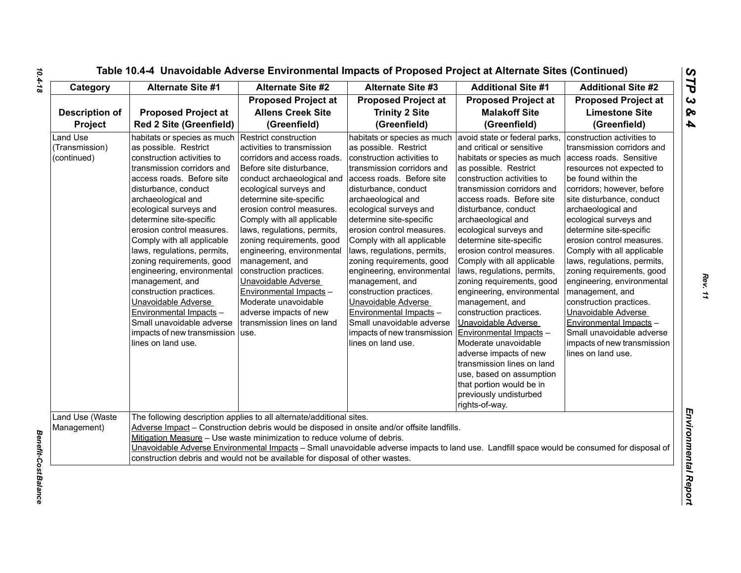| Table 10.4-4 Unavoidable Adverse Environmental Impacts of Proposed Project at Alternate Sites (Continued) |  |  |  |
|-----------------------------------------------------------------------------------------------------------|--|--|--|
|-----------------------------------------------------------------------------------------------------------|--|--|--|

| Category                                         | <b>Alternate Site #1</b>                                                                                                                                                                                                                                                                                                                                                                                                                                                                                                                                                                       | <b>Alternate Site #2</b>                                                                                                                                                                                                                                                                                                                                                                                                                                                                                                               | <b>Alternate Site #3</b>                                                                                                                                                                                                                                                                                                                                                                                                                                                                                                                                                                | <b>Additional Site #1</b>                                                                                                                                                                                                                                                                                                                                                                                                                                                                                                                                                                                                                                                                                                                               | <b>Additional Site #2</b>                                                                                                                                                                                                                                                                                                                                                                                                                                                                                                                                                                                            |
|--------------------------------------------------|------------------------------------------------------------------------------------------------------------------------------------------------------------------------------------------------------------------------------------------------------------------------------------------------------------------------------------------------------------------------------------------------------------------------------------------------------------------------------------------------------------------------------------------------------------------------------------------------|----------------------------------------------------------------------------------------------------------------------------------------------------------------------------------------------------------------------------------------------------------------------------------------------------------------------------------------------------------------------------------------------------------------------------------------------------------------------------------------------------------------------------------------|-----------------------------------------------------------------------------------------------------------------------------------------------------------------------------------------------------------------------------------------------------------------------------------------------------------------------------------------------------------------------------------------------------------------------------------------------------------------------------------------------------------------------------------------------------------------------------------------|---------------------------------------------------------------------------------------------------------------------------------------------------------------------------------------------------------------------------------------------------------------------------------------------------------------------------------------------------------------------------------------------------------------------------------------------------------------------------------------------------------------------------------------------------------------------------------------------------------------------------------------------------------------------------------------------------------------------------------------------------------|----------------------------------------------------------------------------------------------------------------------------------------------------------------------------------------------------------------------------------------------------------------------------------------------------------------------------------------------------------------------------------------------------------------------------------------------------------------------------------------------------------------------------------------------------------------------------------------------------------------------|
| <b>Description of</b><br>Project                 | <b>Proposed Project at</b><br><b>Red 2 Site (Greenfield)</b>                                                                                                                                                                                                                                                                                                                                                                                                                                                                                                                                   | <b>Proposed Project at</b><br><b>Allens Creek Site</b><br>(Greenfield)                                                                                                                                                                                                                                                                                                                                                                                                                                                                 | <b>Proposed Project at</b><br><b>Trinity 2 Site</b><br>(Greenfield)                                                                                                                                                                                                                                                                                                                                                                                                                                                                                                                     | <b>Proposed Project at</b><br><b>Malakoff Site</b><br>(Greenfield)                                                                                                                                                                                                                                                                                                                                                                                                                                                                                                                                                                                                                                                                                      | <b>Proposed Project at</b><br><b>Limestone Site</b><br>(Greenfield)                                                                                                                                                                                                                                                                                                                                                                                                                                                                                                                                                  |
| <b>Land Use</b><br>(Transmission)<br>(continued) | habitats or species as much<br>as possible. Restrict<br>construction activities to<br>transmission corridors and<br>access roads. Before site<br>disturbance, conduct<br>archaeological and<br>ecological surveys and<br>determine site-specific<br>erosion control measures.<br>Comply with all applicable<br>laws, regulations, permits,<br>zoning requirements, good<br>engineering, environmental<br>management, and<br>construction practices.<br>Unavoidable Adverse<br>Environmental Impacts -<br>Small unavoidable adverse<br>impacts of new transmission   use.<br>lines on land use. | Restrict construction<br>activities to transmission<br>corridors and access roads.<br>Before site disturbance,<br>conduct archaeological and<br>ecological surveys and<br>determine site-specific<br>erosion control measures.<br>Comply with all applicable<br>laws, regulations, permits,<br>zoning requirements, good<br>engineering, environmental<br>management, and<br>construction practices.<br>Unavoidable Adverse<br>Environmental Impacts -<br>Moderate unavoidable<br>adverse impacts of new<br>transmission lines on land | habitats or species as much<br>as possible. Restrict<br>construction activities to<br>transmission corridors and<br>access roads. Before site<br>disturbance, conduct<br>archaeological and<br>ecological surveys and<br>determine site-specific<br>erosion control measures.<br>Comply with all applicable<br>laws, regulations, permits,<br>zoning requirements, good<br>engineering, environmental<br>management, and<br>construction practices.<br>Unavoidable Adverse<br>Environmental Impacts -<br>Small unavoidable adverse<br>impacts of new transmission<br>lines on land use. | avoid state or federal parks,<br>and critical or sensitive<br>habitats or species as much<br>as possible. Restrict<br>construction activities to<br>transmission corridors and<br>access roads. Before site<br>disturbance, conduct<br>archaeological and<br>ecological surveys and<br>determine site-specific<br>erosion control measures.<br>Comply with all applicable<br>laws, regulations, permits,<br>zoning requirements, good<br>engineering, environmental<br>management, and<br>construction practices.<br>Unavoidable Adverse<br>Environmental Impacts -<br>Moderate unavoidable<br>adverse impacts of new<br>transmission lines on land<br>use, based on assumption<br>that portion would be in<br>previously undisturbed<br>rights-of-way. | construction activities to<br>transmission corridors and<br>access roads. Sensitive<br>resources not expected to<br>be found within the<br>corridors; however, before<br>site disturbance, conduct<br>archaeological and<br>ecological surveys and<br>determine site-specific<br>erosion control measures.<br>Comply with all applicable<br>laws, regulations, permits,<br>zoning requirements, good<br>engineering, environmental<br>management, and<br>construction practices.<br>Unavoidable Adverse<br>Environmental Impacts -<br>Small unavoidable adverse<br>impacts of new transmission<br>lines on land use. |
| Land Use (Waste<br>Management)                   |                                                                                                                                                                                                                                                                                                                                                                                                                                                                                                                                                                                                | The following description applies to all alternate/additional sites.<br>Mitigation Measure - Use waste minimization to reduce volume of debris.<br>construction debris and would not be available for disposal of other wastes.                                                                                                                                                                                                                                                                                                        | Adverse Impact - Construction debris would be disposed in onsite and/or offsite landfills.<br>Unavoidable Adverse Environmental Impacts - Small unavoidable adverse impacts to land use. Landfill space would be consumed for disposal of                                                                                                                                                                                                                                                                                                                                               |                                                                                                                                                                                                                                                                                                                                                                                                                                                                                                                                                                                                                                                                                                                                                         |                                                                                                                                                                                                                                                                                                                                                                                                                                                                                                                                                                                                                      |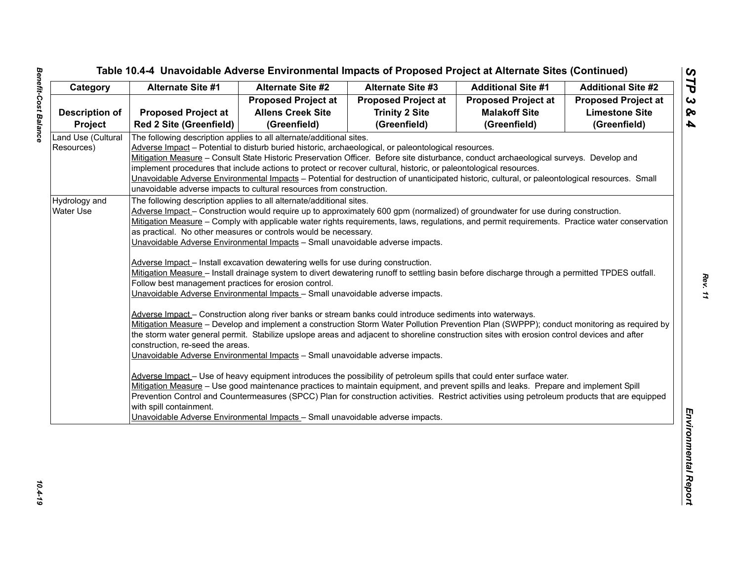| <b>Proposed Project at</b><br><b>Proposed Project at</b><br><b>Proposed Project at</b><br><b>Proposed Project at</b><br><b>Allens Creek Site</b><br><b>Trinity 2 Site</b><br><b>Limestone Site</b><br><b>Proposed Project at</b><br><b>Malakoff Site</b><br><b>Description of</b><br><b>Red 2 Site (Greenfield)</b><br>(Greenfield)<br>(Greenfield)<br>(Greenfield)<br>(Greenfield)<br><b>Project</b><br>Land Use (Cultural<br>The following description applies to all alternate/additional sites.<br>Adverse Impact - Potential to disturb buried historic, archaeological, or paleontological resources.<br>Resources)<br>Mitigation Measure – Consult State Historic Preservation Officer. Before site disturbance, conduct archaeological surveys. Develop and<br>implement procedures that include actions to protect or recover cultural, historic, or paleontological resources.<br>Unavoidable Adverse Environmental Impacts - Potential for destruction of unanticipated historic, cultural, or paleontological resources. Small<br>unavoidable adverse impacts to cultural resources from construction.<br>Hydrology and<br>The following description applies to all alternate/additional sites.<br>Adverse Impact - Construction would require up to approximately 600 gpm (normalized) of groundwater for use during construction.<br>Water Use<br>Mitigation Measure - Comply with applicable water rights requirements, laws, regulations, and permit requirements. Practice water conservation<br>as practical. No other measures or controls would be necessary.<br>Unavoidable Adverse Environmental Impacts - Small unavoidable adverse impacts.<br>Adverse Impact - Install excavation dewatering wells for use during construction.<br>Mitigation Measure - Install drainage system to divert dewatering runoff to settling basin before discharge through a permitted TPDES outfall.<br>Follow best management practices for erosion control.<br>Unavoidable Adverse Environmental Impacts - Small unavoidable adverse impacts.<br>Adverse Impact - Construction along river banks or stream banks could introduce sediments into waterways.<br>Mitigation Measure - Develop and implement a construction Storm Water Pollution Prevention Plan (SWPPP); conduct monitoring as required by<br>the storm water general permit. Stabilize upslope areas and adjacent to shoreline construction sites with erosion control devices and after<br>construction, re-seed the areas. | Category | <b>Alternate Site #1</b> | <b>Alternate Site #2</b> | <b>Alternate Site #3</b> | <b>Additional Site #1</b> | <b>Additional Site #2</b> |
|-----------------------------------------------------------------------------------------------------------------------------------------------------------------------------------------------------------------------------------------------------------------------------------------------------------------------------------------------------------------------------------------------------------------------------------------------------------------------------------------------------------------------------------------------------------------------------------------------------------------------------------------------------------------------------------------------------------------------------------------------------------------------------------------------------------------------------------------------------------------------------------------------------------------------------------------------------------------------------------------------------------------------------------------------------------------------------------------------------------------------------------------------------------------------------------------------------------------------------------------------------------------------------------------------------------------------------------------------------------------------------------------------------------------------------------------------------------------------------------------------------------------------------------------------------------------------------------------------------------------------------------------------------------------------------------------------------------------------------------------------------------------------------------------------------------------------------------------------------------------------------------------------------------------------------------------------------------------------------------------------------------------------------------------------------------------------------------------------------------------------------------------------------------------------------------------------------------------------------------------------------------------------------------------------------------------------------------------------------------------------------------------------------------------------------------------------------------------------------------------------------|----------|--------------------------|--------------------------|--------------------------|---------------------------|---------------------------|
|                                                                                                                                                                                                                                                                                                                                                                                                                                                                                                                                                                                                                                                                                                                                                                                                                                                                                                                                                                                                                                                                                                                                                                                                                                                                                                                                                                                                                                                                                                                                                                                                                                                                                                                                                                                                                                                                                                                                                                                                                                                                                                                                                                                                                                                                                                                                                                                                                                                                                                     |          |                          |                          |                          |                           |                           |
|                                                                                                                                                                                                                                                                                                                                                                                                                                                                                                                                                                                                                                                                                                                                                                                                                                                                                                                                                                                                                                                                                                                                                                                                                                                                                                                                                                                                                                                                                                                                                                                                                                                                                                                                                                                                                                                                                                                                                                                                                                                                                                                                                                                                                                                                                                                                                                                                                                                                                                     |          |                          |                          |                          |                           |                           |
|                                                                                                                                                                                                                                                                                                                                                                                                                                                                                                                                                                                                                                                                                                                                                                                                                                                                                                                                                                                                                                                                                                                                                                                                                                                                                                                                                                                                                                                                                                                                                                                                                                                                                                                                                                                                                                                                                                                                                                                                                                                                                                                                                                                                                                                                                                                                                                                                                                                                                                     |          |                          |                          |                          |                           |                           |
|                                                                                                                                                                                                                                                                                                                                                                                                                                                                                                                                                                                                                                                                                                                                                                                                                                                                                                                                                                                                                                                                                                                                                                                                                                                                                                                                                                                                                                                                                                                                                                                                                                                                                                                                                                                                                                                                                                                                                                                                                                                                                                                                                                                                                                                                                                                                                                                                                                                                                                     |          |                          |                          |                          |                           |                           |
|                                                                                                                                                                                                                                                                                                                                                                                                                                                                                                                                                                                                                                                                                                                                                                                                                                                                                                                                                                                                                                                                                                                                                                                                                                                                                                                                                                                                                                                                                                                                                                                                                                                                                                                                                                                                                                                                                                                                                                                                                                                                                                                                                                                                                                                                                                                                                                                                                                                                                                     |          |                          |                          |                          |                           |                           |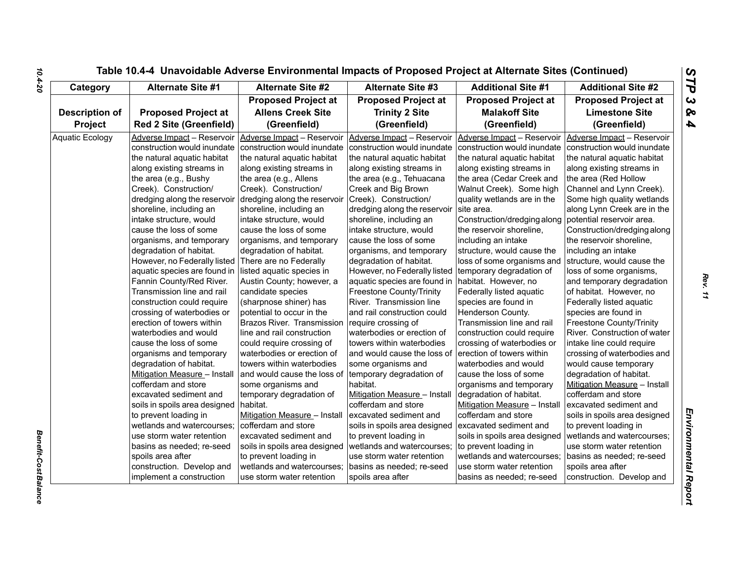| Category               | <b>Alternate Site #1</b>       | <b>Alternate Site #2</b>      | <b>Alternate Site #3</b>                          | <b>Additional Site #1</b>     | <b>Additional Site #2</b>     |
|------------------------|--------------------------------|-------------------------------|---------------------------------------------------|-------------------------------|-------------------------------|
|                        |                                | <b>Proposed Project at</b>    | <b>Proposed Project at</b>                        | <b>Proposed Project at</b>    | <b>Proposed Project at</b>    |
| <b>Description of</b>  | <b>Proposed Project at</b>     | <b>Allens Creek Site</b>      | <b>Trinity 2 Site</b>                             | <b>Malakoff Site</b>          | <b>Limestone Site</b>         |
| Project                | <b>Red 2 Site (Greenfield)</b> | (Greenfield)                  | (Greenfield)                                      | (Greenfield)                  | (Greenfield)                  |
| <b>Aquatic Ecology</b> | Adverse Impact - Reservoir     | Adverse Impact - Reservoir    | Adverse Impact - Reservoir                        | Adverse Impact - Reservoir    | Adverse Impact - Reservoir    |
|                        | construction would inundate    | construction would inundate   | construction would inundate                       | construction would inundate   | construction would inundate   |
|                        | the natural aquatic habitat    | the natural aquatic habitat   | the natural aquatic habitat                       | the natural aquatic habitat   | the natural aquatic habitat   |
|                        | along existing streams in      | along existing streams in     | along existing streams in                         | along existing streams in     | along existing streams in     |
|                        | the area (e.g., Bushy          | the area (e.g., Allens        | the area (e.g., Tehuacana                         | the area (Cedar Creek and     | the area (Red Hollow          |
|                        | Creek). Construction/          | Creek). Construction/         | Creek and Big Brown                               | Walnut Creek). Some high      | Channel and Lynn Creek).      |
|                        | dredging along the reservoir   | dredging along the reservoir  | Creek). Construction/                             | quality wetlands are in the   | Some high quality wetlands    |
|                        | shoreline, including an        | shoreline, including an       | dredging along the reservoir                      | site area.                    | along Lynn Creek are in the   |
|                        | intake structure, would        | intake structure, would       | shoreline, including an                           | Construction/dredging along   | potential reservoir area.     |
|                        | cause the loss of some         | cause the loss of some        | intake structure, would                           | the reservoir shoreline,      | Construction/dredging along   |
|                        | organisms, and temporary       | organisms, and temporary      | cause the loss of some                            | including an intake           | the reservoir shoreline,      |
|                        | degradation of habitat.        | degradation of habitat.       | organisms, and temporary                          | structure, would cause the    | including an intake           |
|                        | However, no Federally listed   | There are no Federally        | degradation of habitat.                           | loss of some organisms and    | structure, would cause the    |
|                        | aquatic species are found in   | listed aquatic species in     | However, no Federally listed                      | temporary degradation of      | loss of some organisms,       |
|                        | Fannin County/Red River.       | Austin County; however, a     | aquatic species are found in habitat. However, no |                               | and temporary degradation     |
|                        | Transmission line and rail     | candidate species             | <b>Freestone County/Trinity</b>                   | Federally listed aquatic      | of habitat. However, no       |
|                        | construction could require     | (sharpnose shiner) has        | River. Transmission line                          | species are found in          | Federally listed aquatic      |
|                        | crossing of waterbodies or     | potential to occur in the     | and rail construction could                       | Henderson County.             | species are found in          |
|                        | erection of towers within      | Brazos River. Transmission    | require crossing of                               | Transmission line and rail    | Freestone County/Trinity      |
|                        | waterbodies and would          | line and rail construction    | waterbodies or erection of                        | construction could require    | River. Construction of water  |
|                        | cause the loss of some         | could require crossing of     | towers within waterbodies                         | crossing of waterbodies or    | intake line could require     |
|                        | organisms and temporary        | waterbodies or erection of    | and would cause the loss of                       | erection of towers within     | crossing of waterbodies and   |
|                        | degradation of habitat.        | towers within waterbodies     | some organisms and                                | waterbodies and would         | would cause temporary         |
|                        | Mitigation Measure - Install   | and would cause the loss of   | temporary degradation of                          | cause the loss of some        | degradation of habitat.       |
|                        | cofferdam and store            | some organisms and            | habitat.                                          | organisms and temporary       | Mitigation Measure - Install  |
|                        | excavated sediment and         | temporary degradation of      | Mitigation Measure - Install                      | degradation of habitat.       | cofferdam and store           |
|                        | soils in spoils area designed  | habitat.                      | cofferdam and store                               | Mitigation Measure - Install  | excavated sediment and        |
|                        | to prevent loading in          | Mitigation Measure - Install  | excavated sediment and                            | cofferdam and store           | soils in spoils area designed |
|                        | wetlands and watercourses;     | cofferdam and store           | soils in spoils area designed                     | excavated sediment and        | to prevent loading in         |
|                        | use storm water retention      | excavated sediment and        | to prevent loading in                             | soils in spoils area designed | wetlands and watercourses;    |
|                        | basins as needed; re-seed      | soils in spoils area designed | wetlands and watercourses;                        | to prevent loading in         | use storm water retention     |
|                        | spoils area after              | to prevent loading in         | use storm water retention                         | wetlands and watercourses;    | basins as needed; re-seed     |
|                        | construction. Develop and      | wetlands and watercourses;    | basins as needed; re-seed                         | use storm water retention     | spoils area after             |
|                        | implement a construction       | use storm water retention     | spoils area after                                 | basins as needed; re-seed     | construction. Develop and     |

*Benefit-Cost Balance* 

**Benefit-Cost Balance**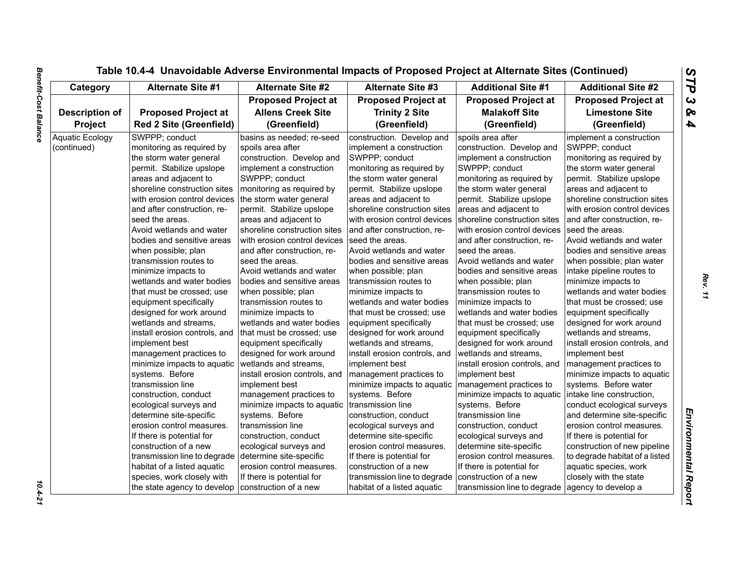| Category               | <b>Alternate Site #1</b>       | <b>Alternate Site #2</b>      | <b>Alternate Site #3</b>      | <b>Additional Site #1</b>     | <b>Additional Site #2</b>      |
|------------------------|--------------------------------|-------------------------------|-------------------------------|-------------------------------|--------------------------------|
|                        |                                | <b>Proposed Project at</b>    | <b>Proposed Project at</b>    | <b>Proposed Project at</b>    | <b>Proposed Project at</b>     |
| Description of         | <b>Proposed Project at</b>     | <b>Allens Creek Site</b>      | <b>Trinity 2 Site</b>         | <b>Malakoff Site</b>          | <b>Limestone Site</b>          |
| Project                | <b>Red 2 Site (Greenfield)</b> | (Greenfield)                  | (Greenfield)                  | (Greenfield)                  | (Greenfield)                   |
| <b>Aquatic Ecology</b> | SWPPP; conduct                 | basins as needed; re-seed     | construction. Develop and     | spoils area after             | implement a construction       |
| (continued)            | monitoring as required by      | spoils area after             | implement a construction      | construction. Develop and     | SWPPP; conduct                 |
|                        | the storm water general        | construction. Develop and     | SWPPP; conduct                | implement a construction      | monitoring as required by      |
|                        | permit. Stabilize upslope      | implement a construction      | monitoring as required by     | SWPPP; conduct                | the storm water general        |
|                        | areas and adjacent to          | SWPPP; conduct                | the storm water general       | monitoring as required by     | permit. Stabilize upslope      |
|                        | shoreline construction sites   | monitoring as required by     | permit. Stabilize upslope     | the storm water general       | areas and adjacent to          |
|                        | with erosion control devices   | the storm water general       | areas and adjacent to         | permit. Stabilize upslope     | shoreline construction sites   |
|                        | and after construction, re-    | permit. Stabilize upslope     | shoreline construction sites  | areas and adjacent to         | with erosion control devices   |
|                        | seed the areas.                | areas and adjacent to         | with erosion control devices  | shoreline construction sites  | and after construction, re-    |
|                        | Avoid wetlands and water       | shoreline construction sites  | and after construction, re-   | with erosion control devices  | seed the areas.                |
|                        | bodies and sensitive areas     | with erosion control devices  | seed the areas.               | and after construction, re-   | Avoid wetlands and water       |
|                        | when possible; plan            | and after construction, re-   | Avoid wetlands and water      | seed the areas.               | bodies and sensitive areas     |
|                        | transmission routes to         | seed the areas.               | bodies and sensitive areas    | Avoid wetlands and water      | when possible; plan water      |
|                        | minimize impacts to            | Avoid wetlands and water      | when possible; plan           | bodies and sensitive areas    | intake pipeline routes to      |
|                        | wetlands and water bodies      | bodies and sensitive areas    | transmission routes to        | when possible; plan           | minimize impacts to            |
|                        | that must be crossed; use      | when possible; plan           | minimize impacts to           | transmission routes to        | wetlands and water bodies      |
|                        | equipment specifically         | Itransmission routes to       | wetlands and water bodies     | minimize impacts to           | that must be crossed: use      |
|                        | designed for work around       | minimize impacts to           | that must be crossed; use     | wetlands and water bodies     | equipment specifically         |
|                        | wetlands and streams,          | wetlands and water bodies     | equipment specifically        | that must be crossed; use     | designed for work around       |
|                        | install erosion controls, and  | that must be crossed; use     | designed for work around      | equipment specifically        | wetlands and streams,          |
|                        | implement best                 | equipment specifically        | wetlands and streams.         | designed for work around      | install erosion controls, and  |
|                        | management practices to        | designed for work around      | install erosion controls, and | wetlands and streams,         | implement best                 |
|                        | minimize impacts to aquatic    | wetlands and streams,         | implement best                | install erosion controls, and | management practices to        |
|                        | systems. Before                | install erosion controls, and | management practices to       | implement best                | minimize impacts to aquatic    |
|                        | transmission line              | implement best                | minimize impacts to aquatic   | management practices to       | systems. Before water          |
|                        | construction, conduct          | management practices to       | systems. Before               | minimize impacts to aquatic   | intake line construction,      |
|                        | ecological surveys and         | minimize impacts to aquatic   | transmission line             | systems. Before               | conduct ecological surveys     |
|                        | determine site-specific        | systems. Before               | construction, conduct         | transmission line             | and determine site-specific    |
|                        | erosion control measures.      | transmission line             | ecological surveys and        | construction, conduct         | erosion control measures.      |
|                        | If there is potential for      | construction, conduct         | determine site-specific       | ecological surveys and        | If there is potential for      |
|                        | construction of a new          | ecological surveys and        | erosion control measures.     | determine site-specific       | construction of new pipeline   |
|                        | transmission line to degrade   | determine site-specific       | If there is potential for     | erosion control measures.     | to degrade habitat of a listed |
|                        | habitat of a listed aquatic    | erosion control measures.     | construction of a new         | If there is potential for     | aquatic species, work          |
|                        | species, work closely with     | If there is potential for     | transmission line to degrade  | construction of a new         | closely with the state         |
|                        | the state agency to develop    | construction of a new         | habitat of a listed aquatic   | transmission line to degrade  | agency to develop a            |

 $10.4 - 21$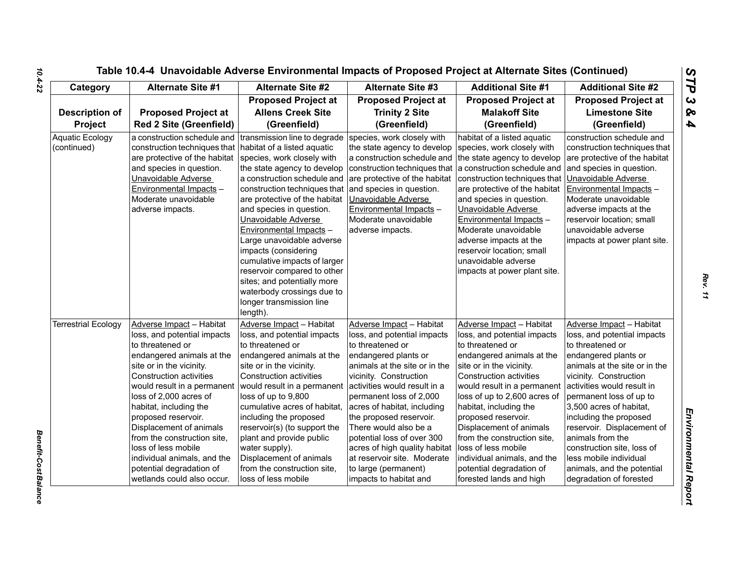| Category                              | <b>Alternate Site #1</b>                                                                                                                                                                                                                                                                                                                                                                                                                                   | <b>Alternate Site #2</b>                                                                                                                                                                                                                                                                                                                                                                                                                       | <b>Alternate Site #3</b>                                                                                                                                                                                                                                                                                                                                                                                                                                     | <b>Additional Site #1</b>                                                                                                                                                                                                                                                                                                                                                                                                                                     | <b>Additional Site #2</b>                                                                                                                                                                                                                                                                                                                                                                                                                       |
|---------------------------------------|------------------------------------------------------------------------------------------------------------------------------------------------------------------------------------------------------------------------------------------------------------------------------------------------------------------------------------------------------------------------------------------------------------------------------------------------------------|------------------------------------------------------------------------------------------------------------------------------------------------------------------------------------------------------------------------------------------------------------------------------------------------------------------------------------------------------------------------------------------------------------------------------------------------|--------------------------------------------------------------------------------------------------------------------------------------------------------------------------------------------------------------------------------------------------------------------------------------------------------------------------------------------------------------------------------------------------------------------------------------------------------------|---------------------------------------------------------------------------------------------------------------------------------------------------------------------------------------------------------------------------------------------------------------------------------------------------------------------------------------------------------------------------------------------------------------------------------------------------------------|-------------------------------------------------------------------------------------------------------------------------------------------------------------------------------------------------------------------------------------------------------------------------------------------------------------------------------------------------------------------------------------------------------------------------------------------------|
| <b>Description of</b><br>Project      | <b>Proposed Project at</b><br><b>Red 2 Site (Greenfield)</b>                                                                                                                                                                                                                                                                                                                                                                                               | <b>Proposed Project at</b><br><b>Allens Creek Site</b><br>(Greenfield)                                                                                                                                                                                                                                                                                                                                                                         | <b>Proposed Project at</b><br><b>Trinity 2 Site</b><br>(Greenfield)                                                                                                                                                                                                                                                                                                                                                                                          | <b>Proposed Project at</b><br><b>Malakoff Site</b><br>(Greenfield)                                                                                                                                                                                                                                                                                                                                                                                            | <b>Proposed Project at</b><br><b>Limestone Site</b><br>(Greenfield)                                                                                                                                                                                                                                                                                                                                                                             |
| <b>Aquatic Ecology</b><br>(continued) | a construction schedule and transmission line to degrade<br>construction techniques that   habitat of a listed aquatic<br>are protective of the habitat species, work closely with<br>and species in question.<br>Unavoidable Adverse<br>Environmental Impacts -<br>Moderate unavoidable<br>adverse impacts.                                                                                                                                               | the state agency to develop<br>a construction schedule and<br>construction techniques that<br>are protective of the habitat<br>and species in question.<br>Unavoidable Adverse<br>Environmental Impacts -<br>Large unavoidable adverse<br>impacts (considering<br>cumulative impacts of larger<br>reservoir compared to other<br>sites; and potentially more<br>waterbody crossings due to<br>longer transmission line<br>length).             | species, work closely with<br>the state agency to develop<br>a construction schedule and the state agency to develop<br>construction techniques that a construction schedule and<br>are protective of the habitat<br>and species in question.<br>Unavoidable Adverse<br>Environmental Impacts -<br>Moderate unavoidable<br>adverse impacts.                                                                                                                  | habitat of a listed aquatic<br>species, work closely with<br>construction techniques that<br>are protective of the habitat<br>and species in question.<br>Unavoidable Adverse<br>Environmental Impacts -<br>Moderate unavoidable<br>adverse impacts at the<br>reservoir location; small<br>unavoidable adverse<br>impacts at power plant site.                                                                                                                | construction schedule and<br>construction techniques that<br>are protective of the habitat<br>and species in question.<br>Unavoidable Adverse<br>Environmental Impacts -<br>Moderate unavoidable<br>adverse impacts at the<br>reservoir location; small<br>unavoidable adverse<br>impacts at power plant site.                                                                                                                                  |
| <b>Terrestrial Ecology</b>            | Adverse Impact - Habitat<br>loss, and potential impacts<br>to threatened or<br>endangered animals at the<br>site or in the vicinity.<br><b>Construction activities</b><br>would result in a permanent<br>loss of 2,000 acres of<br>habitat, including the<br>proposed reservoir.<br>Displacement of animals<br>from the construction site,<br>loss of less mobile<br>individual animals, and the<br>potential degradation of<br>wetlands could also occur. | Adverse Impact - Habitat<br>loss, and potential impacts<br>to threatened or<br>endangered animals at the<br>site or in the vicinity.<br>Construction activities<br>would result in a permanent<br>loss of up to 9,800<br>cumulative acres of habitat,<br>including the proposed<br>reservoir(s) (to support the<br>plant and provide public<br>water supply).<br>Displacement of animals<br>from the construction site,<br>loss of less mobile | Adverse Impact - Habitat<br>loss, and potential impacts<br>to threatened or<br>endangered plants or<br>animals at the site or in the<br>vicinity. Construction<br>activities would result in a<br>permanent loss of 2,000<br>acres of habitat, including<br>the proposed reservoir.<br>There would also be a<br>potential loss of over 300<br>acres of high quality habitat<br>at reservoir site. Moderate<br>to large (permanent)<br>impacts to habitat and | Adverse Impact - Habitat<br>loss, and potential impacts<br>to threatened or<br>endangered animals at the<br>site or in the vicinity.<br><b>Construction activities</b><br>would result in a permanent<br>loss of up to 2,600 acres of<br>habitat, including the<br>proposed reservoir.<br>Displacement of animals<br>from the construction site,<br>loss of less mobile<br>individual animals, and the<br>potential degradation of<br>forested lands and high | Adverse Impact - Habitat<br>loss, and potential impacts<br>to threatened or<br>endangered plants or<br>animals at the site or in the<br>vicinity. Construction<br>activities would result in<br>permanent loss of up to<br>3,500 acres of habitat,<br>including the proposed<br>reservoir. Displacement of<br>animals from the<br>construction site, loss of<br>less mobile individual<br>animals, and the potential<br>degradation of forested |

*Benefit-Cost Balance* 

Benefit-Cost Balance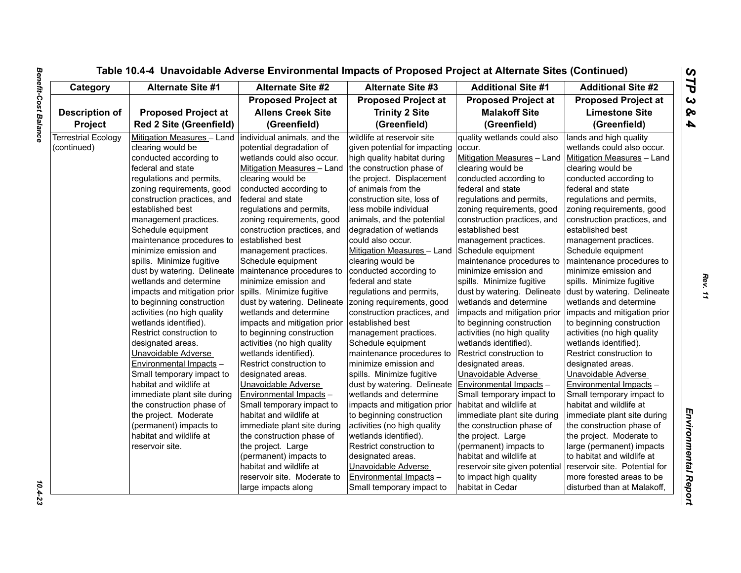| Category                   | Alternate Site #1                                        | <b>Alternate Site #2</b>       | <b>Alternate Site #3</b>      | <b>Additional Site #1</b>      | <b>Additional Site #2</b>     |
|----------------------------|----------------------------------------------------------|--------------------------------|-------------------------------|--------------------------------|-------------------------------|
|                            |                                                          | <b>Proposed Project at</b>     | <b>Proposed Project at</b>    | <b>Proposed Project at</b>     | <b>Proposed Project at</b>    |
| <b>Description of</b>      | <b>Proposed Project at</b>                               | <b>Allens Creek Site</b>       | <b>Trinity 2 Site</b>         | <b>Malakoff Site</b>           | <b>Limestone Site</b>         |
| <b>Project</b>             | <b>Red 2 Site (Greenfield)</b>                           | (Greenfield)                   | (Greenfield)                  | (Greenfield)                   | (Greenfield)                  |
| <b>Terrestrial Ecology</b> | Mitigation Measures - Land   individual animals, and the |                                | wildlife at reservoir site    | quality wetlands could also    | lands and high quality        |
| (continued)                | clearing would be                                        | potential degradation of       | given potential for impacting | occur.                         | wetlands could also occur.    |
|                            | conducted according to                                   | wetlands could also occur.     | high quality habitat during   | Mitigation Measures - Land     | Mitigation Measures - Land    |
|                            | federal and state                                        | Mitigation Measures - Land     | the construction phase of     | clearing would be              | clearing would be             |
|                            | regulations and permits,                                 | clearing would be              | the project. Displacement     | conducted according to         | conducted according to        |
|                            | zoning requirements, good                                | conducted according to         | of animals from the           | federal and state              | federal and state             |
|                            | construction practices, and                              | federal and state              | construction site, loss of    | regulations and permits,       | regulations and permits,      |
|                            | established best                                         | regulations and permits,       | less mobile individual        | zoning requirements, good      | zoning requirements, good     |
|                            | management practices.                                    | zoning requirements, good      | animals, and the potential    | construction practices, and    | construction practices, and   |
|                            | Schedule equipment                                       | construction practices, and    | degradation of wetlands       | established best               | established best              |
|                            | maintenance procedures to                                | established best               | could also occur.             | management practices.          | management practices.         |
|                            | minimize emission and                                    | management practices.          | Mitigation Measures - Land    | Schedule equipment             | Schedule equipment            |
|                            | spills. Minimize fugitive                                | Schedule equipment             | clearing would be             | maintenance procedures to      | maintenance procedures to     |
|                            | dust by watering. Delineate                              | maintenance procedures to      | conducted according to        | minimize emission and          | minimize emission and         |
|                            | wetlands and determine                                   | minimize emission and          | federal and state             | spills. Minimize fugitive      | spills. Minimize fugitive     |
|                            | impacts and mitigation prior                             | spills. Minimize fugitive      | regulations and permits,      | dust by watering. Delineate    | dust by watering. Delineate   |
|                            | to beginning construction                                | dust by watering. Delineate    | zoning requirements, good     | wetlands and determine         | wetlands and determine        |
|                            | activities (no high quality                              | wetlands and determine         | construction practices, and   | impacts and mitigation prior   | impacts and mitigation prior  |
|                            | wetlands identified).                                    | impacts and mitigation prior   | established best              | to beginning construction      | to beginning construction     |
|                            | Restrict construction to                                 | to beginning construction      | management practices.         | activities (no high quality    | activities (no high quality   |
|                            | designated areas.                                        | activities (no high quality    | Schedule equipment            | wetlands identified).          | wetlands identified).         |
|                            | Unavoidable Adverse                                      | wetlands identified).          | maintenance procedures to     | Restrict construction to       | Restrict construction to      |
|                            | Environmental Impacts -                                  | Restrict construction to       | minimize emission and         | designated areas.              | designated areas.             |
|                            | Small temporary impact to                                | designated areas.              | spills. Minimize fugitive     | Unavoidable Adverse            | Unavoidable Adverse           |
|                            | habitat and wildlife at                                  | Unavoidable Adverse            | dust by watering. Delineate   | Environmental Impacts -        | Environmental Impacts -       |
|                            | immediate plant site during                              | <b>Environmental Impacts -</b> | wetlands and determine        | Small temporary impact to      | Small temporary impact to     |
|                            | the construction phase of                                | Small temporary impact to      | impacts and mitigation prior  | habitat and wildlife at        | habitat and wildlife at       |
|                            | the project. Moderate                                    | habitat and wildlife at        | to beginning construction     | immediate plant site during    | immediate plant site during   |
|                            | (permanent) impacts to                                   | immediate plant site during    | activities (no high quality   | the construction phase of      | the construction phase of     |
|                            | habitat and wildlife at                                  | the construction phase of      | wetlands identified).         | the project. Large             | the project. Moderate to      |
|                            | reservoir site.                                          | the project. Large             | Restrict construction to      | (permanent) impacts to         |                               |
|                            |                                                          |                                |                               |                                | large (permanent) impacts     |
|                            |                                                          | (permanent) impacts to         | designated areas.             | habitat and wildlife at        | to habitat and wildlife at    |
|                            |                                                          | habitat and wildlife at        | Unavoidable Adverse           | reservoir site given potential | reservoir site. Potential for |
|                            |                                                          | reservoir site. Moderate to    | Environmental Impacts -       | to impact high quality         | more forested areas to be     |
|                            |                                                          | large impacts along            | Small temporary impact to     | habitat in Cedar               | disturbed than at Malakoff,   |

 $10.4 - 23$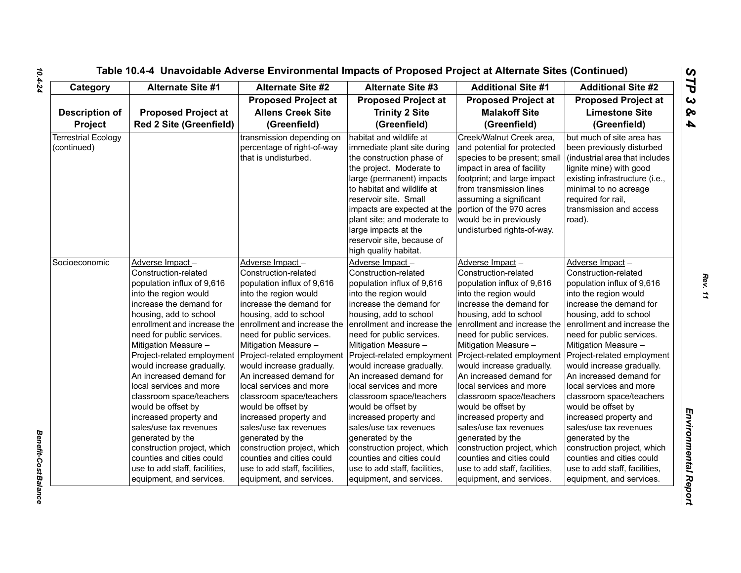| Socioeconomic | Adverse Impa<br>Construction-<br>population inf<br>into the regio<br>increase the o<br>housing, add<br>enrollment ar<br>need for publ<br><b>Mitigation Me</b><br>Project-relate<br>would increas<br>An increased<br>local services<br>classroom sp<br>would be offs<br>increased pro<br>sales/use tax<br>generated by<br>construction (<br>counties and<br>use to add sta<br>equipment, a |
|---------------|-------------------------------------------------------------------------------------------------------------------------------------------------------------------------------------------------------------------------------------------------------------------------------------------------------------------------------------------------------------------------------------------|

| Category                                  | <b>Alternate Site #1</b>                                                                                                                                                                                                                                                                                                                                                                                                                                                                                                                                                        | <b>Alternate Site #2</b>                                                                                                                                                                                                                                                                                                                                                                                                                                                                                                                                                         | <b>Alternate Site #3</b>                                                                                                                                                                                                                                                                                                                                                                                                                                                                                                                                                        | <b>Additional Site #1</b>                                                                                                                                                                                                                                                                                                                                                                                                                                                                                                                                                       | <b>Additional Site #2</b>                                                                                                                                                                                                                                                                                                                                                                                                                                                                                                                                                       |
|-------------------------------------------|---------------------------------------------------------------------------------------------------------------------------------------------------------------------------------------------------------------------------------------------------------------------------------------------------------------------------------------------------------------------------------------------------------------------------------------------------------------------------------------------------------------------------------------------------------------------------------|----------------------------------------------------------------------------------------------------------------------------------------------------------------------------------------------------------------------------------------------------------------------------------------------------------------------------------------------------------------------------------------------------------------------------------------------------------------------------------------------------------------------------------------------------------------------------------|---------------------------------------------------------------------------------------------------------------------------------------------------------------------------------------------------------------------------------------------------------------------------------------------------------------------------------------------------------------------------------------------------------------------------------------------------------------------------------------------------------------------------------------------------------------------------------|---------------------------------------------------------------------------------------------------------------------------------------------------------------------------------------------------------------------------------------------------------------------------------------------------------------------------------------------------------------------------------------------------------------------------------------------------------------------------------------------------------------------------------------------------------------------------------|---------------------------------------------------------------------------------------------------------------------------------------------------------------------------------------------------------------------------------------------------------------------------------------------------------------------------------------------------------------------------------------------------------------------------------------------------------------------------------------------------------------------------------------------------------------------------------|
|                                           |                                                                                                                                                                                                                                                                                                                                                                                                                                                                                                                                                                                 | <b>Proposed Project at</b>                                                                                                                                                                                                                                                                                                                                                                                                                                                                                                                                                       | <b>Proposed Project at</b>                                                                                                                                                                                                                                                                                                                                                                                                                                                                                                                                                      | <b>Proposed Project at</b>                                                                                                                                                                                                                                                                                                                                                                                                                                                                                                                                                      | <b>Proposed Project at</b>                                                                                                                                                                                                                                                                                                                                                                                                                                                                                                                                                      |
| <b>Description of</b><br>Project          | <b>Proposed Project at</b><br><b>Red 2 Site (Greenfield)</b>                                                                                                                                                                                                                                                                                                                                                                                                                                                                                                                    | <b>Allens Creek Site</b><br>(Greenfield)                                                                                                                                                                                                                                                                                                                                                                                                                                                                                                                                         | <b>Trinity 2 Site</b><br>(Greenfield)                                                                                                                                                                                                                                                                                                                                                                                                                                                                                                                                           | <b>Malakoff Site</b><br>(Greenfield)                                                                                                                                                                                                                                                                                                                                                                                                                                                                                                                                            | <b>Limestone Site</b><br>(Greenfield)                                                                                                                                                                                                                                                                                                                                                                                                                                                                                                                                           |
| <b>Terrestrial Ecology</b><br>(continued) |                                                                                                                                                                                                                                                                                                                                                                                                                                                                                                                                                                                 | transmission depending on<br>percentage of right-of-way<br>that is undisturbed.                                                                                                                                                                                                                                                                                                                                                                                                                                                                                                  | habitat and wildlife at<br>immediate plant site during<br>the construction phase of<br>the project. Moderate to<br>large (permanent) impacts<br>to habitat and wildlife at<br>reservoir site. Small<br>impacts are expected at the<br>plant site; and moderate to<br>large impacts at the<br>reservoir site, because of<br>high quality habitat.                                                                                                                                                                                                                                | Creek/Walnut Creek area,<br>and potential for protected<br>species to be present; small<br>impact in area of facility<br>footprint; and large impact<br>from transmission lines<br>assuming a significant<br>portion of the 970 acres<br>would be in previously<br>undisturbed rights-of-way.                                                                                                                                                                                                                                                                                   | but much of site area has<br>been previously disturbed<br>(industrial area that includes<br>lignite mine) with good<br>existing infrastructure (i.e.,<br>minimal to no acreage<br>required for rail,<br>transmission and access<br>road).                                                                                                                                                                                                                                                                                                                                       |
| Socioeconomic                             | Adverse Impact-<br>Construction-related<br>population influx of 9,616<br>into the region would<br>increase the demand for<br>housing, add to school<br>enrollment and increase the<br>need for public services.<br>Mitigation Measure -<br>Project-related employment<br>would increase gradually.<br>An increased demand for<br>local services and more<br>classroom space/teachers<br>would be offset by<br>increased property and<br>sales/use tax revenues<br>generated by the<br>construction project, which<br>counties and cities could<br>use to add staff, facilities, | Adverse Impact-<br>Construction-related<br>population influx of 9,616<br>into the region would<br>increase the demand for<br>housing, add to school<br>enrollment and increase the<br>need for public services.<br>Mitigation Measure -<br>Project-related employment<br>would increase gradually.<br>An increased demand for<br>llocal services and more<br>classroom space/teachers<br>would be offset by<br>increased property and<br>sales/use tax revenues<br>generated by the<br>construction project, which<br>counties and cities could<br>use to add staff, facilities, | Adverse Impact-<br>Construction-related<br>population influx of 9,616<br>into the region would<br>increase the demand for<br>housing, add to school<br>enrollment and increase the<br>need for public services.<br>Mitigation Measure -<br>Project-related employment<br>would increase gradually.<br>An increased demand for<br>local services and more<br>classroom space/teachers<br>would be offset by<br>increased property and<br>sales/use tax revenues<br>generated by the<br>construction project, which<br>counties and cities could<br>use to add staff, facilities, | Adverse Impact-<br>Construction-related<br>population influx of 9,616<br>into the region would<br>increase the demand for<br>housing, add to school<br>enrollment and increase the<br>need for public services.<br>Mitigation Measure -<br>Project-related employment<br>would increase gradually.<br>An increased demand for<br>local services and more<br>classroom space/teachers<br>would be offset by<br>increased property and<br>sales/use tax revenues<br>generated by the<br>construction project, which<br>counties and cities could<br>use to add staff, facilities, | Adverse Impact-<br>Construction-related<br>population influx of 9,616<br>into the region would<br>increase the demand for<br>housing, add to school<br>enrollment and increase the<br>need for public services.<br>Mitigation Measure -<br>Project-related employment<br>would increase gradually.<br>An increased demand for<br>local services and more<br>classroom space/teachers<br>would be offset by<br>increased property and<br>sales/use tax revenues<br>generated by the<br>construction project, which<br>counties and cities could<br>use to add staff, facilities, |

*10.4-24*

*Benefit-Cost Balance* 

Benefit-Cost Balance

*Rev. 11*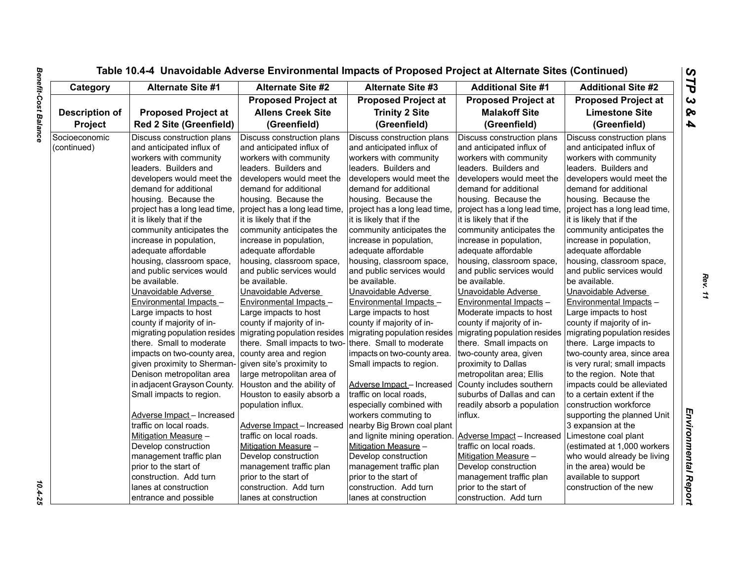|                       |                                |                               | Table 10.4-4 Unavoidable Adverse Environmental Impacts of Proposed Project at Alternate Sites (Continued) |                               |                               |
|-----------------------|--------------------------------|-------------------------------|-----------------------------------------------------------------------------------------------------------|-------------------------------|-------------------------------|
| Category              | Alternate Site #1              | <b>Alternate Site #2</b>      | <b>Alternate Site #3</b>                                                                                  | <b>Additional Site #1</b>     | <b>Additional Site #2</b>     |
|                       |                                | <b>Proposed Project at</b>    | <b>Proposed Project at</b>                                                                                | <b>Proposed Project at</b>    | <b>Proposed Project at</b>    |
| <b>Description of</b> | <b>Proposed Project at</b>     | <b>Allens Creek Site</b>      | <b>Trinity 2 Site</b>                                                                                     | <b>Malakoff Site</b>          | <b>Limestone Site</b>         |
| Project               | <b>Red 2 Site (Greenfield)</b> | (Greenfield)                  | (Greenfield)                                                                                              | (Greenfield)                  | (Greenfield)                  |
| Socioeconomic         | Discuss construction plans     | Discuss construction plans    | Discuss construction plans                                                                                | Discuss construction plans    | Discuss construction plans    |
| (continued)           | and anticipated influx of      | and anticipated influx of     | and anticipated influx of                                                                                 | and anticipated influx of     | and anticipated influx of     |
|                       | workers with community         | workers with community        | workers with community                                                                                    | workers with community        | workers with community        |
|                       | leaders. Builders and          | leaders. Builders and         | leaders. Builders and                                                                                     | leaders. Builders and         | leaders. Builders and         |
|                       | developers would meet the      | developers would meet the     | developers would meet the                                                                                 | developers would meet the     | developers would meet the     |
|                       | demand for additional          | demand for additional         | demand for additional                                                                                     | demand for additional         | demand for additional         |
|                       | housing. Because the           | housing. Because the          | housing. Because the                                                                                      | housing. Because the          | housing. Because the          |
|                       | project has a long lead time,  | project has a long lead time, | project has a long lead time,                                                                             | project has a long lead time, | project has a long lead time, |
|                       | it is likely that if the       | it is likely that if the      | it is likely that if the                                                                                  | it is likely that if the      | it is likely that if the      |
|                       | community anticipates the      | community anticipates the     | community anticipates the                                                                                 | community anticipates the     | community anticipates the     |
|                       | increase in population,        | increase in population,       | increase in population,                                                                                   | increase in population,       | increase in population,       |
|                       | adequate affordable            | adequate affordable           | adequate affordable                                                                                       | adequate affordable           | adequate affordable           |
|                       | housing, classroom space,      | housing, classroom space,     | housing, classroom space,                                                                                 | housing, classroom space,     | housing, classroom space,     |
|                       | and public services would      | and public services would     | and public services would                                                                                 | and public services would     | and public services would     |
|                       | be available.                  | be available.                 | be available.                                                                                             | be available.                 | be available.                 |
|                       | Unavoidable Adverse            | Unavoidable Adverse           | Unavoidable Adverse                                                                                       | Unavoidable Adverse           | Unavoidable Adverse           |
|                       | Environmental Impacts -        | Environmental Impacts -       | Environmental Impacts -                                                                                   | Environmental Impacts -       | Environmental Impacts -       |
|                       | Large impacts to host          | Large impacts to host         | Large impacts to host                                                                                     | Moderate impacts to host      | Large impacts to host         |
|                       | county if majority of in-      | county if majority of in-     | county if majority of in-                                                                                 | county if majority of in-     | county if majority of in-     |
|                       | migrating population resides   | migrating population resides  | migrating population resides                                                                              | migrating population resides  | migrating population resides  |
|                       | there. Small to moderate       | there. Small impacts to two-  | there. Small to moderate                                                                                  | there. Small impacts on       | there. Large impacts to       |
|                       | impacts on two-county area,    | county area and region        | impacts on two-county area.                                                                               | two-county area, given        | two-county area, since area   |
|                       | given proximity to Sherman-    | given site's proximity to     | Small impacts to region.                                                                                  | proximity to Dallas           | is very rural; small impacts  |
|                       | Denison metropolitan area      | large metropolitan area of    |                                                                                                           | metropolitan area; Ellis      | to the region. Note that      |
|                       | in adjacent Grayson County.    | Houston and the ability of    | Adverse Impact-Increased                                                                                  | County includes southern      | impacts could be alleviated   |
|                       | Small impacts to region.       | Houston to easily absorb a    | traffic on local roads,                                                                                   | suburbs of Dallas and can     | to a certain extent if the    |
|                       |                                | population influx.            | especially combined with                                                                                  | readily absorb a population   | construction workforce        |
|                       | Adverse Impact - Increased     |                               | workers commuting to                                                                                      | influx.                       | supporting the planned Unit   |
|                       | traffic on local roads.        | Adverse Impact - Increased    | nearby Big Brown coal plant                                                                               |                               | 3 expansion at the            |
|                       | Mitigation Measure -           | traffic on local roads.       | and lignite mining operation.                                                                             | Adverse Impact - Increased    | Limestone coal plant          |
|                       | Develop construction           | Mitigation Measure -          | Mitigation Measure -                                                                                      | traffic on local roads.       | (estimated at 1,000 workers   |
|                       | management traffic plan        | Develop construction          | Develop construction                                                                                      | Mitigation Measure -          | who would already be living   |
|                       | prior to the start of          | management traffic plan       | management traffic plan                                                                                   | Develop construction          | in the area) would be         |
|                       | construction. Add turn         | prior to the start of         | prior to the start of                                                                                     | management traffic plan       | available to support          |
|                       | lanes at construction          | construction. Add turn        | construction. Add turn                                                                                    | prior to the start of         | construction of the new       |
|                       | entrance and possible          | lanes at construction         | lanes at construction                                                                                     | construction. Add turn        |                               |

 $\frac{10.4 - 25}{10.4 - 25}$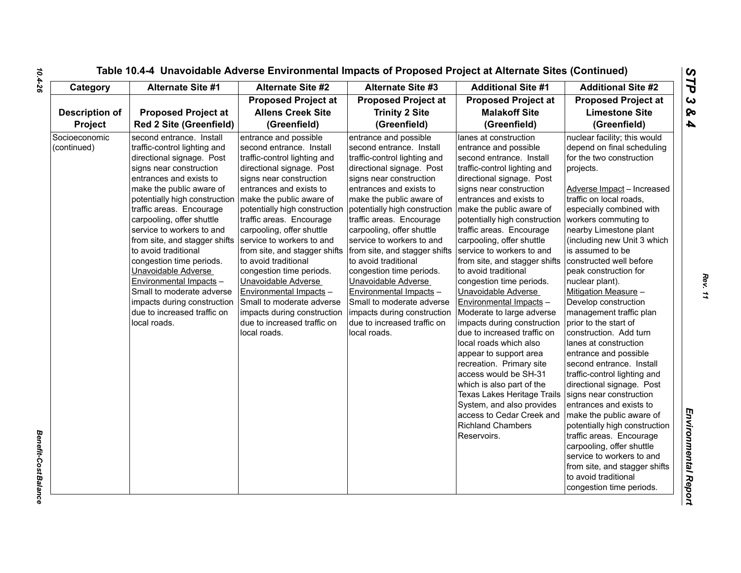| Category                     | <b>Alternate Site #1</b>                                                                                                                                                                                                                                                                                                                                                                                                                                                                                                                         | <b>Alternate Site #2</b>                                                                                                                                                                                                                                                                                                                                                                                                                                                                                                                                                  | <b>Alternate Site #3</b>                                                                                                                                                                                                                                                                                                                                                                                                                                                                                                                                                                             | <b>Additional Site #1</b>                                                                                                                                                                                                                                                                                                                                                                                                                                                                                                                                                                                                                                                                                                                                                                                                        | <b>Additional Site #2</b>                                                                                                                                                                                                                                                                                                                                                                                                                                                                                                                                                                                                                                                                                                                                                                                                                                                                                                                   |
|------------------------------|--------------------------------------------------------------------------------------------------------------------------------------------------------------------------------------------------------------------------------------------------------------------------------------------------------------------------------------------------------------------------------------------------------------------------------------------------------------------------------------------------------------------------------------------------|---------------------------------------------------------------------------------------------------------------------------------------------------------------------------------------------------------------------------------------------------------------------------------------------------------------------------------------------------------------------------------------------------------------------------------------------------------------------------------------------------------------------------------------------------------------------------|------------------------------------------------------------------------------------------------------------------------------------------------------------------------------------------------------------------------------------------------------------------------------------------------------------------------------------------------------------------------------------------------------------------------------------------------------------------------------------------------------------------------------------------------------------------------------------------------------|----------------------------------------------------------------------------------------------------------------------------------------------------------------------------------------------------------------------------------------------------------------------------------------------------------------------------------------------------------------------------------------------------------------------------------------------------------------------------------------------------------------------------------------------------------------------------------------------------------------------------------------------------------------------------------------------------------------------------------------------------------------------------------------------------------------------------------|---------------------------------------------------------------------------------------------------------------------------------------------------------------------------------------------------------------------------------------------------------------------------------------------------------------------------------------------------------------------------------------------------------------------------------------------------------------------------------------------------------------------------------------------------------------------------------------------------------------------------------------------------------------------------------------------------------------------------------------------------------------------------------------------------------------------------------------------------------------------------------------------------------------------------------------------|
|                              |                                                                                                                                                                                                                                                                                                                                                                                                                                                                                                                                                  | <b>Proposed Project at</b>                                                                                                                                                                                                                                                                                                                                                                                                                                                                                                                                                | <b>Proposed Project at</b>                                                                                                                                                                                                                                                                                                                                                                                                                                                                                                                                                                           | <b>Proposed Project at</b>                                                                                                                                                                                                                                                                                                                                                                                                                                                                                                                                                                                                                                                                                                                                                                                                       | <b>Proposed Project at</b>                                                                                                                                                                                                                                                                                                                                                                                                                                                                                                                                                                                                                                                                                                                                                                                                                                                                                                                  |
| <b>Description of</b>        | <b>Proposed Project at</b>                                                                                                                                                                                                                                                                                                                                                                                                                                                                                                                       | <b>Allens Creek Site</b>                                                                                                                                                                                                                                                                                                                                                                                                                                                                                                                                                  | <b>Trinity 2 Site</b>                                                                                                                                                                                                                                                                                                                                                                                                                                                                                                                                                                                | <b>Malakoff Site</b>                                                                                                                                                                                                                                                                                                                                                                                                                                                                                                                                                                                                                                                                                                                                                                                                             | <b>Limestone Site</b>                                                                                                                                                                                                                                                                                                                                                                                                                                                                                                                                                                                                                                                                                                                                                                                                                                                                                                                       |
| Project                      | <b>Red 2 Site (Greenfield)</b>                                                                                                                                                                                                                                                                                                                                                                                                                                                                                                                   | (Greenfield)                                                                                                                                                                                                                                                                                                                                                                                                                                                                                                                                                              | (Greenfield)                                                                                                                                                                                                                                                                                                                                                                                                                                                                                                                                                                                         | (Greenfield)                                                                                                                                                                                                                                                                                                                                                                                                                                                                                                                                                                                                                                                                                                                                                                                                                     | (Greenfield)                                                                                                                                                                                                                                                                                                                                                                                                                                                                                                                                                                                                                                                                                                                                                                                                                                                                                                                                |
| Socioeconomic<br>(continued) | second entrance. Install<br>traffic-control lighting and<br>directional signage. Post<br>signs near construction<br>entrances and exists to<br>make the public aware of<br>potentially high construction<br>traffic areas. Encourage<br>carpooling, offer shuttle<br>service to workers to and<br>from site, and stagger shifts<br>to avoid traditional<br>congestion time periods.<br>Unavoidable Adverse<br>Environmental Impacts -<br>Small to moderate adverse<br>impacts during construction<br>due to increased traffic on<br>local roads. | entrance and possible<br>second entrance. Install<br>traffic-control lighting and<br>directional signage. Post<br>signs near construction<br>entrances and exists to<br>make the public aware of<br>potentially high construction<br>traffic areas. Encourage<br>carpooling, offer shuttle<br>service to workers to and<br>from site, and stagger shifts<br>to avoid traditional<br>congestion time periods.<br>Unavoidable Adverse<br>Environmental Impacts -<br>Small to moderate adverse<br>impacts during construction<br>due to increased traffic on<br>local roads. | entrance and possible<br>second entrance. Install<br>traffic-control lighting and<br>directional signage. Post<br>signs near construction<br>entrances and exists to<br>make the public aware of<br>potentially high construction   make the public aware of<br>traffic areas. Encourage<br>carpooling, offer shuttle<br>service to workers to and<br>from site, and stagger shifts<br>to avoid traditional<br>congestion time periods.<br>Unavoidable Adverse<br>Environmental Impacts -<br>Small to moderate adverse<br>impacts during construction<br>due to increased traffic on<br>local roads. | lanes at construction<br>entrance and possible<br>second entrance. Install<br>traffic-control lighting and<br>directional signage. Post<br>signs near construction<br>entrances and exists to<br>potentially high construction<br>traffic areas. Encourage<br>carpooling, offer shuttle<br>service to workers to and<br>from site, and stagger shifts<br>to avoid traditional<br>congestion time periods.<br>Unavoidable Adverse<br>Environmental Impacts -<br>Moderate to large adverse<br>impacts during construction<br>due to increased traffic on<br>local roads which also<br>appear to support area<br>recreation. Primary site<br>access would be SH-31<br>which is also part of the<br>Texas Lakes Heritage Trails<br>System, and also provides<br>access to Cedar Creek and<br><b>Richland Chambers</b><br>Reservoirs. | nuclear facility; this would<br>depend on final scheduling<br>for the two construction<br>projects.<br>Adverse Impact - Increased<br>traffic on local roads,<br>especially combined with<br>workers commuting to<br>nearby Limestone plant<br>(including new Unit 3 which<br>is assumed to be<br>constructed well before<br>peak construction for<br>nuclear plant).<br>Mitigation Measure -<br>Develop construction<br>management traffic plan<br>prior to the start of<br>construction. Add turn<br>lanes at construction<br>entrance and possible<br>second entrance. Install<br>traffic-control lighting and<br>directional signage. Post<br>signs near construction<br>entrances and exists to<br>make the public aware of<br>potentially high construction<br>traffic areas. Encourage<br>carpooling, offer shuttle<br>service to workers to and<br>from site, and stagger shifts<br>to avoid traditional<br>congestion time periods. |

*Benefit-Cost Balance* 

**Benefit-Cost Balance** 

*Rev. 11*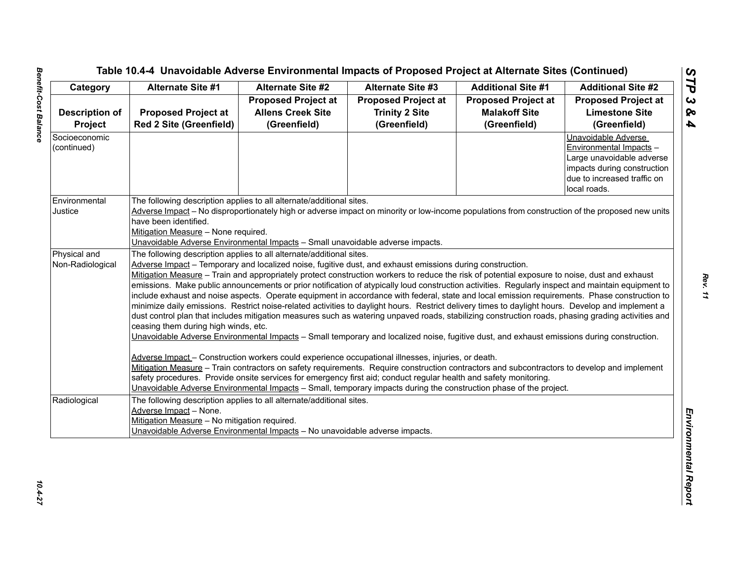|                       | Alternate Site #1                                                                                                                                                                                                                       | <b>Alternate Site #2</b><br><b>Alternate Site #3</b>                           | <b>Additional Site #1</b>  | <b>Additional Site #2</b>  |                             |  |  |
|-----------------------|-----------------------------------------------------------------------------------------------------------------------------------------------------------------------------------------------------------------------------------------|--------------------------------------------------------------------------------|----------------------------|----------------------------|-----------------------------|--|--|
|                       |                                                                                                                                                                                                                                         | <b>Proposed Project at</b>                                                     | <b>Proposed Project at</b> | <b>Proposed Project at</b> | <b>Proposed Project at</b>  |  |  |
| <b>Description of</b> | <b>Proposed Project at</b>                                                                                                                                                                                                              | <b>Allens Creek Site</b>                                                       | <b>Trinity 2 Site</b>      | <b>Malakoff Site</b>       | <b>Limestone Site</b>       |  |  |
| Project               | <b>Red 2 Site (Greenfield)</b>                                                                                                                                                                                                          | (Greenfield)                                                                   | (Greenfield)               | (Greenfield)               | (Greenfield)                |  |  |
| Socioeconomic         |                                                                                                                                                                                                                                         |                                                                                |                            |                            | Unavoidable Adverse         |  |  |
| (continued)           |                                                                                                                                                                                                                                         |                                                                                |                            |                            | Environmental Impacts -     |  |  |
|                       |                                                                                                                                                                                                                                         |                                                                                |                            |                            | Large unavoidable adverse   |  |  |
|                       |                                                                                                                                                                                                                                         |                                                                                |                            |                            | impacts during construction |  |  |
|                       |                                                                                                                                                                                                                                         |                                                                                |                            |                            | due to increased traffic on |  |  |
|                       |                                                                                                                                                                                                                                         |                                                                                |                            |                            | local roads.                |  |  |
| Environmental         | The following description applies to all alternate/additional sites.                                                                                                                                                                    |                                                                                |                            |                            |                             |  |  |
| Justice               | Adverse Impact - No disproportionately high or adverse impact on minority or low-income populations from construction of the proposed new units                                                                                         |                                                                                |                            |                            |                             |  |  |
|                       | have been identified.                                                                                                                                                                                                                   |                                                                                |                            |                            |                             |  |  |
|                       | Mitigation Measure - None required.                                                                                                                                                                                                     |                                                                                |                            |                            |                             |  |  |
|                       |                                                                                                                                                                                                                                         | Unavoidable Adverse Environmental Impacts - Small unavoidable adverse impacts. |                            |                            |                             |  |  |
| Physical and          | The following description applies to all alternate/additional sites.                                                                                                                                                                    |                                                                                |                            |                            |                             |  |  |
| Non-Radiological      | Adverse Impact – Temporary and localized noise, fugitive dust, and exhaust emissions during construction.                                                                                                                               |                                                                                |                            |                            |                             |  |  |
|                       | Mitigation Measure - Train and appropriately protect construction workers to reduce the risk of potential exposure to noise, dust and exhaust                                                                                           |                                                                                |                            |                            |                             |  |  |
|                       | emissions. Make public announcements or prior notification of atypically loud construction activities. Regularly inspect and maintain equipment to                                                                                      |                                                                                |                            |                            |                             |  |  |
|                       | include exhaust and noise aspects. Operate equipment in accordance with federal, state and local emission requirements. Phase construction to                                                                                           |                                                                                |                            |                            |                             |  |  |
|                       | minimize daily emissions. Restrict noise-related activities to daylight hours. Restrict delivery times to daylight hours. Develop and implement a                                                                                       |                                                                                |                            |                            |                             |  |  |
|                       | dust control plan that includes mitigation measures such as watering unpaved roads, stabilizing construction roads, phasing grading activities and                                                                                      |                                                                                |                            |                            |                             |  |  |
|                       | ceasing them during high winds, etc.                                                                                                                                                                                                    |                                                                                |                            |                            |                             |  |  |
|                       | Unavoidable Adverse Environmental Impacts - Small temporary and localized noise, fugitive dust, and exhaust emissions during construction.                                                                                              |                                                                                |                            |                            |                             |  |  |
|                       |                                                                                                                                                                                                                                         |                                                                                |                            |                            |                             |  |  |
|                       | Adverse Impact - Construction workers could experience occupational illnesses, injuries, or death.                                                                                                                                      |                                                                                |                            |                            |                             |  |  |
|                       | Mitigation Measure - Train contractors on safety requirements. Require construction contractors and subcontractors to develop and implement                                                                                             |                                                                                |                            |                            |                             |  |  |
|                       | safety procedures. Provide onsite services for emergency first aid; conduct regular health and safety monitoring.<br>Unavoidable Adverse Environmental Impacts - Small, temporary impacts during the construction phase of the project. |                                                                                |                            |                            |                             |  |  |
|                       |                                                                                                                                                                                                                                         |                                                                                |                            |                            |                             |  |  |
| Radiological          | The following description applies to all alternate/additional sites.                                                                                                                                                                    |                                                                                |                            |                            |                             |  |  |
|                       | Adverse Impact - None.                                                                                                                                                                                                                  |                                                                                |                            |                            |                             |  |  |
|                       | Mitigation Measure - No mitigation required.                                                                                                                                                                                            |                                                                                |                            |                            |                             |  |  |
|                       |                                                                                                                                                                                                                                         | Unavoidable Adverse Environmental Impacts - No unavoidable adverse impacts.    |                            |                            |                             |  |  |
|                       |                                                                                                                                                                                                                                         |                                                                                |                            |                            |                             |  |  |
|                       |                                                                                                                                                                                                                                         |                                                                                |                            |                            |                             |  |  |
|                       |                                                                                                                                                                                                                                         |                                                                                |                            |                            |                             |  |  |
|                       |                                                                                                                                                                                                                                         |                                                                                |                            |                            |                             |  |  |
|                       |                                                                                                                                                                                                                                         |                                                                                |                            |                            |                             |  |  |
|                       |                                                                                                                                                                                                                                         |                                                                                |                            |                            |                             |  |  |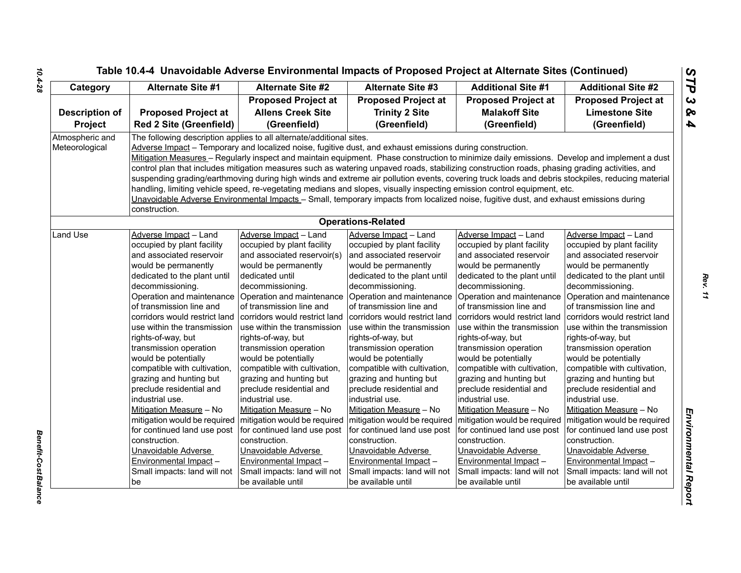| Category              | <b>Alternate Site #1</b>                                                                                                                         | Alternate Site #2                                                    | <b>Alternate Site #3</b>                                                                                                                       | <b>Additional Site #1</b>                                 | <b>Additional Site #2</b>                                 |  |  |  |
|-----------------------|--------------------------------------------------------------------------------------------------------------------------------------------------|----------------------------------------------------------------------|------------------------------------------------------------------------------------------------------------------------------------------------|-----------------------------------------------------------|-----------------------------------------------------------|--|--|--|
|                       |                                                                                                                                                  | <b>Proposed Project at</b>                                           | <b>Proposed Project at</b>                                                                                                                     | <b>Proposed Project at</b>                                | <b>Proposed Project at</b>                                |  |  |  |
| <b>Description of</b> | <b>Proposed Project at</b>                                                                                                                       | <b>Allens Creek Site</b>                                             | <b>Trinity 2 Site</b>                                                                                                                          | <b>Malakoff Site</b>                                      | <b>Limestone Site</b>                                     |  |  |  |
| <b>Project</b>        | <b>Red 2 Site (Greenfield)</b>                                                                                                                   | (Greenfield)                                                         | (Greenfield)                                                                                                                                   | (Greenfield)                                              | (Greenfield)                                              |  |  |  |
| Atmospheric and       |                                                                                                                                                  | The following description applies to all alternate/additional sites. |                                                                                                                                                |                                                           |                                                           |  |  |  |
| Meteorological        |                                                                                                                                                  |                                                                      | Adverse Impact - Temporary and localized noise, fugitive dust, and exhaust emissions during construction.                                      |                                                           |                                                           |  |  |  |
|                       |                                                                                                                                                  |                                                                      | Mitigation Measures - Regularly inspect and maintain equipment. Phase construction to minimize daily emissions. Develop and implement a dust   |                                                           |                                                           |  |  |  |
|                       |                                                                                                                                                  |                                                                      | control plan that includes mitigation measures such as watering unpaved roads, stabilizing construction roads, phasing grading activities, and |                                                           |                                                           |  |  |  |
|                       | suspending grading/earthmoving during high winds and extreme air pollution events, covering truck loads and debris stockpiles, reducing material |                                                                      |                                                                                                                                                |                                                           |                                                           |  |  |  |
|                       | handling, limiting vehicle speed, re-vegetating medians and slopes, visually inspecting emission control equipment, etc.                         |                                                                      |                                                                                                                                                |                                                           |                                                           |  |  |  |
|                       |                                                                                                                                                  |                                                                      | Unavoidable Adverse Environmental Impacts - Small, temporary impacts from localized noise, fugitive dust, and exhaust emissions during         |                                                           |                                                           |  |  |  |
|                       | construction.                                                                                                                                    |                                                                      |                                                                                                                                                |                                                           |                                                           |  |  |  |
|                       |                                                                                                                                                  |                                                                      | <b>Operations-Related</b>                                                                                                                      |                                                           |                                                           |  |  |  |
| Land Use              | Adverse Impact - Land                                                                                                                            | Adverse Impact - Land                                                | Adverse Impact - Land                                                                                                                          | Adverse Impact - Land                                     | Adverse Impact - Land                                     |  |  |  |
|                       | occupied by plant facility                                                                                                                       | occupied by plant facility                                           | occupied by plant facility                                                                                                                     | occupied by plant facility                                | occupied by plant facility                                |  |  |  |
|                       | and associated reservoir                                                                                                                         | and associated reservoir(s)                                          | and associated reservoir                                                                                                                       | and associated reservoir                                  | and associated reservoir                                  |  |  |  |
|                       | would be permanently                                                                                                                             | would be permanently                                                 | would be permanently                                                                                                                           | would be permanently                                      | would be permanently                                      |  |  |  |
|                       | dedicated to the plant until                                                                                                                     | dedicated until                                                      | dedicated to the plant until                                                                                                                   | dedicated to the plant until                              | dedicated to the plant until                              |  |  |  |
|                       | decommissioning.                                                                                                                                 | decommissioning.                                                     | decommissioning.                                                                                                                               | decommissioning.                                          | decommissioning.                                          |  |  |  |
|                       | Operation and maintenance                                                                                                                        | Operation and maintenance                                            |                                                                                                                                                | Operation and maintenance Operation and maintenance       | Operation and maintenance                                 |  |  |  |
|                       | of transmission line and<br>corridors would restrict land                                                                                        | of transmission line and<br>corridors would restrict land            | of transmission line and<br>corridors would restrict land                                                                                      | of transmission line and<br>corridors would restrict land | of transmission line and<br>corridors would restrict land |  |  |  |
|                       | use within the transmission                                                                                                                      | use within the transmission                                          | use within the transmission                                                                                                                    | use within the transmission                               | use within the transmission                               |  |  |  |
|                       | rights-of-way, but                                                                                                                               | rights-of-way, but                                                   | rights-of-way, but                                                                                                                             | rights-of-way, but                                        | rights-of-way, but                                        |  |  |  |
|                       | transmission operation                                                                                                                           | transmission operation                                               | transmission operation                                                                                                                         | transmission operation                                    | transmission operation                                    |  |  |  |
|                       | would be potentially                                                                                                                             | would be potentially                                                 | would be potentially                                                                                                                           | would be potentially                                      | would be potentially                                      |  |  |  |
|                       | compatible with cultivation,                                                                                                                     | compatible with cultivation,                                         | compatible with cultivation,                                                                                                                   | compatible with cultivation,                              | compatible with cultivation,                              |  |  |  |
|                       | grazing and hunting but                                                                                                                          | grazing and hunting but                                              | grazing and hunting but                                                                                                                        | grazing and hunting but                                   | grazing and hunting but                                   |  |  |  |
|                       | preclude residential and                                                                                                                         | preclude residential and                                             | preclude residential and                                                                                                                       | preclude residential and                                  | preclude residential and                                  |  |  |  |
|                       | industrial use.                                                                                                                                  | industrial use.                                                      | industrial use.                                                                                                                                | industrial use.                                           | industrial use.                                           |  |  |  |
|                       | Mitigation Measure - No                                                                                                                          | Mitigation Measure - No                                              | Mitigation Measure - No                                                                                                                        | Mitigation Measure - No                                   | Mitigation Measure - No                                   |  |  |  |
|                       | mitigation would be required                                                                                                                     | mitigation would be required                                         | mitigation would be required                                                                                                                   | mitigation would be required                              | mitigation would be required                              |  |  |  |
|                       | for continued land use post                                                                                                                      | for continued land use post                                          | for continued land use post                                                                                                                    | for continued land use post                               | for continued land use post                               |  |  |  |
|                       | construction.                                                                                                                                    | construction.                                                        | construction.                                                                                                                                  | construction.                                             | construction.                                             |  |  |  |
|                       | Unavoidable Adverse                                                                                                                              | Unavoidable Adverse                                                  | Unavoidable Adverse                                                                                                                            | Unavoidable Adverse                                       | Unavoidable Adverse                                       |  |  |  |
|                       | Environmental Impact -                                                                                                                           | Environmental Impact -                                               | Environmental Impact-                                                                                                                          | <b>Environmental Impact-</b>                              | Environmental Impact -                                    |  |  |  |
|                       | Small impacts: land will not                                                                                                                     | Small impacts: land will not                                         | Small impacts: land will not                                                                                                                   | Small impacts: land will not                              | Small impacts: land will not                              |  |  |  |
|                       | be                                                                                                                                               | be available until                                                   | be available until                                                                                                                             | be available until                                        | be available until                                        |  |  |  |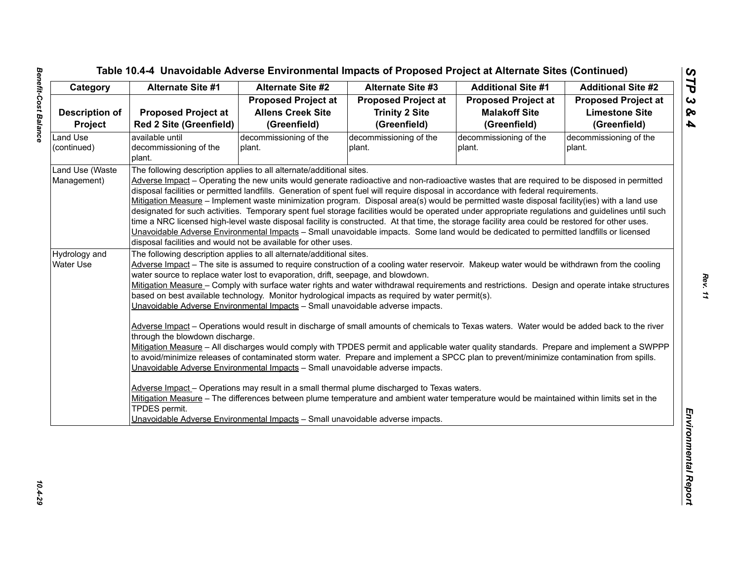| Category              | <b>Alternate Site #1</b>        | <b>Alternate Site #2</b>                                                                                                                 | <b>Alternate Site #3</b>                                                                                                                                                                                                                                                                         | <b>Additional Site #1</b>  | <b>Additional Site #2</b>  |  |  |
|-----------------------|---------------------------------|------------------------------------------------------------------------------------------------------------------------------------------|--------------------------------------------------------------------------------------------------------------------------------------------------------------------------------------------------------------------------------------------------------------------------------------------------|----------------------------|----------------------------|--|--|
|                       |                                 | <b>Proposed Project at</b>                                                                                                               | <b>Proposed Project at</b>                                                                                                                                                                                                                                                                       | <b>Proposed Project at</b> | <b>Proposed Project at</b> |  |  |
| <b>Description of</b> | <b>Proposed Project at</b>      | <b>Allens Creek Site</b>                                                                                                                 | <b>Trinity 2 Site</b>                                                                                                                                                                                                                                                                            | <b>Malakoff Site</b>       | <b>Limestone Site</b>      |  |  |
| Project               | <b>Red 2 Site (Greenfield)</b>  | (Greenfield)                                                                                                                             | (Greenfield)                                                                                                                                                                                                                                                                                     | (Greenfield)               | (Greenfield)               |  |  |
| Land Use              | available until                 | decommissioning of the                                                                                                                   | decommissioning of the                                                                                                                                                                                                                                                                           | decommissioning of the     | decommissioning of the     |  |  |
| (continued)           | decommissioning of the          | plant.                                                                                                                                   | plant.                                                                                                                                                                                                                                                                                           | plant.                     | plant.                     |  |  |
|                       | plant.                          |                                                                                                                                          |                                                                                                                                                                                                                                                                                                  |                            |                            |  |  |
| Land Use (Waste       |                                 | The following description applies to all alternate/additional sites.                                                                     |                                                                                                                                                                                                                                                                                                  |                            |                            |  |  |
| Management)           |                                 |                                                                                                                                          | Adverse Impact - Operating the new units would generate radioactive and non-radioactive wastes that are required to be disposed in permitted                                                                                                                                                     |                            |                            |  |  |
|                       |                                 |                                                                                                                                          | disposal facilities or permitted landfills. Generation of spent fuel will require disposal in accordance with federal requirements.                                                                                                                                                              |                            |                            |  |  |
|                       |                                 |                                                                                                                                          | Mitigation Measure - Implement waste minimization program. Disposal area(s) would be permitted waste disposal facility(ies) with a land use<br>designated for such activities. Temporary spent fuel storage facilities would be operated under appropriate regulations and guidelines until such |                            |                            |  |  |
|                       |                                 |                                                                                                                                          | time a NRC licensed high-level waste disposal facility is constructed. At that time, the storage facility area could be restored for other uses.                                                                                                                                                 |                            |                            |  |  |
|                       |                                 |                                                                                                                                          | Unavoidable Adverse Environmental Impacts - Small unavoidable impacts. Some land would be dedicated to permitted landfills or licensed                                                                                                                                                           |                            |                            |  |  |
|                       |                                 | disposal facilities and would not be available for other uses.                                                                           |                                                                                                                                                                                                                                                                                                  |                            |                            |  |  |
| Hydrology and         |                                 | The following description applies to all alternate/additional sites.                                                                     |                                                                                                                                                                                                                                                                                                  |                            |                            |  |  |
| <b>Water Use</b>      |                                 |                                                                                                                                          | Adverse Impact - The site is assumed to require construction of a cooling water reservoir. Makeup water would be withdrawn from the cooling                                                                                                                                                      |                            |                            |  |  |
|                       |                                 | water source to replace water lost to evaporation, drift, seepage, and blowdown.                                                         |                                                                                                                                                                                                                                                                                                  |                            |                            |  |  |
|                       |                                 |                                                                                                                                          | Mitigation Measure - Comply with surface water rights and water withdrawal requirements and restrictions. Design and operate intake structures                                                                                                                                                   |                            |                            |  |  |
|                       |                                 |                                                                                                                                          | based on best available technology. Monitor hydrological impacts as required by water permit(s).                                                                                                                                                                                                 |                            |                            |  |  |
|                       |                                 | Unavoidable Adverse Environmental Impacts - Small unavoidable adverse impacts.                                                           |                                                                                                                                                                                                                                                                                                  |                            |                            |  |  |
|                       |                                 |                                                                                                                                          |                                                                                                                                                                                                                                                                                                  |                            |                            |  |  |
|                       | through the blowdown discharge. |                                                                                                                                          | Adverse Impact - Operations would result in discharge of small amounts of chemicals to Texas waters. Water would be added back to the river                                                                                                                                                      |                            |                            |  |  |
|                       |                                 |                                                                                                                                          | Mitigation Measure - All discharges would comply with TPDES permit and applicable water quality standards. Prepare and implement a SWPPP                                                                                                                                                         |                            |                            |  |  |
|                       |                                 |                                                                                                                                          |                                                                                                                                                                                                                                                                                                  |                            |                            |  |  |
|                       |                                 |                                                                                                                                          |                                                                                                                                                                                                                                                                                                  |                            |                            |  |  |
|                       |                                 | to avoid/minimize releases of contaminated storm water. Prepare and implement a SPCC plan to prevent/minimize contamination from spills. |                                                                                                                                                                                                                                                                                                  |                            |                            |  |  |
|                       |                                 | Unavoidable Adverse Environmental Impacts - Small unavoidable adverse impacts.                                                           |                                                                                                                                                                                                                                                                                                  |                            |                            |  |  |
|                       |                                 |                                                                                                                                          | Adverse Impact - Operations may result in a small thermal plume discharged to Texas waters.                                                                                                                                                                                                      |                            |                            |  |  |
|                       |                                 |                                                                                                                                          | Mitigation Measure - The differences between plume temperature and ambient water temperature would be maintained within limits set in the                                                                                                                                                        |                            |                            |  |  |
|                       | TPDES permit.                   |                                                                                                                                          |                                                                                                                                                                                                                                                                                                  |                            |                            |  |  |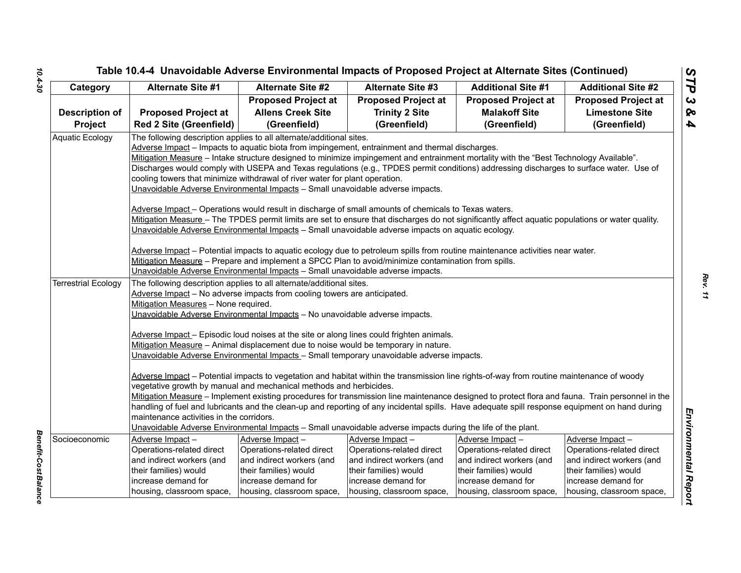# *STP 3 & 4* Tenetial Case of University Contribution and the Case of Proposed Project at Alternation Since 2<br>
Case of Alternation Since 2<br>
Case of Alternation Since 2<br>
Case of Alternation Since 2<br>
Case of Alternation Since 2<br>
Concerns

*Benefit-Cost Balance* 

Benefit-Cost Balance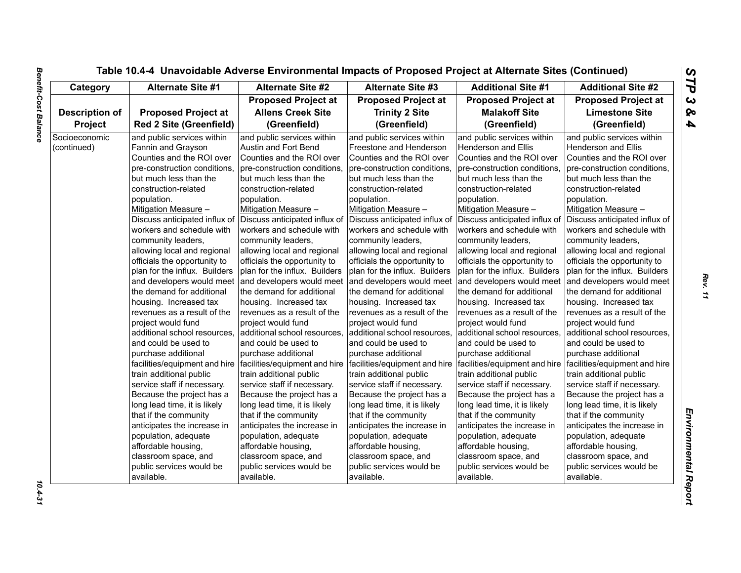| Category              | <b>Alternate Site #1</b>       | <b>Alternate Site #2</b>                                                                      | <b>Alternate Site #3</b>      | <b>Additional Site #1</b>     | <b>Additional Site #2</b>     |
|-----------------------|--------------------------------|-----------------------------------------------------------------------------------------------|-------------------------------|-------------------------------|-------------------------------|
|                       |                                | <b>Proposed Project at</b>                                                                    | <b>Proposed Project at</b>    | <b>Proposed Project at</b>    | <b>Proposed Project at</b>    |
| <b>Description of</b> | <b>Proposed Project at</b>     | <b>Allens Creek Site</b>                                                                      | <b>Trinity 2 Site</b>         | <b>Malakoff Site</b>          | <b>Limestone Site</b>         |
| Project               | <b>Red 2 Site (Greenfield)</b> | (Greenfield)                                                                                  | (Greenfield)                  | (Greenfield)                  | (Greenfield)                  |
| Socioeconomic         | and public services within     | and public services within                                                                    | and public services within    | and public services within    | and public services within    |
| (continued)           | Fannin and Grayson             | Austin and Fort Bend                                                                          | Freestone and Henderson       | Henderson and Ellis           | <b>Henderson and Ellis</b>    |
|                       | Counties and the ROI over      | Counties and the ROI over                                                                     | Counties and the ROI over     | Counties and the ROI over     | Counties and the ROI over     |
|                       | pre-construction conditions,   | pre-construction conditions,                                                                  | pre-construction conditions,  | pre-construction conditions,  | pre-construction conditions,  |
|                       | but much less than the         | but much less than the                                                                        | but much less than the        | but much less than the        | but much less than the        |
|                       | construction-related           | construction-related                                                                          | construction-related          | construction-related          | construction-related          |
|                       | population.                    | population.                                                                                   | population.                   | population.                   | population.                   |
|                       | Mitigation Measure -           | Mitigation Measure -                                                                          | Mitigation Measure -          | Mitigation Measure -          | Mitigation Measure -          |
|                       | Discuss anticipated influx of  | Discuss anticipated influx of                                                                 | Discuss anticipated influx of | Discuss anticipated influx of | Discuss anticipated influx of |
|                       | workers and schedule with      | workers and schedule with                                                                     | workers and schedule with     | workers and schedule with     | workers and schedule with     |
|                       | community leaders,             | community leaders,                                                                            | community leaders,            | community leaders,            | community leaders,            |
|                       | allowing local and regional    | allowing local and regional                                                                   | allowing local and regional   | allowing local and regional   | allowing local and regional   |
|                       | officials the opportunity to   | officials the opportunity to                                                                  | officials the opportunity to  | officials the opportunity to  | officials the opportunity to  |
|                       | plan for the influx. Builders  | plan for the influx. Builders                                                                 | plan for the influx. Builders | plan for the influx. Builders | plan for the influx. Builders |
|                       | and developers would meet      | and developers would meet                                                                     | and developers would meet     | and developers would meet     | and developers would meet     |
|                       | the demand for additional      | the demand for additional                                                                     | the demand for additional     | the demand for additional     | the demand for additional     |
|                       | housing. Increased tax         | housing. Increased tax                                                                        | housing. Increased tax        | housing. Increased tax        | housing. Increased tax        |
|                       | revenues as a result of the    | revenues as a result of the                                                                   | revenues as a result of the   | revenues as a result of the   | revenues as a result of the   |
|                       | project would fund             | project would fund                                                                            | project would fund            | project would fund            | project would fund            |
|                       | additional school resources,   | additional school resources,                                                                  | additional school resources,  | additional school resources,  | additional school resources,  |
|                       | and could be used to           | and could be used to                                                                          | and could be used to          | and could be used to          | and could be used to          |
|                       | purchase additional            | purchase additional                                                                           | purchase additional           | purchase additional           | purchase additional           |
|                       |                                | facilities/equipment and hire   facilities/equipment and hire   facilities/equipment and hire |                               | facilities/equipment and hire | facilities/equipment and hire |
|                       | train additional public        | train additional public                                                                       | train additional public       | train additional public       | train additional public       |
|                       | service staff if necessary.    | service staff if necessary.                                                                   | service staff if necessary.   | service staff if necessary.   | service staff if necessary.   |
|                       | Because the project has a      | Because the project has a                                                                     | Because the project has a     | Because the project has a     | Because the project has a     |
|                       | long lead time, it is likely   | long lead time, it is likely                                                                  | long lead time, it is likely  | long lead time, it is likely  | long lead time, it is likely  |
|                       | that if the community          | that if the community                                                                         | that if the community         | that if the community         | that if the community         |
|                       | anticipates the increase in    | anticipates the increase in                                                                   | anticipates the increase in   | anticipates the increase in   | anticipates the increase in   |
|                       | population, adequate           | population, adequate                                                                          | population, adequate          | population, adequate          | population, adequate          |
|                       | affordable housing,            | affordable housing,                                                                           | affordable housing,           | affordable housing,           | affordable housing,           |
|                       | classroom space, and           | classroom space, and                                                                          | classroom space, and          | classroom space, and          | classroom space, and          |
|                       | public services would be       | public services would be                                                                      | public services would be      | public services would be      | public services would be      |
|                       | available.                     | available.                                                                                    | available.                    | available.                    | available.                    |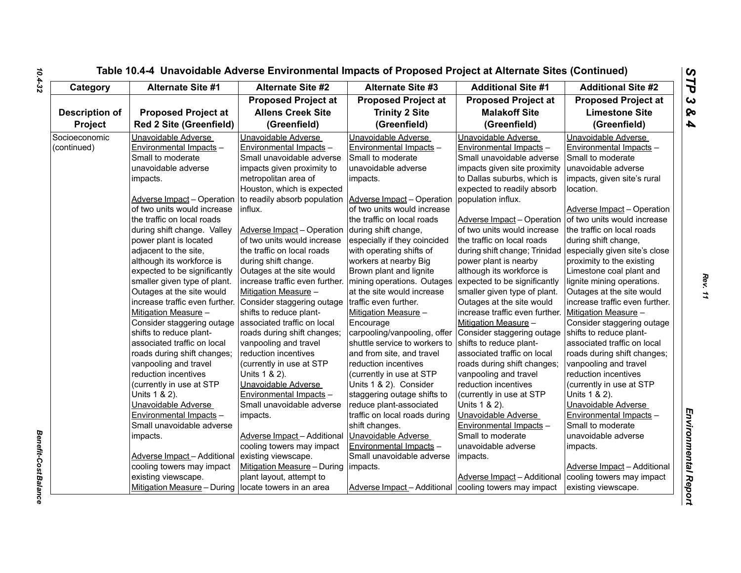| Category              | <b>Alternate Site #1</b>                               | <b>Alternate Site #2</b>                                    | <b>Alternate Site #3</b>      | <b>Additional Site #1</b>      | <b>Additional Site #2</b>          |
|-----------------------|--------------------------------------------------------|-------------------------------------------------------------|-------------------------------|--------------------------------|------------------------------------|
|                       |                                                        | <b>Proposed Project at</b>                                  | <b>Proposed Project at</b>    | <b>Proposed Project at</b>     | <b>Proposed Project at</b>         |
| <b>Description of</b> | <b>Proposed Project at</b>                             | <b>Allens Creek Site</b>                                    | <b>Trinity 2 Site</b>         | <b>Malakoff Site</b>           | <b>Limestone Site</b>              |
| <b>Project</b>        | <b>Red 2 Site (Greenfield)</b>                         | (Greenfield)                                                | (Greenfield)                  | (Greenfield)                   | (Greenfield)                       |
| Socioeconomic         | Unavoidable Adverse                                    | Unavoidable Adverse                                         | Unavoidable Adverse           | Unavoidable Adverse            | Unavoidable Adverse                |
| (continued)           | Environmental Impacts -                                | Environmental Impacts -                                     | Environmental Impacts -       | Environmental Impacts -        | Environmental Impacts -            |
|                       | Small to moderate                                      | Small unavoidable adverse                                   | Small to moderate             | Small unavoidable adverse      | Small to moderate                  |
|                       | unavoidable adverse                                    | impacts given proximity to                                  | unavoidable adverse           | impacts given site proximity   | unavoidable adverse                |
|                       | impacts.                                               | metropolitan area of                                        | impacts.                      | to Dallas suburbs, which is    | impacts, given site's rural        |
|                       |                                                        | Houston, which is expected                                  |                               | expected to readily absorb     | location.                          |
|                       |                                                        | Adverse Impact – Operation to readily absorb population     | Adverse Impact - Operation    | population influx.             |                                    |
|                       | of two units would increase                            | influx.                                                     | of two units would increase   |                                | Adverse Impact - Operation         |
|                       | the traffic on local roads                             |                                                             | the traffic on local roads    | Adverse Impact - Operation     | of two units would increase        |
|                       | during shift change. Valley                            | Adverse Impact - Operation                                  | during shift change,          | of two units would increase    | the traffic on local roads         |
|                       | power plant is located                                 | of two units would increase                                 | especially if they coincided  | the traffic on local roads     | during shift change,               |
|                       | adjacent to the site,                                  | the traffic on local roads                                  | with operating shifts of      | during shift change; Trinidad  | especially given site's close      |
|                       | although its workforce is                              | during shift change.                                        | workers at nearby Big         | power plant is nearby          | proximity to the existing          |
|                       | expected to be significantly                           | Outages at the site would                                   | Brown plant and lignite       | although its workforce is      | Limestone coal plant and           |
|                       | smaller given type of plant.                           | increase traffic even further.   mining operations. Outages |                               | expected to be significantly   | lignite mining operations.         |
|                       | Outages at the site would                              | Mitigation Measure -                                        | at the site would increase    | smaller given type of plant.   | Outages at the site would          |
|                       | increase traffic even further.                         | Consider staggering outage                                  | traffic even further.         | Outages at the site would      | increase traffic even further.     |
|                       | Mitigation Measure -                                   | shifts to reduce plant-                                     | Mitigation Measure -          | increase traffic even further. | Mitigation Measure -               |
|                       | Consider staggering outage associated traffic on local |                                                             | Encourage                     | Mitigation Measure -           | Consider staggering outage         |
|                       | shifts to reduce plant-                                | roads during shift changes;                                 | carpooling/vanpooling, offer  | Consider staggering outage     | shifts to reduce plant-            |
|                       | associated traffic on local                            | vanpooling and travel                                       | shuttle service to workers to | shifts to reduce plant-        | associated traffic on local        |
|                       | roads during shift changes;                            | reduction incentives                                        | and from site, and travel     | associated traffic on local    | roads during shift changes;        |
|                       | vanpooling and travel                                  | (currently in use at STP                                    | reduction incentives          | roads during shift changes;    | vanpooling and travel              |
|                       | reduction incentives                                   | Units 1 & 2).                                               | (currently in use at STP      | vanpooling and travel          | reduction incentives               |
|                       | (currently in use at STP                               | Unavoidable Adverse                                         | Units 1 & 2). Consider        | reduction incentives           | (currently in use at STP           |
|                       | Units 1 & 2).                                          | Environmental Impacts -                                     | staggering outage shifts to   | (currently in use at STP       | Units 1 & 2).                      |
|                       | Unavoidable Adverse                                    | Small unavoidable adverse                                   | reduce plant-associated       | Units 1 & 2).                  | Unavoidable Adverse                |
|                       | Environmental Impacts -                                | impacts.                                                    | traffic on local roads during | Unavoidable Adverse            | Environmental Impacts -            |
|                       | Small unavoidable adverse                              |                                                             | shift changes.                | Environmental Impacts -        | Small to moderate                  |
|                       | impacts.                                               | Adverse Impact - Additional                                 | Unavoidable Adverse           | Small to moderate              | unavoidable adverse                |
|                       |                                                        | cooling towers may impact                                   | Environmental Impacts -       | unavoidable adverse            | impacts.                           |
|                       | Adverse Impact - Additional                            | existing viewscape.                                         | Small unavoidable adverse     | impacts.                       |                                    |
|                       | cooling towers may impact                              | Mitigation Measure - During                                 | impacts.                      |                                | <b>Adverse Impact - Additional</b> |
|                       | existing viewscape.                                    | plant layout, attempt to                                    |                               | Adverse Impact - Additional    | cooling towers may impact          |
|                       | Mitigation Measure - During locate towers in an area   |                                                             | Adverse Impact - Additional   | cooling towers may impact      | existing viewscape.                |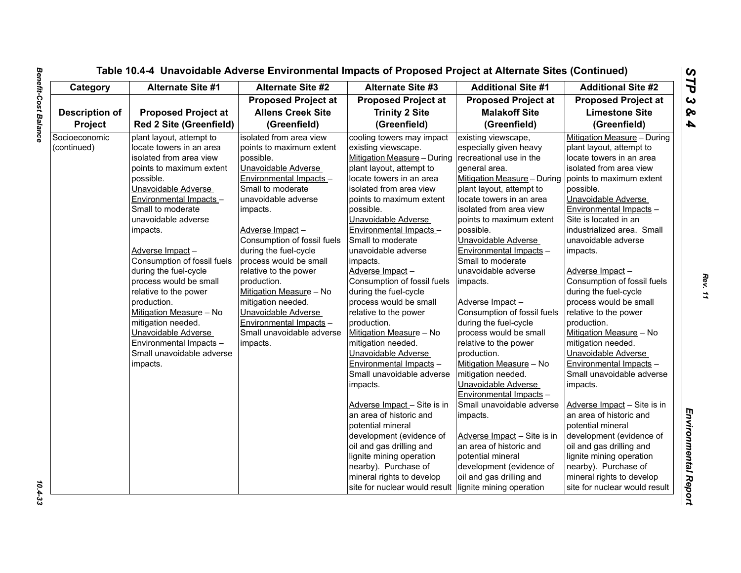| Category              | <b>Alternate Site #1</b>       | Alternate Site #2           | <b>Alternate Site #3</b>      | <b>Additional Site #1</b>   | <b>Additional Site #2</b>     |
|-----------------------|--------------------------------|-----------------------------|-------------------------------|-----------------------------|-------------------------------|
|                       |                                | <b>Proposed Project at</b>  | <b>Proposed Project at</b>    | <b>Proposed Project at</b>  | <b>Proposed Project at</b>    |
| <b>Description of</b> | <b>Proposed Project at</b>     | <b>Allens Creek Site</b>    | <b>Trinity 2 Site</b>         | <b>Malakoff Site</b>        | <b>Limestone Site</b>         |
| Project               | <b>Red 2 Site (Greenfield)</b> | (Greenfield)                | (Greenfield)                  | (Greenfield)                | (Greenfield)                  |
| Socioeconomic         | plant layout, attempt to       | isolated from area view     | cooling towers may impact     | existing viewscape,         | Mitigation Measure - During   |
| (continued)           | locate towers in an area       | points to maximum extent    | existing viewscape.           | especially given heavy      | plant layout, attempt to      |
|                       | isolated from area view        | possible.                   | Mitigation Measure - During   | recreational use in the     | locate towers in an area      |
|                       | points to maximum extent       | Unavoidable Adverse         | plant layout, attempt to      | general area.               | isolated from area view       |
|                       | possible.                      | Environmental Impacts -     | locate towers in an area      | Mitigation Measure - During | points to maximum extent      |
|                       | Unavoidable Adverse            | Small to moderate           | isolated from area view       | plant layout, attempt to    | possible.                     |
|                       | Environmental Impacts -        | unavoidable adverse         | points to maximum extent      | locate towers in an area    | Unavoidable Adverse           |
|                       | Small to moderate              | impacts.                    | possible.                     | isolated from area view     | Environmental Impacts -       |
|                       | unavoidable adverse            |                             | Unavoidable Adverse           | points to maximum extent    | Site is located in an         |
|                       | impacts.                       | Adverse Impact-             | Environmental Impacts -       | possible.                   | industrialized area. Small    |
|                       |                                | Consumption of fossil fuels | Small to moderate             | Unavoidable Adverse         | unavoidable adverse           |
|                       | Adverse Impact-                | during the fuel-cycle       | unavoidable adverse           | Environmental Impacts -     | impacts.                      |
|                       | Consumption of fossil fuels    | process would be small      | impacts.                      | Small to moderate           |                               |
|                       | during the fuel-cycle          | relative to the power       | Adverse Impact-               | unavoidable adverse         | Adverse Impact-               |
|                       | process would be small         | production.                 | Consumption of fossil fuels   | impacts.                    | Consumption of fossil fuels   |
|                       | relative to the power          | Mitigation Measure - No     | during the fuel-cycle         |                             | during the fuel-cycle         |
|                       | production.                    | mitigation needed.          | process would be small        | Adverse Impact-             | process would be small        |
|                       | Mitigation Measure - No        | Unavoidable Adverse         | relative to the power         | Consumption of fossil fuels | relative to the power         |
|                       | mitigation needed.             | Environmental Impacts -     | production.                   | during the fuel-cycle       | production.                   |
|                       | Unavoidable Adverse            | Small unavoidable adverse   | Mitigation Measure - No       | process would be small      | Mitigation Measure - No       |
|                       | Environmental Impacts -        | impacts.                    | mitigation needed.            | relative to the power       | mitigation needed.            |
|                       | Small unavoidable adverse      |                             | Unavoidable Adverse           | production.                 | Unavoidable Adverse           |
|                       | impacts.                       |                             | Environmental Impacts -       | Mitigation Measure - No     | Environmental Impacts -       |
|                       |                                |                             | Small unavoidable adverse     | mitigation needed.          | Small unavoidable adverse     |
|                       |                                |                             | impacts.                      | Unavoidable Adverse         | impacts.                      |
|                       |                                |                             |                               | Environmental Impacts -     |                               |
|                       |                                |                             | Adverse Impact - Site is in   | Small unavoidable adverse   | Adverse Impact - Site is in   |
|                       |                                |                             | an area of historic and       | impacts.                    | an area of historic and       |
|                       |                                |                             | potential mineral             |                             | potential mineral             |
|                       |                                |                             | development (evidence of      | Adverse Impact - Site is in | development (evidence of      |
|                       |                                |                             | oil and gas drilling and      | an area of historic and     | oil and gas drilling and      |
|                       |                                |                             | lignite mining operation      | potential mineral           | lignite mining operation      |
|                       |                                |                             | nearby). Purchase of          | development (evidence of    | nearby). Purchase of          |
|                       |                                |                             | mineral rights to develop     | oil and gas drilling and    | mineral rights to develop     |
|                       |                                |                             | site for nuclear would result | lignite mining operation    | site for nuclear would result |

 $10.4 - 33$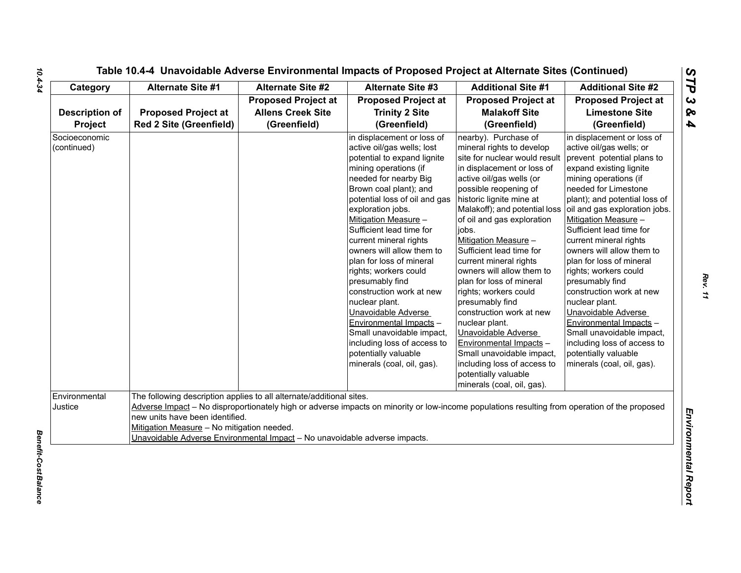| Category                         | <b>Alternate Site #1</b>                                                                                                                                                                                                            | <b>Alternate Site #2</b>                                               | <b>Alternate Site #3</b>                                                                                                                                                                                                                                                                                                                                                                                                                                                                                                                                                                                                       | <b>Additional Site #1</b>                                                                                                                                                                                                                                                                                                                                                                                                                                                                                                                                                                                                                                                      | <b>Additional Site #2</b>                                                                                                                                                                                                                                                                                                                                                                                                                                                                                                                                                                                                               |
|----------------------------------|-------------------------------------------------------------------------------------------------------------------------------------------------------------------------------------------------------------------------------------|------------------------------------------------------------------------|--------------------------------------------------------------------------------------------------------------------------------------------------------------------------------------------------------------------------------------------------------------------------------------------------------------------------------------------------------------------------------------------------------------------------------------------------------------------------------------------------------------------------------------------------------------------------------------------------------------------------------|--------------------------------------------------------------------------------------------------------------------------------------------------------------------------------------------------------------------------------------------------------------------------------------------------------------------------------------------------------------------------------------------------------------------------------------------------------------------------------------------------------------------------------------------------------------------------------------------------------------------------------------------------------------------------------|-----------------------------------------------------------------------------------------------------------------------------------------------------------------------------------------------------------------------------------------------------------------------------------------------------------------------------------------------------------------------------------------------------------------------------------------------------------------------------------------------------------------------------------------------------------------------------------------------------------------------------------------|
| <b>Description of</b><br>Project | <b>Proposed Project at</b><br><b>Red 2 Site (Greenfield)</b>                                                                                                                                                                        | <b>Proposed Project at</b><br><b>Allens Creek Site</b><br>(Greenfield) | <b>Proposed Project at</b><br><b>Trinity 2 Site</b><br>(Greenfield)                                                                                                                                                                                                                                                                                                                                                                                                                                                                                                                                                            | <b>Proposed Project at</b><br><b>Malakoff Site</b><br>(Greenfield)                                                                                                                                                                                                                                                                                                                                                                                                                                                                                                                                                                                                             | <b>Proposed Project at</b><br><b>Limestone Site</b><br>(Greenfield)                                                                                                                                                                                                                                                                                                                                                                                                                                                                                                                                                                     |
| Socioeconomic<br>(continued)     |                                                                                                                                                                                                                                     |                                                                        | in displacement or loss of<br>active oil/gas wells; lost<br>potential to expand lignite<br>mining operations (if<br>needed for nearby Big<br>Brown coal plant); and<br>potential loss of oil and gas<br>exploration jobs.<br>Mitigation Measure -<br>Sufficient lead time for<br>current mineral rights<br>owners will allow them to<br>plan for loss of mineral<br>rights; workers could<br>presumably find<br>construction work at new<br>nuclear plant.<br>Unavoidable Adverse<br>Environmental Impacts -<br>Small unavoidable impact,<br>including loss of access to<br>potentially valuable<br>minerals (coal, oil, gas). | nearby). Purchase of<br>mineral rights to develop<br>site for nuclear would result<br>in displacement or loss of<br>active oil/gas wells (or<br>possible reopening of<br>historic lignite mine at<br>Malakoff); and potential loss<br>of oil and gas exploration<br>jobs.<br>Mitigation Measure -<br>Sufficient lead time for<br>current mineral rights<br>owners will allow them to<br>plan for loss of mineral<br>rights; workers could<br>presumably find<br>construction work at new<br>nuclear plant.<br>Unavoidable Adverse<br>Environmental Impacts -<br>Small unavoidable impact,<br>including loss of access to<br>potentially valuable<br>minerals (coal, oil, gas). | in displacement or loss of<br>active oil/gas wells; or<br>prevent potential plans to<br>expand existing lignite<br>mining operations (if<br>needed for Limestone<br>plant); and potential loss of<br>oil and gas exploration jobs.<br>Mitigation Measure -<br>Sufficient lead time for<br>current mineral rights<br>owners will allow them to<br>plan for loss of mineral<br>rights; workers could<br>presumably find<br>construction work at new<br>nuclear plant.<br>Unavoidable Adverse<br>Environmental Impacts -<br>Small unavoidable impact,<br>including loss of access to<br>potentially valuable<br>minerals (coal, oil, gas). |
| Environmental<br>Justice         | The following description applies to all alternate/additional sites.<br>new units have been identified.<br>Mitigation Measure - No mitigation needed.<br>Unavoidable Adverse Environmental Impact - No unavoidable adverse impacts. |                                                                        | Adverse Impact - No disproportionately high or adverse impacts on minority or low-income populations resulting from operation of the proposed                                                                                                                                                                                                                                                                                                                                                                                                                                                                                  |                                                                                                                                                                                                                                                                                                                                                                                                                                                                                                                                                                                                                                                                                |                                                                                                                                                                                                                                                                                                                                                                                                                                                                                                                                                                                                                                         |

*Rev. 11*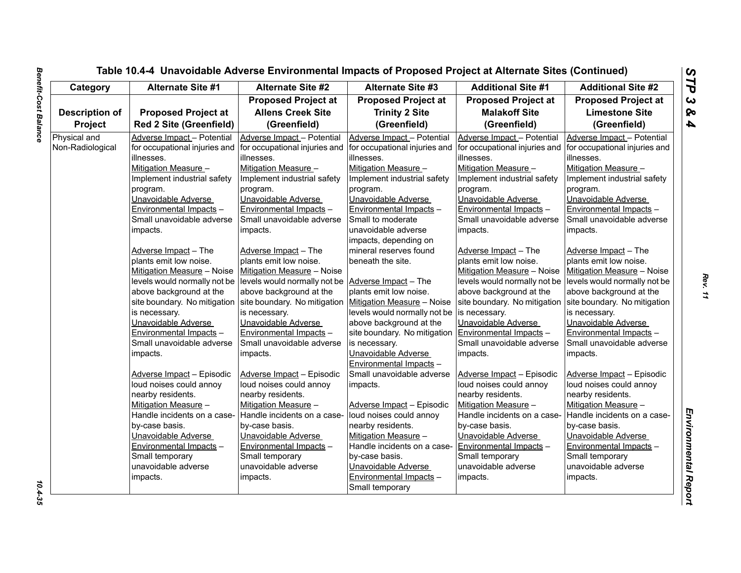| Category              | <b>Alternate Site #1</b>       | <b>Alternate Site #2</b>                                  | <b>Alternate Site #3</b>      | <b>Additional Site #1</b>     | <b>Additional Site #2</b>     |
|-----------------------|--------------------------------|-----------------------------------------------------------|-------------------------------|-------------------------------|-------------------------------|
|                       |                                | <b>Proposed Project at</b>                                | <b>Proposed Project at</b>    | <b>Proposed Project at</b>    | <b>Proposed Project at</b>    |
| <b>Description of</b> | <b>Proposed Project at</b>     | <b>Allens Creek Site</b>                                  | <b>Trinity 2 Site</b>         | <b>Malakoff Site</b>          | <b>Limestone Site</b>         |
| Project               | <b>Red 2 Site (Greenfield)</b> | (Greenfield)                                              | (Greenfield)                  | (Greenfield)                  | (Greenfield)                  |
| Physical and          | Adverse Impact - Potential     | Adverse Impact - Potential                                | Adverse Impact - Potential    | Adverse Impact - Potential    | Adverse Impact - Potential    |
| Non-Radiological      | for occupational injuries and  | for occupational injuries and                             | for occupational injuries and | for occupational injuries and | for occupational injuries and |
|                       | lillnesses.                    | lillnesses.                                               | illnesses.                    | illnesses.                    | illnesses.                    |
|                       | Mitigation Measure -           | Mitigation Measure -                                      | Mitigation Measure -          | Mitigation Measure -          | Mitigation Measure -          |
|                       | Implement industrial safety    | Implement industrial safety                               | Implement industrial safety   | Implement industrial safety   | Implement industrial safety   |
|                       | program.                       | program.                                                  | program.                      | program.                      | program.                      |
|                       | Unavoidable Adverse            | Unavoidable Adverse                                       | Unavoidable Adverse           | Unavoidable Adverse           | Unavoidable Adverse           |
|                       | Environmental Impacts -        | Environmental Impacts -                                   | Environmental Impacts -       | Environmental Impacts -       | Environmental Impacts -       |
|                       | Small unavoidable adverse      | Small unavoidable adverse                                 | Small to moderate             | Small unavoidable adverse     | Small unavoidable adverse     |
|                       | impacts.                       | impacts.                                                  | unavoidable adverse           | impacts.                      | impacts.                      |
|                       |                                |                                                           | impacts, depending on         |                               |                               |
|                       | Adverse Impact - The           | Adverse Impact - The                                      | mineral reserves found        | Adverse Impact - The          | Adverse Impact - The          |
|                       | plants emit low noise.         | plants emit low noise.                                    | beneath the site.             | plants emit low noise.        | plants emit low noise.        |
|                       | Mitigation Measure - Noise     | Mitigation Measure - Noise                                |                               | Mitigation Measure - Noise    | Mitigation Measure - Noise    |
|                       | levels would normally not be   | levels would normally not be Adverse Impact - The         |                               | levels would normally not be  | levels would normally not be  |
|                       | above background at the        | above background at the                                   | plants emit low noise.        | above background at the       | above background at the       |
|                       | site boundary. No mitigation   | site boundary. No mitigation   Mitigation Measure - Noise |                               | site boundary. No mitigation  | site boundary. No mitigation  |
|                       | is necessary.                  | is necessary.                                             | levels would normally not be  | is necessary.                 | is necessary.                 |
|                       | Unavoidable Adverse            | Unavoidable Adverse                                       | above background at the       | Unavoidable Adverse           | Unavoidable Adverse           |
|                       | Environmental Impacts -        | Environmental Impacts -                                   | site boundary. No mitigation  | Environmental Impacts -       | Environmental Impacts -       |
|                       | Small unavoidable adverse      | Small unavoidable adverse                                 | is necessary.                 | Small unavoidable adverse     | Small unavoidable adverse     |
|                       | impacts.                       | impacts.                                                  | Unavoidable Adverse           | impacts.                      | impacts.                      |
|                       |                                |                                                           | Environmental Impacts -       |                               |                               |
|                       | Adverse Impact - Episodic      | Adverse Impact - Episodic                                 | Small unavoidable adverse     | Adverse Impact - Episodic     | Adverse Impact - Episodic     |
|                       | loud noises could annoy        | loud noises could annoy                                   | impacts.                      | loud noises could annoy       | loud noises could annoy       |
|                       | nearby residents.              | nearby residents.                                         |                               | nearby residents.             | nearby residents.             |
|                       | Mitigation Measure -           | Mitigation Measure -                                      | Adverse Impact - Episodic     | Mitigation Measure -          | Mitigation Measure -          |
|                       | Handle incidents on a case-    | Handle incidents on a case-                               | loud noises could annoy       | Handle incidents on a case-   | Handle incidents on a case-   |
|                       | by-case basis.                 | by-case basis.                                            | nearby residents.             | by-case basis.                | by-case basis.                |
|                       | Unavoidable Adverse            | Unavoidable Adverse                                       | Mitigation Measure -          | Unavoidable Adverse           | Unavoidable Adverse           |
|                       | Environmental Impacts -        | Environmental Impacts -                                   | Handle incidents on a case-   | Environmental Impacts -       | Environmental Impacts -       |
|                       | Small temporary                | Small temporary                                           | by-case basis.                | Small temporary               | Small temporary               |
|                       | unavoidable adverse            | unavoidable adverse                                       | Unavoidable Adverse           | unavoidable adverse           | unavoidable adverse           |
|                       | impacts.                       | impacts.                                                  | Environmental Impacts -       | impacts.                      | impacts.                      |
|                       |                                |                                                           | Small temporary               |                               |                               |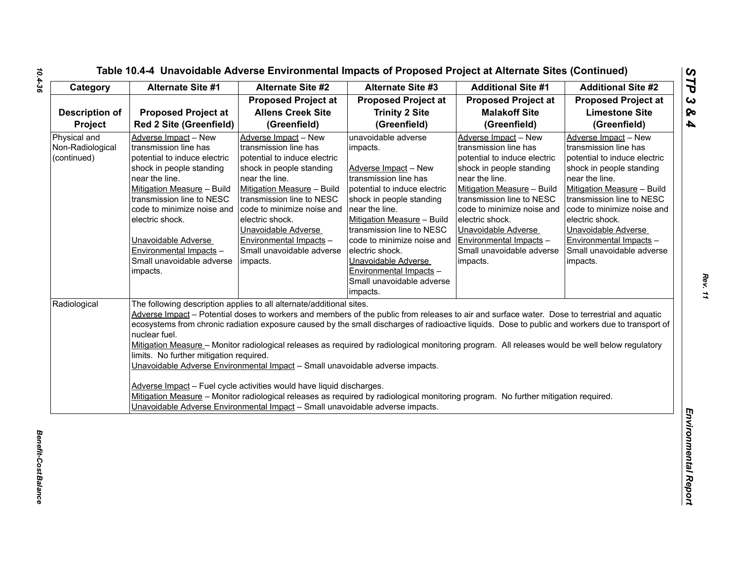| Category                                        | Alternate Site #1                                                                                                                                                                                                                                                                                                                  | <b>Alternate Site #2</b>                                                                                                                                                                                                                                                                                                           | <b>Alternate Site #3</b>                                                                                                                                                                                                                                                                                                                                              | <b>Additional Site #1</b>                                                                                                                                                                                                                                                                                                                                                                                                                                                                                                                                                                 | <b>Additional Site #2</b>                                                                                                                                                                                                                                                                                                          |
|-------------------------------------------------|------------------------------------------------------------------------------------------------------------------------------------------------------------------------------------------------------------------------------------------------------------------------------------------------------------------------------------|------------------------------------------------------------------------------------------------------------------------------------------------------------------------------------------------------------------------------------------------------------------------------------------------------------------------------------|-----------------------------------------------------------------------------------------------------------------------------------------------------------------------------------------------------------------------------------------------------------------------------------------------------------------------------------------------------------------------|-------------------------------------------------------------------------------------------------------------------------------------------------------------------------------------------------------------------------------------------------------------------------------------------------------------------------------------------------------------------------------------------------------------------------------------------------------------------------------------------------------------------------------------------------------------------------------------------|------------------------------------------------------------------------------------------------------------------------------------------------------------------------------------------------------------------------------------------------------------------------------------------------------------------------------------|
|                                                 |                                                                                                                                                                                                                                                                                                                                    | <b>Proposed Project at</b>                                                                                                                                                                                                                                                                                                         | <b>Proposed Project at</b>                                                                                                                                                                                                                                                                                                                                            | <b>Proposed Project at</b>                                                                                                                                                                                                                                                                                                                                                                                                                                                                                                                                                                | <b>Proposed Project at</b>                                                                                                                                                                                                                                                                                                         |
| <b>Description of</b>                           | <b>Proposed Project at</b>                                                                                                                                                                                                                                                                                                         | <b>Allens Creek Site</b>                                                                                                                                                                                                                                                                                                           | <b>Trinity 2 Site</b>                                                                                                                                                                                                                                                                                                                                                 | <b>Malakoff Site</b>                                                                                                                                                                                                                                                                                                                                                                                                                                                                                                                                                                      | <b>Limestone Site</b>                                                                                                                                                                                                                                                                                                              |
| Project                                         | <b>Red 2 Site (Greenfield)</b>                                                                                                                                                                                                                                                                                                     | (Greenfield)                                                                                                                                                                                                                                                                                                                       | (Greenfield)                                                                                                                                                                                                                                                                                                                                                          | (Greenfield)                                                                                                                                                                                                                                                                                                                                                                                                                                                                                                                                                                              | (Greenfield)                                                                                                                                                                                                                                                                                                                       |
| Physical and<br>Non-Radiological<br>(continued) | Adverse Impact - New<br>transmission line has<br>potential to induce electric<br>shock in people standing<br>near the line.<br>Mitigation Measure - Build<br>transmission line to NESC<br>code to minimize noise and<br>electric shock.<br>Unavoidable Adverse<br>Environmental Impacts -<br>Small unavoidable adverse<br>impacts. | Adverse Impact - New<br>transmission line has<br>potential to induce electric<br>shock in people standing<br>near the line.<br>Mitigation Measure - Build<br>transmission line to NESC<br>code to minimize noise and<br>electric shock.<br>Unavoidable Adverse<br>Environmental Impacts -<br>Small unavoidable adverse<br>impacts. | unavoidable adverse<br>impacts.<br>Adverse Impact - New<br>transmission line has<br>potential to induce electric<br>shock in people standing<br>near the line.<br>Mitigation Measure - Build<br>transmission line to NESC<br>code to minimize noise and<br>electric shock.<br>Unavoidable Adverse<br>Environmental Impacts -<br>Small unavoidable adverse<br>impacts. | Adverse Impact - New<br>transmission line has<br>potential to induce electric<br>shock in people standing<br>near the line.<br>Mitigation Measure - Build<br>transmission line to NESC<br>code to minimize noise and<br>electric shock.<br>Unavoidable Adverse<br>Environmental Impacts -<br>Small unavoidable adverse<br>impacts.                                                                                                                                                                                                                                                        | Adverse Impact - New<br>transmission line has<br>potential to induce electric<br>shock in people standing<br>near the line.<br>Mitigation Measure - Build<br>transmission line to NESC<br>code to minimize noise and<br>electric shock.<br>Unavoidable Adverse<br>Environmental Impacts -<br>Small unavoidable adverse<br>impacts. |
| Radiological                                    | nuclear fuel.<br>limits. No further mitigation required.                                                                                                                                                                                                                                                                           | The following description applies to all alternate/additional sites.<br>Unavoidable Adverse Environmental Impact - Small unavoidable adverse impacts.<br>Adverse Impact - Fuel cycle activities would have liquid discharges.<br>Unavoidable Adverse Environmental Impact - Small unavoidable adverse impacts.                     |                                                                                                                                                                                                                                                                                                                                                                       | Adverse Impact - Potential doses to workers and members of the public from releases to air and surface water. Dose to terrestrial and aquatic<br>ecosystems from chronic radiation exposure caused by the small discharges of radioactive liquids. Dose to public and workers due to transport of<br>Mitigation Measure - Monitor radiological releases as required by radiological monitoring program. All releases would be well below regulatory<br>Mitigation Measure - Monitor radiological releases as required by radiological monitoring program. No further mitigation required. |                                                                                                                                                                                                                                                                                                                                    |

*Rev. 11*